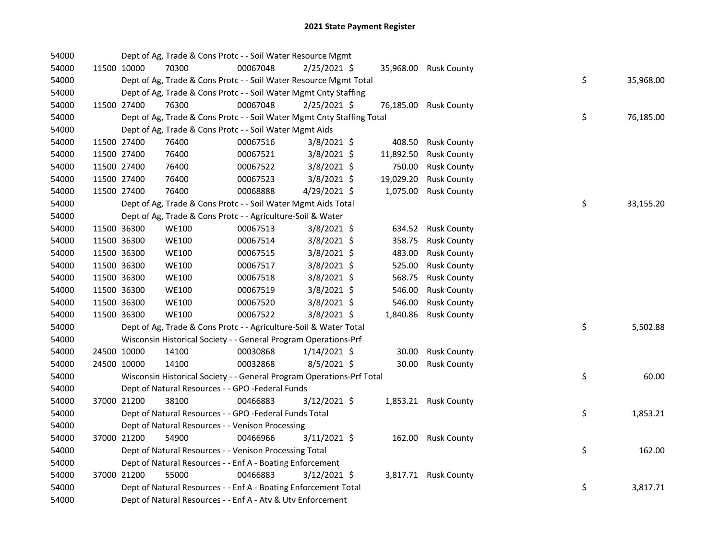| 54000 |             | Dept of Ag, Trade & Cons Protc - - Soil Water Resource Mgmt            |          |                |           |                       |    |           |
|-------|-------------|------------------------------------------------------------------------|----------|----------------|-----------|-----------------------|----|-----------|
| 54000 | 11500 10000 | 70300                                                                  | 00067048 | 2/25/2021 \$   |           | 35,968.00 Rusk County |    |           |
| 54000 |             | Dept of Ag, Trade & Cons Protc - - Soil Water Resource Mgmt Total      |          |                |           |                       | \$ | 35,968.00 |
| 54000 |             | Dept of Ag, Trade & Cons Protc - - Soil Water Mgmt Cnty Staffing       |          |                |           |                       |    |           |
| 54000 | 11500 27400 | 76300                                                                  | 00067048 | 2/25/2021 \$   | 76,185.00 | <b>Rusk County</b>    |    |           |
| 54000 |             | Dept of Ag, Trade & Cons Protc - - Soil Water Mgmt Cnty Staffing Total |          |                |           |                       | \$ | 76,185.00 |
| 54000 |             | Dept of Ag, Trade & Cons Protc - - Soil Water Mgmt Aids                |          |                |           |                       |    |           |
| 54000 | 11500 27400 | 76400                                                                  | 00067516 | $3/8/2021$ \$  | 408.50    | <b>Rusk County</b>    |    |           |
| 54000 | 11500 27400 | 76400                                                                  | 00067521 | 3/8/2021 \$    | 11,892.50 | <b>Rusk County</b>    |    |           |
| 54000 | 11500 27400 | 76400                                                                  | 00067522 | 3/8/2021 \$    | 750.00    | <b>Rusk County</b>    |    |           |
| 54000 | 11500 27400 | 76400                                                                  | 00067523 | 3/8/2021 \$    | 19,029.20 | <b>Rusk County</b>    |    |           |
| 54000 | 11500 27400 | 76400                                                                  | 00068888 | 4/29/2021 \$   | 1,075.00  | <b>Rusk County</b>    |    |           |
| 54000 |             | Dept of Ag, Trade & Cons Protc - - Soil Water Mgmt Aids Total          |          |                |           |                       | \$ | 33,155.20 |
| 54000 |             | Dept of Ag, Trade & Cons Protc - - Agriculture-Soil & Water            |          |                |           |                       |    |           |
| 54000 | 11500 36300 | <b>WE100</b>                                                           | 00067513 | $3/8/2021$ \$  | 634.52    | <b>Rusk County</b>    |    |           |
| 54000 | 11500 36300 | <b>WE100</b>                                                           | 00067514 | 3/8/2021 \$    | 358.75    | <b>Rusk County</b>    |    |           |
| 54000 | 11500 36300 | <b>WE100</b>                                                           | 00067515 | 3/8/2021 \$    | 483.00    | <b>Rusk County</b>    |    |           |
| 54000 | 11500 36300 | <b>WE100</b>                                                           | 00067517 | $3/8/2021$ \$  | 525.00    | <b>Rusk County</b>    |    |           |
| 54000 | 11500 36300 | <b>WE100</b>                                                           | 00067518 | 3/8/2021 \$    | 568.75    | <b>Rusk County</b>    |    |           |
| 54000 | 11500 36300 | <b>WE100</b>                                                           | 00067519 | 3/8/2021 \$    | 546.00    | <b>Rusk County</b>    |    |           |
| 54000 | 11500 36300 | <b>WE100</b>                                                           | 00067520 | 3/8/2021 \$    | 546.00    | <b>Rusk County</b>    |    |           |
| 54000 | 11500 36300 | <b>WE100</b>                                                           | 00067522 | $3/8/2021$ \$  | 1,840.86  | <b>Rusk County</b>    |    |           |
| 54000 |             | Dept of Ag, Trade & Cons Protc - - Agriculture-Soil & Water Total      |          |                |           |                       | \$ | 5,502.88  |
| 54000 |             | Wisconsin Historical Society - - General Program Operations-Prf        |          |                |           |                       |    |           |
| 54000 | 24500 10000 | 14100                                                                  | 00030868 | $1/14/2021$ \$ | 30.00     | <b>Rusk County</b>    |    |           |
| 54000 | 24500 10000 | 14100                                                                  | 00032868 | 8/5/2021 \$    | 30.00     | <b>Rusk County</b>    |    |           |
| 54000 |             | Wisconsin Historical Society - - General Program Operations-Prf Total  |          |                |           |                       | \$ | 60.00     |
| 54000 |             | Dept of Natural Resources - - GPO -Federal Funds                       |          |                |           |                       |    |           |
| 54000 | 37000 21200 | 38100                                                                  | 00466883 | $3/12/2021$ \$ |           | 1,853.21 Rusk County  |    |           |
| 54000 |             | Dept of Natural Resources - - GPO -Federal Funds Total                 |          |                |           |                       | \$ | 1,853.21  |
| 54000 |             | Dept of Natural Resources - - Venison Processing                       |          |                |           |                       |    |           |
| 54000 | 37000 21200 | 54900                                                                  | 00466966 | $3/11/2021$ \$ |           | 162.00 Rusk County    |    |           |
| 54000 |             | Dept of Natural Resources - - Venison Processing Total                 |          |                |           |                       | \$ | 162.00    |
| 54000 |             | Dept of Natural Resources - - Enf A - Boating Enforcement              |          |                |           |                       |    |           |
| 54000 | 37000 21200 | 55000                                                                  | 00466883 | $3/12/2021$ \$ |           | 3,817.71 Rusk County  |    |           |
| 54000 |             | Dept of Natural Resources - - Enf A - Boating Enforcement Total        |          |                |           |                       | \$ | 3,817.71  |
| 54000 |             | Dept of Natural Resources - - Enf A - Atv & Utv Enforcement            |          |                |           |                       |    |           |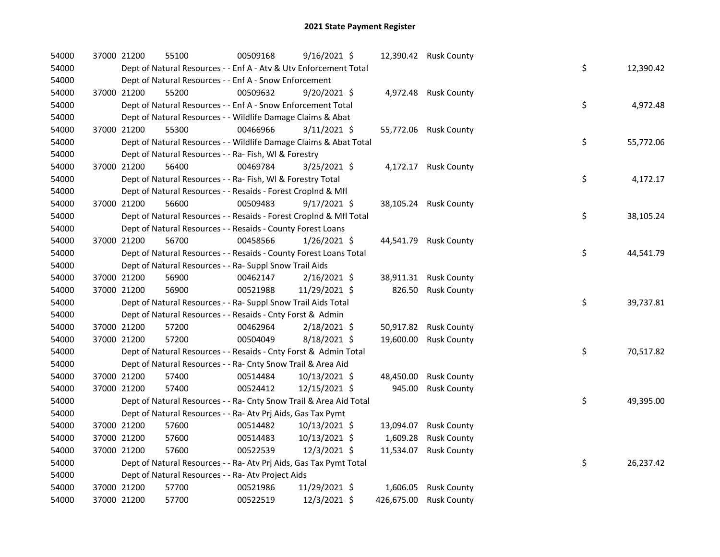| 54000 | 37000 21200 |             | 55100                                                              | 00509168 | 9/16/2021 \$   |            | 12,390.42 Rusk County |    |           |
|-------|-------------|-------------|--------------------------------------------------------------------|----------|----------------|------------|-----------------------|----|-----------|
| 54000 |             |             | Dept of Natural Resources - - Enf A - Atv & Utv Enforcement Total  |          |                |            |                       | \$ | 12,390.42 |
| 54000 |             |             | Dept of Natural Resources - - Enf A - Snow Enforcement             |          |                |            |                       |    |           |
| 54000 |             | 37000 21200 | 55200                                                              | 00509632 | 9/20/2021 \$   |            | 4,972.48 Rusk County  |    |           |
| 54000 |             |             | Dept of Natural Resources - - Enf A - Snow Enforcement Total       |          |                |            |                       | \$ | 4,972.48  |
| 54000 |             |             | Dept of Natural Resources - - Wildlife Damage Claims & Abat        |          |                |            |                       |    |           |
| 54000 |             | 37000 21200 | 55300                                                              | 00466966 | $3/11/2021$ \$ |            | 55,772.06 Rusk County |    |           |
| 54000 |             |             | Dept of Natural Resources - - Wildlife Damage Claims & Abat Total  |          |                |            |                       | \$ | 55,772.06 |
| 54000 |             |             | Dept of Natural Resources - - Ra- Fish, WI & Forestry              |          |                |            |                       |    |           |
| 54000 |             | 37000 21200 | 56400                                                              | 00469784 | 3/25/2021 \$   |            | 4,172.17 Rusk County  |    |           |
| 54000 |             |             | Dept of Natural Resources - - Ra- Fish, WI & Forestry Total        |          |                |            |                       | \$ | 4,172.17  |
| 54000 |             |             | Dept of Natural Resources - - Resaids - Forest CropInd & Mfl       |          |                |            |                       |    |           |
| 54000 |             | 37000 21200 | 56600                                                              | 00509483 | 9/17/2021 \$   |            | 38,105.24 Rusk County |    |           |
| 54000 |             |             | Dept of Natural Resources - - Resaids - Forest CropInd & Mfl Total |          |                |            |                       | \$ | 38,105.24 |
| 54000 |             |             | Dept of Natural Resources - - Resaids - County Forest Loans        |          |                |            |                       |    |           |
| 54000 | 37000 21200 |             | 56700                                                              | 00458566 | $1/26/2021$ \$ | 44,541.79  | <b>Rusk County</b>    |    |           |
| 54000 |             |             | Dept of Natural Resources - - Resaids - County Forest Loans Total  |          |                |            |                       | \$ | 44,541.79 |
| 54000 |             |             | Dept of Natural Resources - - Ra- Suppl Snow Trail Aids            |          |                |            |                       |    |           |
| 54000 |             | 37000 21200 | 56900                                                              | 00462147 | $2/16/2021$ \$ | 38,911.31  | <b>Rusk County</b>    |    |           |
| 54000 |             | 37000 21200 | 56900                                                              | 00521988 | 11/29/2021 \$  | 826.50     | <b>Rusk County</b>    |    |           |
| 54000 |             |             | Dept of Natural Resources - - Ra- Suppl Snow Trail Aids Total      |          |                |            |                       | \$ | 39,737.81 |
| 54000 |             |             | Dept of Natural Resources - - Resaids - Cnty Forst & Admin         |          |                |            |                       |    |           |
| 54000 |             | 37000 21200 | 57200                                                              | 00462964 | $2/18/2021$ \$ | 50,917.82  | <b>Rusk County</b>    |    |           |
| 54000 |             | 37000 21200 | 57200                                                              | 00504049 | 8/18/2021 \$   | 19,600.00  | <b>Rusk County</b>    |    |           |
| 54000 |             |             | Dept of Natural Resources - - Resaids - Cnty Forst & Admin Total   |          |                |            |                       | \$ | 70,517.82 |
| 54000 |             |             | Dept of Natural Resources - - Ra- Cnty Snow Trail & Area Aid       |          |                |            |                       |    |           |
| 54000 |             | 37000 21200 | 57400                                                              | 00514484 | 10/13/2021 \$  | 48,450.00  | <b>Rusk County</b>    |    |           |
| 54000 |             | 37000 21200 | 57400                                                              | 00524412 | 12/15/2021 \$  | 945.00     | <b>Rusk County</b>    |    |           |
| 54000 |             |             | Dept of Natural Resources - - Ra- Cnty Snow Trail & Area Aid Total |          |                |            |                       | \$ | 49,395.00 |
| 54000 |             |             | Dept of Natural Resources - - Ra- Atv Prj Aids, Gas Tax Pymt       |          |                |            |                       |    |           |
| 54000 |             | 37000 21200 | 57600                                                              | 00514482 | 10/13/2021 \$  | 13,094.07  | <b>Rusk County</b>    |    |           |
| 54000 |             | 37000 21200 | 57600                                                              | 00514483 | 10/13/2021 \$  | 1,609.28   | <b>Rusk County</b>    |    |           |
| 54000 |             | 37000 21200 | 57600                                                              | 00522539 | 12/3/2021 \$   | 11,534.07  | <b>Rusk County</b>    |    |           |
| 54000 |             |             | Dept of Natural Resources - - Ra- Atv Prj Aids, Gas Tax Pymt Total |          |                |            |                       | \$ | 26,237.42 |
| 54000 |             |             | Dept of Natural Resources - - Ra- Atv Project Aids                 |          |                |            |                       |    |           |
| 54000 |             | 37000 21200 | 57700                                                              | 00521986 | 11/29/2021 \$  | 1,606.05   | <b>Rusk County</b>    |    |           |
| 54000 |             | 37000 21200 | 57700                                                              | 00522519 | 12/3/2021 \$   | 426,675.00 | <b>Rusk County</b>    |    |           |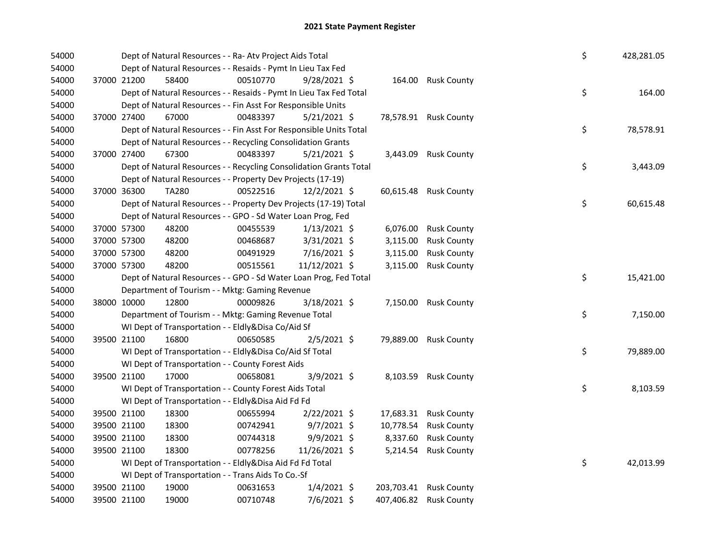| 54000 |             |             | Dept of Natural Resources - - Ra- Atv Project Aids Total           |          |                |          |                        | \$ | 428,281.05 |
|-------|-------------|-------------|--------------------------------------------------------------------|----------|----------------|----------|------------------------|----|------------|
| 54000 |             |             | Dept of Natural Resources - - Resaids - Pymt In Lieu Tax Fed       |          |                |          |                        |    |            |
| 54000 |             | 37000 21200 | 58400                                                              | 00510770 | $9/28/2021$ \$ |          | 164.00 Rusk County     |    |            |
| 54000 |             |             | Dept of Natural Resources - - Resaids - Pymt In Lieu Tax Fed Total |          |                |          |                        | \$ | 164.00     |
| 54000 |             |             | Dept of Natural Resources - - Fin Asst For Responsible Units       |          |                |          |                        |    |            |
| 54000 | 37000 27400 |             | 67000                                                              | 00483397 | $5/21/2021$ \$ |          | 78,578.91 Rusk County  |    |            |
| 54000 |             |             | Dept of Natural Resources - - Fin Asst For Responsible Units Total |          |                |          |                        | \$ | 78,578.91  |
| 54000 |             |             | Dept of Natural Resources - - Recycling Consolidation Grants       |          |                |          |                        |    |            |
| 54000 | 37000 27400 |             | 67300                                                              | 00483397 | $5/21/2021$ \$ |          | 3,443.09 Rusk County   |    |            |
| 54000 |             |             | Dept of Natural Resources - - Recycling Consolidation Grants Total |          |                |          |                        | \$ | 3,443.09   |
| 54000 |             |             | Dept of Natural Resources - - Property Dev Projects (17-19)        |          |                |          |                        |    |            |
| 54000 | 37000 36300 |             | <b>TA280</b>                                                       | 00522516 | $12/2/2021$ \$ |          | 60,615.48 Rusk County  |    |            |
| 54000 |             |             | Dept of Natural Resources - - Property Dev Projects (17-19) Total  |          |                |          |                        | \$ | 60,615.48  |
| 54000 |             |             | Dept of Natural Resources - - GPO - Sd Water Loan Prog, Fed        |          |                |          |                        |    |            |
| 54000 |             | 37000 57300 | 48200                                                              | 00455539 | $1/13/2021$ \$ | 6,076.00 | <b>Rusk County</b>     |    |            |
| 54000 | 37000 57300 |             | 48200                                                              | 00468687 | 3/31/2021 \$   | 3,115.00 | <b>Rusk County</b>     |    |            |
| 54000 | 37000 57300 |             | 48200                                                              | 00491929 | 7/16/2021 \$   | 3,115.00 | <b>Rusk County</b>     |    |            |
| 54000 | 37000 57300 |             | 48200                                                              | 00515561 | 11/12/2021 \$  | 3,115.00 | <b>Rusk County</b>     |    |            |
| 54000 |             |             | Dept of Natural Resources - - GPO - Sd Water Loan Prog, Fed Total  |          |                |          |                        | \$ | 15,421.00  |
| 54000 |             |             | Department of Tourism - - Mktg: Gaming Revenue                     |          |                |          |                        |    |            |
| 54000 |             | 38000 10000 | 12800                                                              | 00009826 | 3/18/2021 \$   |          | 7,150.00 Rusk County   |    |            |
| 54000 |             |             | Department of Tourism - - Mktg: Gaming Revenue Total               |          |                |          |                        | \$ | 7,150.00   |
| 54000 |             |             | WI Dept of Transportation - - Eldly&Disa Co/Aid Sf                 |          |                |          |                        |    |            |
| 54000 |             | 39500 21100 | 16800                                                              | 00650585 | $2/5/2021$ \$  |          | 79,889.00 Rusk County  |    |            |
| 54000 |             |             | WI Dept of Transportation - - Eldly&Disa Co/Aid Sf Total           |          |                |          |                        | \$ | 79,889.00  |
| 54000 |             |             | WI Dept of Transportation - - County Forest Aids                   |          |                |          |                        |    |            |
| 54000 |             | 39500 21100 | 17000                                                              | 00658081 | $3/9/2021$ \$  |          | 8,103.59 Rusk County   |    |            |
| 54000 |             |             | WI Dept of Transportation - - County Forest Aids Total             |          |                |          |                        | \$ | 8,103.59   |
| 54000 |             |             | WI Dept of Transportation - - Eldly&Disa Aid Fd Fd                 |          |                |          |                        |    |            |
| 54000 |             | 39500 21100 | 18300                                                              | 00655994 | $2/22/2021$ \$ |          | 17,683.31 Rusk County  |    |            |
| 54000 |             | 39500 21100 | 18300                                                              | 00742941 | $9/7/2021$ \$  |          | 10,778.54 Rusk County  |    |            |
| 54000 | 39500 21100 |             | 18300                                                              | 00744318 | $9/9/2021$ \$  | 8,337.60 | <b>Rusk County</b>     |    |            |
| 54000 |             | 39500 21100 | 18300                                                              | 00778256 | 11/26/2021 \$  |          | 5,214.54 Rusk County   |    |            |
| 54000 |             |             | WI Dept of Transportation - - Eldly&Disa Aid Fd Fd Total           |          |                |          |                        | \$ | 42,013.99  |
| 54000 |             |             | WI Dept of Transportation - - Trans Aids To Co.-Sf                 |          |                |          |                        |    |            |
| 54000 |             | 39500 21100 | 19000                                                              | 00631653 | $1/4/2021$ \$  |          | 203,703.41 Rusk County |    |            |
|       |             |             |                                                                    |          |                |          |                        |    |            |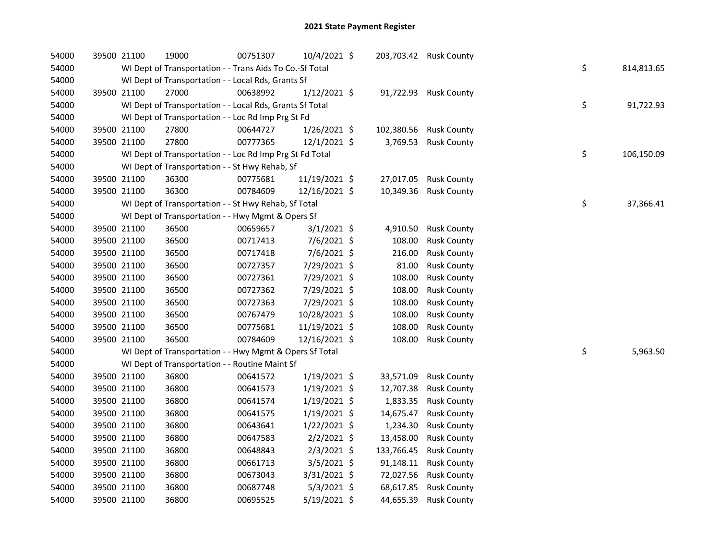| 54000 | 39500 21100 | 19000                                                    | 00751307 | 10/4/2021 \$   |            | 203,703.42 Rusk County |    |            |
|-------|-------------|----------------------------------------------------------|----------|----------------|------------|------------------------|----|------------|
| 54000 |             | WI Dept of Transportation - - Trans Aids To Co.-Sf Total |          |                |            |                        | \$ | 814,813.65 |
| 54000 |             | WI Dept of Transportation - - Local Rds, Grants Sf       |          |                |            |                        |    |            |
| 54000 | 39500 21100 | 27000                                                    | 00638992 | $1/12/2021$ \$ |            | 91,722.93 Rusk County  |    |            |
| 54000 |             | WI Dept of Transportation - - Local Rds, Grants Sf Total |          |                |            |                        | \$ | 91,722.93  |
| 54000 |             | WI Dept of Transportation - - Loc Rd Imp Prg St Fd       |          |                |            |                        |    |            |
| 54000 | 39500 21100 | 27800                                                    | 00644727 | $1/26/2021$ \$ |            | 102,380.56 Rusk County |    |            |
| 54000 | 39500 21100 | 27800                                                    | 00777365 | $12/1/2021$ \$ | 3,769.53   | <b>Rusk County</b>     |    |            |
| 54000 |             | WI Dept of Transportation - - Loc Rd Imp Prg St Fd Total |          |                |            |                        | \$ | 106,150.09 |
| 54000 |             | WI Dept of Transportation - - St Hwy Rehab, Sf           |          |                |            |                        |    |            |
| 54000 | 39500 21100 | 36300                                                    | 00775681 | 11/19/2021 \$  |            | 27,017.05 Rusk County  |    |            |
| 54000 | 39500 21100 | 36300                                                    | 00784609 | 12/16/2021 \$  |            | 10,349.36 Rusk County  |    |            |
| 54000 |             | WI Dept of Transportation - - St Hwy Rehab, Sf Total     |          |                |            |                        | \$ | 37,366.41  |
| 54000 |             | WI Dept of Transportation - - Hwy Mgmt & Opers Sf        |          |                |            |                        |    |            |
| 54000 | 39500 21100 | 36500                                                    | 00659657 | $3/1/2021$ \$  | 4,910.50   | <b>Rusk County</b>     |    |            |
| 54000 | 39500 21100 | 36500                                                    | 00717413 | 7/6/2021 \$    | 108.00     | <b>Rusk County</b>     |    |            |
| 54000 | 39500 21100 | 36500                                                    | 00717418 | 7/6/2021 \$    | 216.00     | <b>Rusk County</b>     |    |            |
| 54000 | 39500 21100 | 36500                                                    | 00727357 | 7/29/2021 \$   | 81.00      | <b>Rusk County</b>     |    |            |
| 54000 | 39500 21100 | 36500                                                    | 00727361 | 7/29/2021 \$   | 108.00     | <b>Rusk County</b>     |    |            |
| 54000 | 39500 21100 | 36500                                                    | 00727362 | 7/29/2021 \$   | 108.00     | <b>Rusk County</b>     |    |            |
| 54000 | 39500 21100 | 36500                                                    | 00727363 | 7/29/2021 \$   | 108.00     | <b>Rusk County</b>     |    |            |
| 54000 | 39500 21100 | 36500                                                    | 00767479 | 10/28/2021 \$  | 108.00     | <b>Rusk County</b>     |    |            |
| 54000 | 39500 21100 | 36500                                                    | 00775681 | 11/19/2021 \$  | 108.00     | <b>Rusk County</b>     |    |            |
| 54000 | 39500 21100 | 36500                                                    | 00784609 | 12/16/2021 \$  | 108.00     | <b>Rusk County</b>     |    |            |
| 54000 |             | WI Dept of Transportation - - Hwy Mgmt & Opers Sf Total  |          |                |            |                        | \$ | 5,963.50   |
| 54000 |             | WI Dept of Transportation - - Routine Maint Sf           |          |                |            |                        |    |            |
| 54000 | 39500 21100 | 36800                                                    | 00641572 | 1/19/2021 \$   | 33,571.09  | <b>Rusk County</b>     |    |            |
| 54000 | 39500 21100 | 36800                                                    | 00641573 | $1/19/2021$ \$ | 12,707.38  | <b>Rusk County</b>     |    |            |
| 54000 | 39500 21100 | 36800                                                    | 00641574 | $1/19/2021$ \$ | 1,833.35   | <b>Rusk County</b>     |    |            |
| 54000 | 39500 21100 | 36800                                                    | 00641575 | $1/19/2021$ \$ | 14,675.47  | <b>Rusk County</b>     |    |            |
| 54000 | 39500 21100 | 36800                                                    | 00643641 | $1/22/2021$ \$ | 1,234.30   | <b>Rusk County</b>     |    |            |
| 54000 | 39500 21100 | 36800                                                    | 00647583 | $2/2/2021$ \$  | 13,458.00  | <b>Rusk County</b>     |    |            |
| 54000 | 39500 21100 | 36800                                                    | 00648843 | $2/3/2021$ \$  | 133,766.45 | <b>Rusk County</b>     |    |            |
| 54000 | 39500 21100 | 36800                                                    | 00661713 | $3/5/2021$ \$  |            | 91,148.11 Rusk County  |    |            |
| 54000 | 39500 21100 | 36800                                                    | 00673043 | 3/31/2021 \$   | 72,027.56  | <b>Rusk County</b>     |    |            |
| 54000 | 39500 21100 | 36800                                                    | 00687748 | $5/3/2021$ \$  | 68,617.85  | <b>Rusk County</b>     |    |            |
| 54000 | 39500 21100 | 36800                                                    | 00695525 | 5/19/2021 \$   | 44,655.39  | <b>Rusk County</b>     |    |            |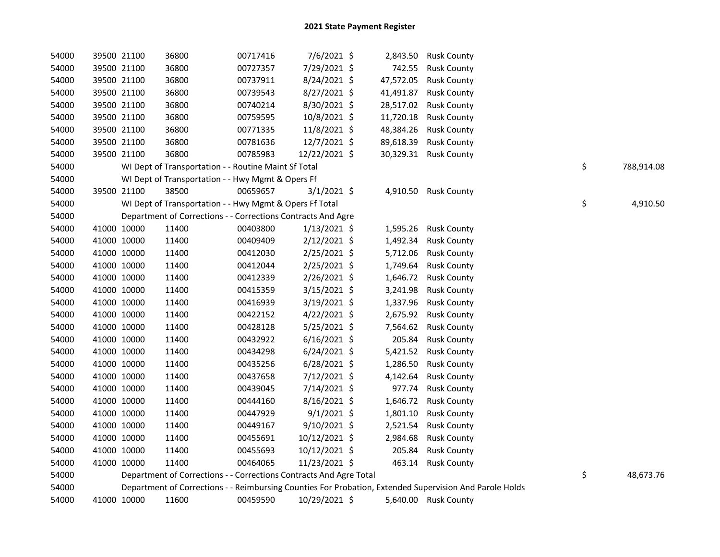| 54000 |             | 39500 21100 | 36800                                                              | 00717416 | $7/6/2021$ \$  |           | 2,843.50 Rusk County                                                                                    |                  |
|-------|-------------|-------------|--------------------------------------------------------------------|----------|----------------|-----------|---------------------------------------------------------------------------------------------------------|------------------|
| 54000 |             | 39500 21100 | 36800                                                              | 00727357 | 7/29/2021 \$   | 742.55    | <b>Rusk County</b>                                                                                      |                  |
| 54000 |             | 39500 21100 | 36800                                                              | 00737911 | $8/24/2021$ \$ | 47,572.05 | <b>Rusk County</b>                                                                                      |                  |
| 54000 |             | 39500 21100 | 36800                                                              | 00739543 | 8/27/2021 \$   | 41,491.87 | <b>Rusk County</b>                                                                                      |                  |
| 54000 |             | 39500 21100 | 36800                                                              | 00740214 | 8/30/2021 \$   | 28,517.02 | <b>Rusk County</b>                                                                                      |                  |
| 54000 |             | 39500 21100 | 36800                                                              | 00759595 | 10/8/2021 \$   | 11,720.18 | <b>Rusk County</b>                                                                                      |                  |
| 54000 |             | 39500 21100 | 36800                                                              | 00771335 | 11/8/2021 \$   | 48,384.26 | <b>Rusk County</b>                                                                                      |                  |
| 54000 |             | 39500 21100 | 36800                                                              | 00781636 | 12/7/2021 \$   | 89,618.39 | <b>Rusk County</b>                                                                                      |                  |
| 54000 |             | 39500 21100 | 36800                                                              | 00785983 | 12/22/2021 \$  |           | 30,329.31 Rusk County                                                                                   |                  |
| 54000 |             |             | WI Dept of Transportation - - Routine Maint Sf Total               |          |                |           |                                                                                                         | \$<br>788,914.08 |
| 54000 |             |             | WI Dept of Transportation - - Hwy Mgmt & Opers Ff                  |          |                |           |                                                                                                         |                  |
| 54000 |             | 39500 21100 | 38500                                                              | 00659657 | $3/1/2021$ \$  |           | 4,910.50 Rusk County                                                                                    |                  |
| 54000 |             |             | WI Dept of Transportation - - Hwy Mgmt & Opers Ff Total            |          |                |           |                                                                                                         | \$<br>4,910.50   |
| 54000 |             |             | Department of Corrections - - Corrections Contracts And Agre       |          |                |           |                                                                                                         |                  |
| 54000 | 41000 10000 |             | 11400                                                              | 00403800 | $1/13/2021$ \$ | 1,595.26  | <b>Rusk County</b>                                                                                      |                  |
| 54000 | 41000 10000 |             | 11400                                                              | 00409409 | $2/12/2021$ \$ | 1,492.34  | <b>Rusk County</b>                                                                                      |                  |
| 54000 | 41000 10000 |             | 11400                                                              | 00412030 | 2/25/2021 \$   | 5,712.06  | <b>Rusk County</b>                                                                                      |                  |
| 54000 | 41000 10000 |             | 11400                                                              | 00412044 | $2/25/2021$ \$ | 1,749.64  | <b>Rusk County</b>                                                                                      |                  |
| 54000 | 41000 10000 |             | 11400                                                              | 00412339 | 2/26/2021 \$   | 1,646.72  | <b>Rusk County</b>                                                                                      |                  |
| 54000 | 41000 10000 |             | 11400                                                              | 00415359 | $3/15/2021$ \$ | 3,241.98  | <b>Rusk County</b>                                                                                      |                  |
| 54000 | 41000 10000 |             | 11400                                                              | 00416939 | $3/19/2021$ \$ | 1,337.96  | <b>Rusk County</b>                                                                                      |                  |
| 54000 | 41000 10000 |             | 11400                                                              | 00422152 | 4/22/2021 \$   | 2,675.92  | <b>Rusk County</b>                                                                                      |                  |
| 54000 | 41000 10000 |             | 11400                                                              | 00428128 | $5/25/2021$ \$ | 7,564.62  | <b>Rusk County</b>                                                                                      |                  |
| 54000 | 41000 10000 |             | 11400                                                              | 00432922 | $6/16/2021$ \$ | 205.84    | <b>Rusk County</b>                                                                                      |                  |
| 54000 | 41000 10000 |             | 11400                                                              | 00434298 | $6/24/2021$ \$ | 5,421.52  | <b>Rusk County</b>                                                                                      |                  |
| 54000 | 41000 10000 |             | 11400                                                              | 00435256 | $6/28/2021$ \$ | 1,286.50  | <b>Rusk County</b>                                                                                      |                  |
| 54000 | 41000 10000 |             | 11400                                                              | 00437658 | 7/12/2021 \$   | 4,142.64  | <b>Rusk County</b>                                                                                      |                  |
| 54000 | 41000 10000 |             | 11400                                                              | 00439045 | 7/14/2021 \$   | 977.74    | <b>Rusk County</b>                                                                                      |                  |
| 54000 | 41000 10000 |             | 11400                                                              | 00444160 | 8/16/2021 \$   | 1,646.72  | <b>Rusk County</b>                                                                                      |                  |
| 54000 | 41000 10000 |             | 11400                                                              | 00447929 | $9/1/2021$ \$  | 1,801.10  | <b>Rusk County</b>                                                                                      |                  |
| 54000 | 41000 10000 |             | 11400                                                              | 00449167 | $9/10/2021$ \$ | 2,521.54  | <b>Rusk County</b>                                                                                      |                  |
| 54000 | 41000 10000 |             | 11400                                                              | 00455691 | 10/12/2021 \$  | 2,984.68  | <b>Rusk County</b>                                                                                      |                  |
| 54000 | 41000 10000 |             | 11400                                                              | 00455693 | 10/12/2021 \$  | 205.84    | <b>Rusk County</b>                                                                                      |                  |
| 54000 | 41000 10000 |             | 11400                                                              | 00464065 | 11/23/2021 \$  |           | 463.14 Rusk County                                                                                      |                  |
| 54000 |             |             | Department of Corrections - - Corrections Contracts And Agre Total |          |                |           |                                                                                                         | \$<br>48,673.76  |
| 54000 |             |             |                                                                    |          |                |           | Department of Corrections - - Reimbursing Counties For Probation, Extended Supervision And Parole Holds |                  |
| 54000 | 41000 10000 |             | 11600                                                              | 00459590 | 10/29/2021 \$  |           | 5,640.00 Rusk County                                                                                    |                  |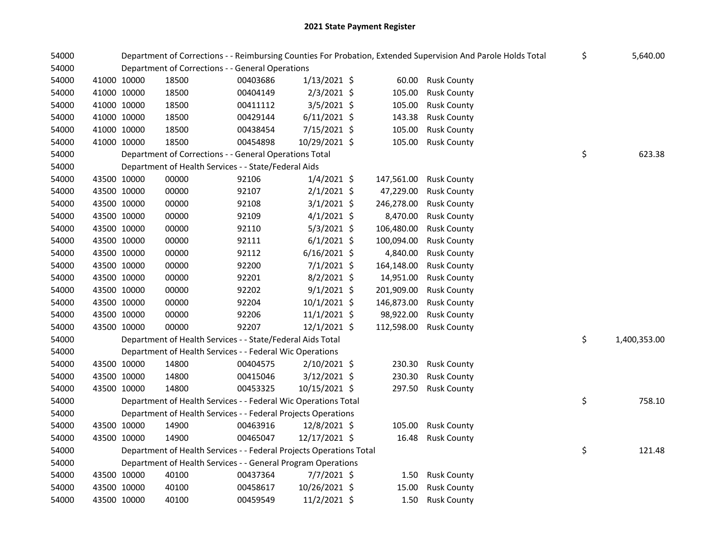| 54000 |             |             |                                                                     |          |                |            | Department of Corrections - - Reimbursing Counties For Probation, Extended Supervision And Parole Holds Total | \$<br>5,640.00     |
|-------|-------------|-------------|---------------------------------------------------------------------|----------|----------------|------------|---------------------------------------------------------------------------------------------------------------|--------------------|
| 54000 |             |             | Department of Corrections - - General Operations                    |          |                |            |                                                                                                               |                    |
| 54000 | 41000 10000 |             | 18500                                                               | 00403686 | $1/13/2021$ \$ | 60.00      | <b>Rusk County</b>                                                                                            |                    |
| 54000 | 41000 10000 |             | 18500                                                               | 00404149 | 2/3/2021 \$    | 105.00     | <b>Rusk County</b>                                                                                            |                    |
| 54000 | 41000 10000 |             | 18500                                                               | 00411112 | 3/5/2021 \$    | 105.00     | <b>Rusk County</b>                                                                                            |                    |
| 54000 | 41000 10000 |             | 18500                                                               | 00429144 | $6/11/2021$ \$ | 143.38     | <b>Rusk County</b>                                                                                            |                    |
| 54000 | 41000 10000 |             | 18500                                                               | 00438454 | 7/15/2021 \$   | 105.00     | <b>Rusk County</b>                                                                                            |                    |
| 54000 | 41000 10000 |             | 18500                                                               | 00454898 | 10/29/2021 \$  | 105.00     | <b>Rusk County</b>                                                                                            |                    |
| 54000 |             |             | Department of Corrections - - General Operations Total              |          |                |            |                                                                                                               | \$<br>623.38       |
| 54000 |             |             | Department of Health Services - - State/Federal Aids                |          |                |            |                                                                                                               |                    |
| 54000 |             | 43500 10000 | 00000                                                               | 92106    | $1/4/2021$ \$  | 147,561.00 | <b>Rusk County</b>                                                                                            |                    |
| 54000 | 43500 10000 |             | 00000                                                               | 92107    | $2/1/2021$ \$  | 47,229.00  | <b>Rusk County</b>                                                                                            |                    |
| 54000 | 43500 10000 |             | 00000                                                               | 92108    | $3/1/2021$ \$  | 246,278.00 | <b>Rusk County</b>                                                                                            |                    |
| 54000 | 43500 10000 |             | 00000                                                               | 92109    | $4/1/2021$ \$  | 8,470.00   | <b>Rusk County</b>                                                                                            |                    |
| 54000 | 43500 10000 |             | 00000                                                               | 92110    | $5/3/2021$ \$  | 106,480.00 | <b>Rusk County</b>                                                                                            |                    |
| 54000 | 43500 10000 |             | 00000                                                               | 92111    | $6/1/2021$ \$  | 100,094.00 | <b>Rusk County</b>                                                                                            |                    |
| 54000 | 43500 10000 |             | 00000                                                               | 92112    | $6/16/2021$ \$ | 4,840.00   | <b>Rusk County</b>                                                                                            |                    |
| 54000 | 43500 10000 |             | 00000                                                               | 92200    | 7/1/2021 \$    | 164,148.00 | <b>Rusk County</b>                                                                                            |                    |
| 54000 | 43500 10000 |             | 00000                                                               | 92201    | $8/2/2021$ \$  | 14,951.00  | <b>Rusk County</b>                                                                                            |                    |
| 54000 | 43500 10000 |             | 00000                                                               | 92202    | $9/1/2021$ \$  | 201,909.00 | <b>Rusk County</b>                                                                                            |                    |
| 54000 | 43500 10000 |             | 00000                                                               | 92204    | 10/1/2021 \$   | 146,873.00 | <b>Rusk County</b>                                                                                            |                    |
| 54000 | 43500 10000 |             | 00000                                                               | 92206    | $11/1/2021$ \$ | 98,922.00  | <b>Rusk County</b>                                                                                            |                    |
| 54000 | 43500 10000 |             | 00000                                                               | 92207    | $12/1/2021$ \$ | 112,598.00 | <b>Rusk County</b>                                                                                            |                    |
| 54000 |             |             | Department of Health Services - - State/Federal Aids Total          |          |                |            |                                                                                                               | \$<br>1,400,353.00 |
| 54000 |             |             | Department of Health Services - - Federal Wic Operations            |          |                |            |                                                                                                               |                    |
| 54000 | 43500 10000 |             | 14800                                                               | 00404575 | 2/10/2021 \$   | 230.30     | <b>Rusk County</b>                                                                                            |                    |
| 54000 | 43500 10000 |             | 14800                                                               | 00415046 | $3/12/2021$ \$ | 230.30     | <b>Rusk County</b>                                                                                            |                    |
| 54000 | 43500 10000 |             | 14800                                                               | 00453325 | 10/15/2021 \$  | 297.50     | <b>Rusk County</b>                                                                                            |                    |
| 54000 |             |             | Department of Health Services - - Federal Wic Operations Total      |          |                |            |                                                                                                               | \$<br>758.10       |
| 54000 |             |             | Department of Health Services - - Federal Projects Operations       |          |                |            |                                                                                                               |                    |
| 54000 |             | 43500 10000 | 14900                                                               | 00463916 | 12/8/2021 \$   | 105.00     | <b>Rusk County</b>                                                                                            |                    |
| 54000 | 43500 10000 |             | 14900                                                               | 00465047 | 12/17/2021 \$  | 16.48      | <b>Rusk County</b>                                                                                            |                    |
| 54000 |             |             | Department of Health Services - - Federal Projects Operations Total |          |                |            |                                                                                                               | \$<br>121.48       |
| 54000 |             |             | Department of Health Services - - General Program Operations        |          |                |            |                                                                                                               |                    |
| 54000 | 43500 10000 |             | 40100                                                               | 00437364 | $7/7/2021$ \$  | 1.50       | <b>Rusk County</b>                                                                                            |                    |
| 54000 | 43500 10000 |             | 40100                                                               | 00458617 | 10/26/2021 \$  | 15.00      | <b>Rusk County</b>                                                                                            |                    |
| 54000 | 43500 10000 |             | 40100                                                               | 00459549 | 11/2/2021 \$   | 1.50       | <b>Rusk County</b>                                                                                            |                    |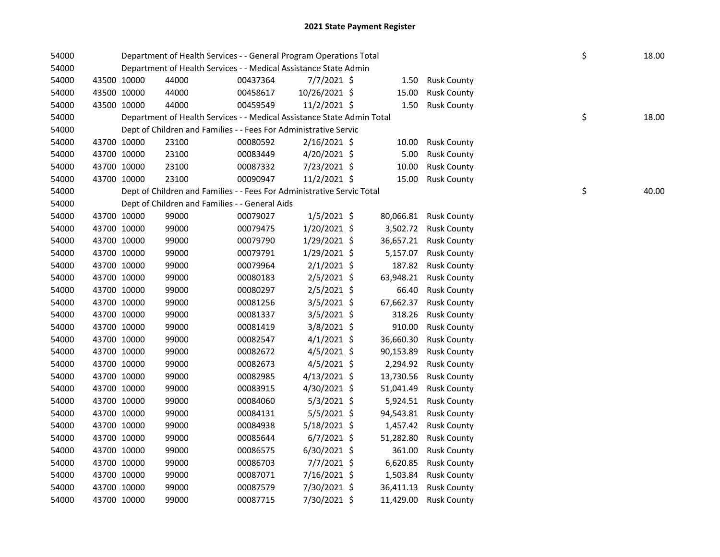| 54000 | Department of Health Services - - General Program Operations Total<br>Department of Health Services - - Medical Assistance State Admin |                                                                        |          |                |  |           | \$                 | 18.00 |       |
|-------|----------------------------------------------------------------------------------------------------------------------------------------|------------------------------------------------------------------------|----------|----------------|--|-----------|--------------------|-------|-------|
| 54000 |                                                                                                                                        |                                                                        |          |                |  |           |                    |       |       |
| 54000 | 43500 10000                                                                                                                            | 44000                                                                  | 00437364 | $7/7/2021$ \$  |  | 1.50      | <b>Rusk County</b> |       |       |
| 54000 | 43500 10000                                                                                                                            | 44000                                                                  | 00458617 | 10/26/2021 \$  |  | 15.00     | <b>Rusk County</b> |       |       |
| 54000 | 43500 10000                                                                                                                            | 44000                                                                  | 00459549 | 11/2/2021 \$   |  | 1.50      | <b>Rusk County</b> |       |       |
| 54000 |                                                                                                                                        | Department of Health Services - - Medical Assistance State Admin Total |          |                |  |           |                    | \$    | 18.00 |
| 54000 |                                                                                                                                        | Dept of Children and Families - - Fees For Administrative Servic       |          |                |  |           |                    |       |       |
| 54000 | 43700 10000                                                                                                                            | 23100                                                                  | 00080592 | $2/16/2021$ \$ |  | 10.00     | <b>Rusk County</b> |       |       |
| 54000 | 43700 10000                                                                                                                            | 23100                                                                  | 00083449 | 4/20/2021 \$   |  | 5.00      | <b>Rusk County</b> |       |       |
| 54000 | 43700 10000                                                                                                                            | 23100                                                                  | 00087332 | 7/23/2021 \$   |  | 10.00     | <b>Rusk County</b> |       |       |
| 54000 | 43700 10000                                                                                                                            | 23100                                                                  | 00090947 | 11/2/2021 \$   |  | 15.00     | <b>Rusk County</b> |       |       |
| 54000 |                                                                                                                                        | Dept of Children and Families - - Fees For Administrative Servic Total |          |                |  |           |                    | \$    | 40.00 |
| 54000 |                                                                                                                                        | Dept of Children and Families - - General Aids                         |          |                |  |           |                    |       |       |
| 54000 | 43700 10000                                                                                                                            | 99000                                                                  | 00079027 | $1/5/2021$ \$  |  | 80,066.81 | <b>Rusk County</b> |       |       |
| 54000 | 43700 10000                                                                                                                            | 99000                                                                  | 00079475 | 1/20/2021 \$   |  | 3,502.72  | <b>Rusk County</b> |       |       |
| 54000 | 43700 10000                                                                                                                            | 99000                                                                  | 00079790 | 1/29/2021 \$   |  | 36,657.21 | <b>Rusk County</b> |       |       |
| 54000 | 43700 10000                                                                                                                            | 99000                                                                  | 00079791 | 1/29/2021 \$   |  | 5,157.07  | <b>Rusk County</b> |       |       |
| 54000 | 43700 10000                                                                                                                            | 99000                                                                  | 00079964 | $2/1/2021$ \$  |  | 187.82    | <b>Rusk County</b> |       |       |
| 54000 | 43700 10000                                                                                                                            | 99000                                                                  | 00080183 | 2/5/2021 \$    |  | 63,948.21 | <b>Rusk County</b> |       |       |
| 54000 | 43700 10000                                                                                                                            | 99000                                                                  | 00080297 | 2/5/2021 \$    |  | 66.40     | <b>Rusk County</b> |       |       |
| 54000 | 43700 10000                                                                                                                            | 99000                                                                  | 00081256 | 3/5/2021 \$    |  | 67,662.37 | <b>Rusk County</b> |       |       |
| 54000 | 43700 10000                                                                                                                            | 99000                                                                  | 00081337 | $3/5/2021$ \$  |  | 318.26    | <b>Rusk County</b> |       |       |
| 54000 | 43700 10000                                                                                                                            | 99000                                                                  | 00081419 | 3/8/2021 \$    |  | 910.00    | <b>Rusk County</b> |       |       |
| 54000 | 43700 10000                                                                                                                            | 99000                                                                  | 00082547 | $4/1/2021$ \$  |  | 36,660.30 | <b>Rusk County</b> |       |       |
| 54000 | 43700 10000                                                                                                                            | 99000                                                                  | 00082672 | $4/5/2021$ \$  |  | 90,153.89 | <b>Rusk County</b> |       |       |
| 54000 | 43700 10000                                                                                                                            | 99000                                                                  | 00082673 | $4/5/2021$ \$  |  | 2,294.92  | <b>Rusk County</b> |       |       |
| 54000 | 43700 10000                                                                                                                            | 99000                                                                  | 00082985 | 4/13/2021 \$   |  | 13,730.56 | <b>Rusk County</b> |       |       |
| 54000 | 43700 10000                                                                                                                            | 99000                                                                  | 00083915 | 4/30/2021 \$   |  | 51,041.49 | <b>Rusk County</b> |       |       |
| 54000 | 43700 10000                                                                                                                            | 99000                                                                  | 00084060 | $5/3/2021$ \$  |  | 5,924.51  | <b>Rusk County</b> |       |       |
| 54000 | 43700 10000                                                                                                                            | 99000                                                                  | 00084131 | $5/5/2021$ \$  |  | 94,543.81 | <b>Rusk County</b> |       |       |
| 54000 | 43700 10000                                                                                                                            | 99000                                                                  | 00084938 | 5/18/2021 \$   |  | 1,457.42  | <b>Rusk County</b> |       |       |
| 54000 | 43700 10000                                                                                                                            | 99000                                                                  | 00085644 | $6/7/2021$ \$  |  | 51,282.80 | <b>Rusk County</b> |       |       |
| 54000 | 43700 10000                                                                                                                            | 99000                                                                  | 00086575 | $6/30/2021$ \$ |  | 361.00    | <b>Rusk County</b> |       |       |
| 54000 | 43700 10000                                                                                                                            | 99000                                                                  | 00086703 | 7/7/2021 \$    |  | 6,620.85  | <b>Rusk County</b> |       |       |
| 54000 | 43700 10000                                                                                                                            | 99000                                                                  | 00087071 | 7/16/2021 \$   |  | 1,503.84  | <b>Rusk County</b> |       |       |
| 54000 | 43700 10000                                                                                                                            | 99000                                                                  | 00087579 | 7/30/2021 \$   |  | 36,411.13 | <b>Rusk County</b> |       |       |
| 54000 | 43700 10000                                                                                                                            | 99000                                                                  | 00087715 | 7/30/2021 \$   |  | 11,429.00 | <b>Rusk County</b> |       |       |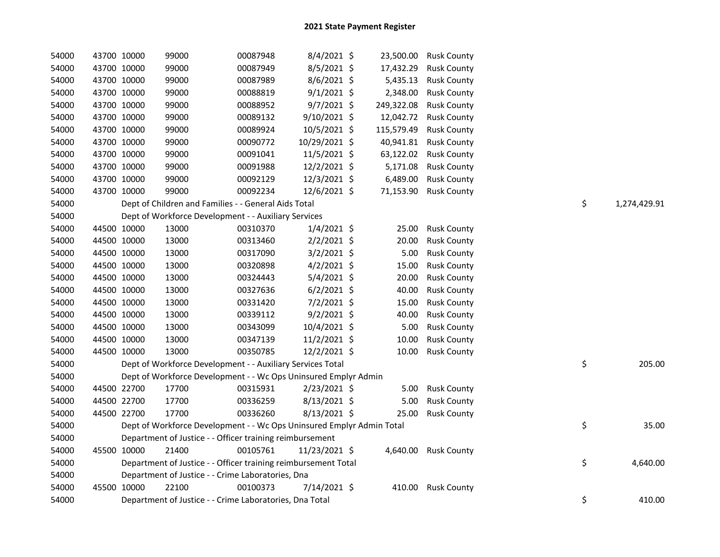| 54000 | 43700 10000 | 99000 | 00087948                                                              | 8/4/2021 \$    |            | 23,500.00 Rusk County |    |              |
|-------|-------------|-------|-----------------------------------------------------------------------|----------------|------------|-----------------------|----|--------------|
| 54000 | 43700 10000 | 99000 | 00087949                                                              | 8/5/2021 \$    | 17,432.29  | <b>Rusk County</b>    |    |              |
| 54000 | 43700 10000 | 99000 | 00087989                                                              | 8/6/2021 \$    | 5,435.13   | <b>Rusk County</b>    |    |              |
| 54000 | 43700 10000 | 99000 | 00088819                                                              | $9/1/2021$ \$  | 2,348.00   | <b>Rusk County</b>    |    |              |
| 54000 | 43700 10000 | 99000 | 00088952                                                              | $9/7/2021$ \$  | 249,322.08 | <b>Rusk County</b>    |    |              |
| 54000 | 43700 10000 | 99000 | 00089132                                                              | $9/10/2021$ \$ | 12,042.72  | <b>Rusk County</b>    |    |              |
| 54000 | 43700 10000 | 99000 | 00089924                                                              | 10/5/2021 \$   | 115,579.49 | <b>Rusk County</b>    |    |              |
| 54000 | 43700 10000 | 99000 | 00090772                                                              | 10/29/2021 \$  | 40,941.81  | <b>Rusk County</b>    |    |              |
| 54000 | 43700 10000 | 99000 | 00091041                                                              | 11/5/2021 \$   | 63,122.02  | <b>Rusk County</b>    |    |              |
| 54000 | 43700 10000 | 99000 | 00091988                                                              | 12/2/2021 \$   | 5,171.08   | <b>Rusk County</b>    |    |              |
| 54000 | 43700 10000 | 99000 | 00092129                                                              | 12/3/2021 \$   | 6,489.00   | <b>Rusk County</b>    |    |              |
| 54000 | 43700 10000 | 99000 | 00092234                                                              | 12/6/2021 \$   |            | 71,153.90 Rusk County |    |              |
| 54000 |             |       | Dept of Children and Families - - General Aids Total                  |                |            |                       | \$ | 1,274,429.91 |
| 54000 |             |       | Dept of Workforce Development - - Auxiliary Services                  |                |            |                       |    |              |
| 54000 | 44500 10000 | 13000 | 00310370                                                              | $1/4/2021$ \$  | 25.00      | <b>Rusk County</b>    |    |              |
| 54000 | 44500 10000 | 13000 | 00313460                                                              | $2/2/2021$ \$  | 20.00      | <b>Rusk County</b>    |    |              |
| 54000 | 44500 10000 | 13000 | 00317090                                                              | $3/2/2021$ \$  | 5.00       | <b>Rusk County</b>    |    |              |
| 54000 | 44500 10000 | 13000 | 00320898                                                              | $4/2/2021$ \$  | 15.00      | <b>Rusk County</b>    |    |              |
| 54000 | 44500 10000 | 13000 | 00324443                                                              | 5/4/2021 \$    | 20.00      | <b>Rusk County</b>    |    |              |
| 54000 | 44500 10000 | 13000 | 00327636                                                              | $6/2/2021$ \$  | 40.00      | <b>Rusk County</b>    |    |              |
| 54000 | 44500 10000 | 13000 | 00331420                                                              | 7/2/2021 \$    | 15.00      | <b>Rusk County</b>    |    |              |
| 54000 | 44500 10000 | 13000 | 00339112                                                              | 9/2/2021 \$    | 40.00      | <b>Rusk County</b>    |    |              |
| 54000 | 44500 10000 | 13000 | 00343099                                                              | 10/4/2021 \$   | 5.00       | <b>Rusk County</b>    |    |              |
| 54000 | 44500 10000 | 13000 | 00347139                                                              | 11/2/2021 \$   | 10.00      | <b>Rusk County</b>    |    |              |
| 54000 | 44500 10000 | 13000 | 00350785                                                              | 12/2/2021 \$   | 10.00      | <b>Rusk County</b>    |    |              |
| 54000 |             |       | Dept of Workforce Development - - Auxiliary Services Total            |                |            |                       | \$ | 205.00       |
| 54000 |             |       | Dept of Workforce Development - - Wc Ops Uninsured Emplyr Admin       |                |            |                       |    |              |
| 54000 | 44500 22700 | 17700 | 00315931                                                              | $2/23/2021$ \$ | 5.00       | <b>Rusk County</b>    |    |              |
| 54000 | 44500 22700 | 17700 | 00336259                                                              | 8/13/2021 \$   | 5.00       | <b>Rusk County</b>    |    |              |
| 54000 | 44500 22700 | 17700 | 00336260                                                              | 8/13/2021 \$   | 25.00      | <b>Rusk County</b>    |    |              |
| 54000 |             |       | Dept of Workforce Development - - Wc Ops Uninsured Emplyr Admin Total |                |            |                       | \$ | 35.00        |
| 54000 |             |       | Department of Justice - - Officer training reimbursement              |                |            |                       |    |              |
| 54000 | 45500 10000 | 21400 | 00105761                                                              | 11/23/2021 \$  |            | 4,640.00 Rusk County  |    |              |
| 54000 |             |       | Department of Justice - - Officer training reimbursement Total        |                |            |                       | \$ | 4,640.00     |
| 54000 |             |       | Department of Justice - - Crime Laboratories, Dna                     |                |            |                       |    |              |
| 54000 | 45500 10000 | 22100 | 00100373                                                              | 7/14/2021 \$   |            | 410.00 Rusk County    |    |              |
| 54000 |             |       | Department of Justice - - Crime Laboratories, Dna Total               |                |            |                       | \$ | 410.00       |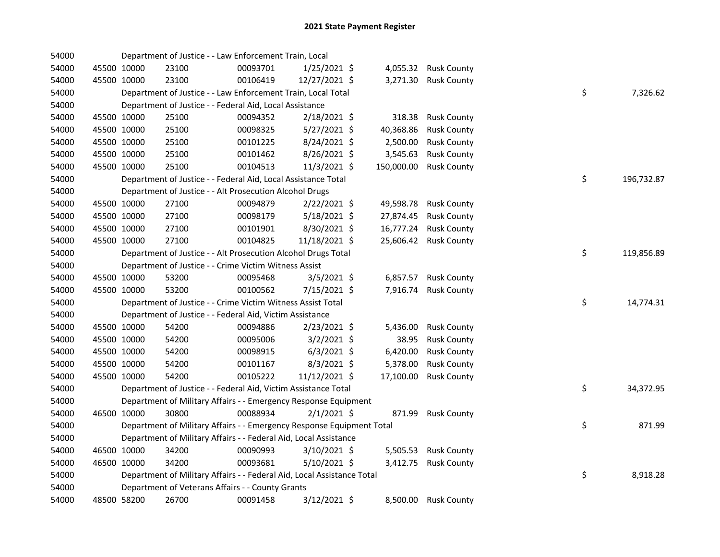| 54000 |             |             | Department of Justice - - Law Enforcement Train, Local                 |          |                |            |                    |    |            |
|-------|-------------|-------------|------------------------------------------------------------------------|----------|----------------|------------|--------------------|----|------------|
| 54000 |             | 45500 10000 | 23100                                                                  | 00093701 | $1/25/2021$ \$ | 4,055.32   | <b>Rusk County</b> |    |            |
| 54000 |             | 45500 10000 | 23100                                                                  | 00106419 | 12/27/2021 \$  | 3,271.30   | <b>Rusk County</b> |    |            |
| 54000 |             |             | Department of Justice - - Law Enforcement Train, Local Total           |          |                |            |                    | \$ | 7,326.62   |
| 54000 |             |             | Department of Justice - - Federal Aid, Local Assistance                |          |                |            |                    |    |            |
| 54000 |             | 45500 10000 | 25100                                                                  | 00094352 | 2/18/2021 \$   | 318.38     | <b>Rusk County</b> |    |            |
| 54000 |             | 45500 10000 | 25100                                                                  | 00098325 | $5/27/2021$ \$ | 40,368.86  | <b>Rusk County</b> |    |            |
| 54000 |             | 45500 10000 | 25100                                                                  | 00101225 | 8/24/2021 \$   | 2,500.00   | <b>Rusk County</b> |    |            |
| 54000 |             | 45500 10000 | 25100                                                                  | 00101462 | 8/26/2021 \$   | 3,545.63   | <b>Rusk County</b> |    |            |
| 54000 |             | 45500 10000 | 25100                                                                  | 00104513 | 11/3/2021 \$   | 150,000.00 | <b>Rusk County</b> |    |            |
| 54000 |             |             | Department of Justice - - Federal Aid, Local Assistance Total          |          |                |            |                    | \$ | 196,732.87 |
| 54000 |             |             | Department of Justice - - Alt Prosecution Alcohol Drugs                |          |                |            |                    |    |            |
| 54000 |             | 45500 10000 | 27100                                                                  | 00094879 | $2/22/2021$ \$ | 49,598.78  | <b>Rusk County</b> |    |            |
| 54000 |             | 45500 10000 | 27100                                                                  | 00098179 | $5/18/2021$ \$ | 27,874.45  | <b>Rusk County</b> |    |            |
| 54000 |             | 45500 10000 | 27100                                                                  | 00101901 | 8/30/2021 \$   | 16,777.24  | <b>Rusk County</b> |    |            |
| 54000 |             | 45500 10000 | 27100                                                                  | 00104825 | 11/18/2021 \$  | 25,606.42  | <b>Rusk County</b> |    |            |
| 54000 |             |             | Department of Justice - - Alt Prosecution Alcohol Drugs Total          |          |                |            |                    | \$ | 119,856.89 |
| 54000 |             |             | Department of Justice - - Crime Victim Witness Assist                  |          |                |            |                    |    |            |
| 54000 |             | 45500 10000 | 53200                                                                  | 00095468 | $3/5/2021$ \$  | 6,857.57   | <b>Rusk County</b> |    |            |
| 54000 |             | 45500 10000 | 53200                                                                  | 00100562 | 7/15/2021 \$   | 7,916.74   | <b>Rusk County</b> |    |            |
| 54000 |             |             | Department of Justice - - Crime Victim Witness Assist Total            |          |                |            |                    | \$ | 14,774.31  |
| 54000 |             |             | Department of Justice - - Federal Aid, Victim Assistance               |          |                |            |                    |    |            |
| 54000 |             | 45500 10000 | 54200                                                                  | 00094886 | $2/23/2021$ \$ | 5,436.00   | <b>Rusk County</b> |    |            |
| 54000 |             | 45500 10000 | 54200                                                                  | 00095006 | 3/2/2021 \$    | 38.95      | <b>Rusk County</b> |    |            |
| 54000 |             | 45500 10000 | 54200                                                                  | 00098915 | $6/3/2021$ \$  | 6,420.00   | <b>Rusk County</b> |    |            |
| 54000 |             | 45500 10000 | 54200                                                                  | 00101167 | 8/3/2021 \$    | 5,378.00   | <b>Rusk County</b> |    |            |
| 54000 |             | 45500 10000 | 54200                                                                  | 00105222 | 11/12/2021 \$  | 17,100.00  | <b>Rusk County</b> |    |            |
| 54000 |             |             | Department of Justice - - Federal Aid, Victim Assistance Total         |          |                |            |                    | \$ | 34,372.95  |
| 54000 |             |             | Department of Military Affairs - - Emergency Response Equipment        |          |                |            |                    |    |            |
| 54000 | 46500 10000 |             | 30800                                                                  | 00088934 | $2/1/2021$ \$  | 871.99     | <b>Rusk County</b> |    |            |
| 54000 |             |             | Department of Military Affairs - - Emergency Response Equipment Total  |          |                |            |                    | \$ | 871.99     |
| 54000 |             |             | Department of Military Affairs - - Federal Aid, Local Assistance       |          |                |            |                    |    |            |
| 54000 |             | 46500 10000 | 34200                                                                  | 00090993 | $3/10/2021$ \$ | 5,505.53   | <b>Rusk County</b> |    |            |
| 54000 | 46500 10000 |             | 34200                                                                  | 00093681 | 5/10/2021 \$   | 3,412.75   | <b>Rusk County</b> |    |            |
| 54000 |             |             | Department of Military Affairs - - Federal Aid, Local Assistance Total |          |                |            |                    | \$ | 8,918.28   |
| 54000 |             |             | Department of Veterans Affairs - - County Grants                       |          |                |            |                    |    |            |
| 54000 |             | 48500 58200 | 26700                                                                  | 00091458 | 3/12/2021 \$   | 8,500.00   | <b>Rusk County</b> |    |            |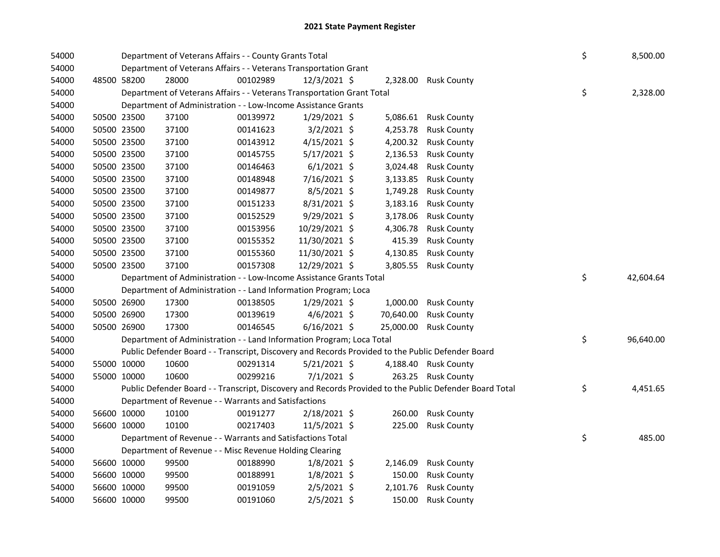| 54000 |             |             | Department of Veterans Affairs - - County Grants Total                                            |          |                |           |                                                                                                         | \$<br>8,500.00  |
|-------|-------------|-------------|---------------------------------------------------------------------------------------------------|----------|----------------|-----------|---------------------------------------------------------------------------------------------------------|-----------------|
| 54000 |             |             | Department of Veterans Affairs - - Veterans Transportation Grant                                  |          |                |           |                                                                                                         |                 |
| 54000 |             | 48500 58200 | 28000                                                                                             | 00102989 | 12/3/2021 \$   |           | 2,328.00 Rusk County                                                                                    |                 |
| 54000 |             |             | Department of Veterans Affairs - - Veterans Transportation Grant Total                            |          |                |           |                                                                                                         | \$<br>2,328.00  |
| 54000 |             |             | Department of Administration - - Low-Income Assistance Grants                                     |          |                |           |                                                                                                         |                 |
| 54000 |             | 50500 23500 | 37100                                                                                             | 00139972 | 1/29/2021 \$   |           | 5,086.61 Rusk County                                                                                    |                 |
| 54000 | 50500 23500 |             | 37100                                                                                             | 00141623 | $3/2/2021$ \$  |           | 4,253.78 Rusk County                                                                                    |                 |
| 54000 | 50500 23500 |             | 37100                                                                                             | 00143912 | $4/15/2021$ \$ | 4,200.32  | <b>Rusk County</b>                                                                                      |                 |
| 54000 | 50500 23500 |             | 37100                                                                                             | 00145755 | 5/17/2021 \$   | 2,136.53  | <b>Rusk County</b>                                                                                      |                 |
| 54000 | 50500 23500 |             | 37100                                                                                             | 00146463 | $6/1/2021$ \$  | 3,024.48  | <b>Rusk County</b>                                                                                      |                 |
| 54000 | 50500 23500 |             | 37100                                                                                             | 00148948 | 7/16/2021 \$   | 3,133.85  | <b>Rusk County</b>                                                                                      |                 |
| 54000 | 50500 23500 |             | 37100                                                                                             | 00149877 | $8/5/2021$ \$  | 1,749.28  | <b>Rusk County</b>                                                                                      |                 |
| 54000 | 50500 23500 |             | 37100                                                                                             | 00151233 | 8/31/2021 \$   | 3,183.16  | <b>Rusk County</b>                                                                                      |                 |
| 54000 | 50500 23500 |             | 37100                                                                                             | 00152529 | $9/29/2021$ \$ | 3,178.06  | <b>Rusk County</b>                                                                                      |                 |
| 54000 | 50500 23500 |             | 37100                                                                                             | 00153956 | 10/29/2021 \$  | 4,306.78  | <b>Rusk County</b>                                                                                      |                 |
| 54000 | 50500 23500 |             | 37100                                                                                             | 00155352 | 11/30/2021 \$  | 415.39    | <b>Rusk County</b>                                                                                      |                 |
| 54000 | 50500 23500 |             | 37100                                                                                             | 00155360 | 11/30/2021 \$  | 4,130.85  | <b>Rusk County</b>                                                                                      |                 |
| 54000 | 50500 23500 |             | 37100                                                                                             | 00157308 | 12/29/2021 \$  |           | 3,805.55 Rusk County                                                                                    |                 |
| 54000 |             |             | Department of Administration - - Low-Income Assistance Grants Total                               |          |                |           |                                                                                                         | \$<br>42,604.64 |
| 54000 |             |             | Department of Administration - - Land Information Program; Loca                                   |          |                |           |                                                                                                         |                 |
| 54000 |             | 50500 26900 | 17300                                                                                             | 00138505 | 1/29/2021 \$   |           | 1,000.00 Rusk County                                                                                    |                 |
| 54000 | 50500 26900 |             | 17300                                                                                             | 00139619 | $4/6/2021$ \$  | 70,640.00 | <b>Rusk County</b>                                                                                      |                 |
| 54000 |             | 50500 26900 | 17300                                                                                             | 00146545 | $6/16/2021$ \$ |           | 25,000.00 Rusk County                                                                                   |                 |
| 54000 |             |             | Department of Administration - - Land Information Program; Loca Total                             |          |                |           |                                                                                                         | \$<br>96,640.00 |
| 54000 |             |             | Public Defender Board - - Transcript, Discovery and Records Provided to the Public Defender Board |          |                |           |                                                                                                         |                 |
| 54000 | 55000 10000 |             | 10600                                                                                             | 00291314 | $5/21/2021$ \$ |           | 4,188.40 Rusk County                                                                                    |                 |
| 54000 |             | 55000 10000 | 10600                                                                                             | 00299216 | $7/1/2021$ \$  |           | 263.25 Rusk County                                                                                      |                 |
| 54000 |             |             |                                                                                                   |          |                |           | Public Defender Board - - Transcript, Discovery and Records Provided to the Public Defender Board Total | \$<br>4,451.65  |
| 54000 |             |             | Department of Revenue - - Warrants and Satisfactions                                              |          |                |           |                                                                                                         |                 |
| 54000 | 56600 10000 |             | 10100                                                                                             | 00191277 | $2/18/2021$ \$ |           | 260.00 Rusk County                                                                                      |                 |
| 54000 |             | 56600 10000 | 10100                                                                                             | 00217403 | $11/5/2021$ \$ |           | 225.00 Rusk County                                                                                      |                 |
| 54000 |             |             | Department of Revenue - - Warrants and Satisfactions Total                                        |          |                |           |                                                                                                         | \$<br>485.00    |
| 54000 |             |             | Department of Revenue - - Misc Revenue Holding Clearing                                           |          |                |           |                                                                                                         |                 |
| 54000 | 56600 10000 |             | 99500                                                                                             | 00188990 | $1/8/2021$ \$  | 2,146.09  | <b>Rusk County</b>                                                                                      |                 |
| 54000 | 56600 10000 |             | 99500                                                                                             | 00188991 | $1/8/2021$ \$  | 150.00    | <b>Rusk County</b>                                                                                      |                 |
| 54000 |             | 56600 10000 | 99500                                                                                             | 00191059 | $2/5/2021$ \$  | 2,101.76  | <b>Rusk County</b>                                                                                      |                 |
| 54000 |             | 56600 10000 | 99500                                                                                             | 00191060 | 2/5/2021 \$    |           | 150.00 Rusk County                                                                                      |                 |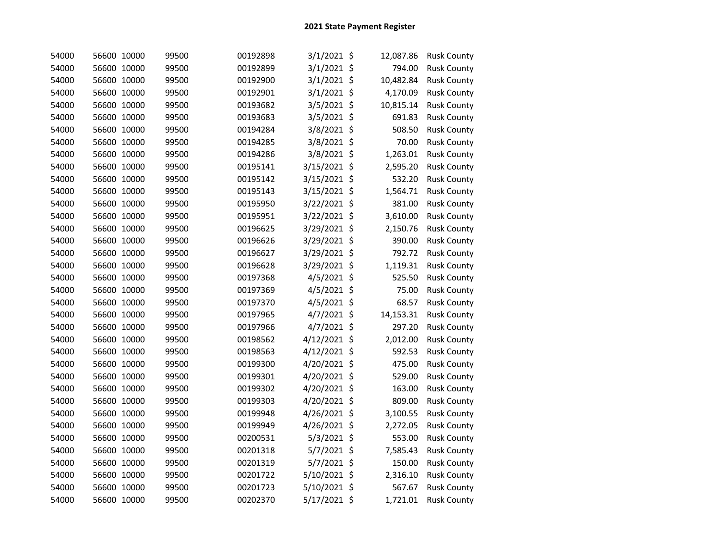| 54000 | 56600 10000 |       | 99500 | 00192898 | $3/1/2021$ \$ | 12,087.86 | <b>Rusk County</b> |
|-------|-------------|-------|-------|----------|---------------|-----------|--------------------|
| 54000 | 56600 10000 |       | 99500 | 00192899 | 3/1/2021 \$   | 794.00    | <b>Rusk County</b> |
| 54000 | 56600 10000 |       | 99500 | 00192900 | $3/1/2021$ \$ | 10,482.84 | <b>Rusk County</b> |
| 54000 | 56600 10000 |       | 99500 | 00192901 | 3/1/2021 \$   | 4,170.09  | <b>Rusk County</b> |
| 54000 | 56600 10000 |       | 99500 | 00193682 | 3/5/2021 \$   | 10,815.14 | <b>Rusk County</b> |
| 54000 | 56600       | 10000 | 99500 | 00193683 | 3/5/2021 \$   | 691.83    | <b>Rusk County</b> |
| 54000 | 56600       | 10000 | 99500 | 00194284 | 3/8/2021 \$   | 508.50    | <b>Rusk County</b> |
| 54000 | 56600 10000 |       | 99500 | 00194285 | 3/8/2021 \$   | 70.00     | <b>Rusk County</b> |
| 54000 | 56600 10000 |       | 99500 | 00194286 | 3/8/2021 \$   | 1,263.01  | <b>Rusk County</b> |
| 54000 | 56600 10000 |       | 99500 | 00195141 | 3/15/2021 \$  | 2,595.20  | <b>Rusk County</b> |
| 54000 | 56600 10000 |       | 99500 | 00195142 | 3/15/2021 \$  | 532.20    | <b>Rusk County</b> |
| 54000 | 56600 10000 |       | 99500 | 00195143 | 3/15/2021 \$  | 1,564.71  | <b>Rusk County</b> |
| 54000 | 56600 10000 |       | 99500 | 00195950 | 3/22/2021 \$  | 381.00    | <b>Rusk County</b> |
| 54000 | 56600 10000 |       | 99500 | 00195951 | 3/22/2021 \$  | 3,610.00  | <b>Rusk County</b> |
| 54000 | 56600 10000 |       | 99500 | 00196625 | 3/29/2021 \$  | 2,150.76  | <b>Rusk County</b> |
| 54000 | 56600 10000 |       | 99500 | 00196626 | 3/29/2021 \$  | 390.00    | <b>Rusk County</b> |
| 54000 | 56600 10000 |       | 99500 | 00196627 | 3/29/2021 \$  | 792.72    | <b>Rusk County</b> |
| 54000 | 56600 10000 |       | 99500 | 00196628 | 3/29/2021 \$  | 1,119.31  | <b>Rusk County</b> |
| 54000 | 56600 10000 |       | 99500 | 00197368 | 4/5/2021 \$   | 525.50    | <b>Rusk County</b> |
| 54000 | 56600 10000 |       | 99500 | 00197369 | 4/5/2021 \$   | 75.00     | <b>Rusk County</b> |
| 54000 | 56600 10000 |       | 99500 | 00197370 | 4/5/2021 \$   | 68.57     | <b>Rusk County</b> |
| 54000 | 56600 10000 |       | 99500 | 00197965 | 4/7/2021 \$   | 14,153.31 | <b>Rusk County</b> |
| 54000 | 56600 10000 |       | 99500 | 00197966 | 4/7/2021 \$   | 297.20    | <b>Rusk County</b> |
| 54000 | 56600       | 10000 | 99500 | 00198562 | 4/12/2021 \$  | 2,012.00  | <b>Rusk County</b> |
| 54000 | 56600       | 10000 | 99500 | 00198563 | 4/12/2021 \$  | 592.53    | <b>Rusk County</b> |
| 54000 | 56600       | 10000 | 99500 | 00199300 | 4/20/2021 \$  | 475.00    | <b>Rusk County</b> |
| 54000 | 56600       | 10000 | 99500 | 00199301 | 4/20/2021 \$  | 529.00    | <b>Rusk County</b> |
| 54000 | 56600       | 10000 | 99500 | 00199302 | 4/20/2021 \$  | 163.00    | <b>Rusk County</b> |
| 54000 | 56600       | 10000 | 99500 | 00199303 | 4/20/2021 \$  | 809.00    | <b>Rusk County</b> |
| 54000 | 56600       | 10000 | 99500 | 00199948 | 4/26/2021 \$  | 3,100.55  | <b>Rusk County</b> |
| 54000 | 56600       | 10000 | 99500 | 00199949 | 4/26/2021 \$  | 2,272.05  | <b>Rusk County</b> |
| 54000 | 56600       | 10000 | 99500 | 00200531 | 5/3/2021 \$   | 553.00    | <b>Rusk County</b> |
| 54000 | 56600       | 10000 | 99500 | 00201318 | 5/7/2021 \$   | 7,585.43  | <b>Rusk County</b> |
| 54000 | 56600 10000 |       | 99500 | 00201319 | 5/7/2021 \$   | 150.00    | <b>Rusk County</b> |
| 54000 | 56600 10000 |       | 99500 | 00201722 | 5/10/2021 \$  | 2,316.10  | <b>Rusk County</b> |
| 54000 | 56600 10000 |       | 99500 | 00201723 | 5/10/2021 \$  | 567.67    | <b>Rusk County</b> |
| 54000 | 56600 10000 |       | 99500 | 00202370 | 5/17/2021 \$  | 1,721.01  | <b>Rusk County</b> |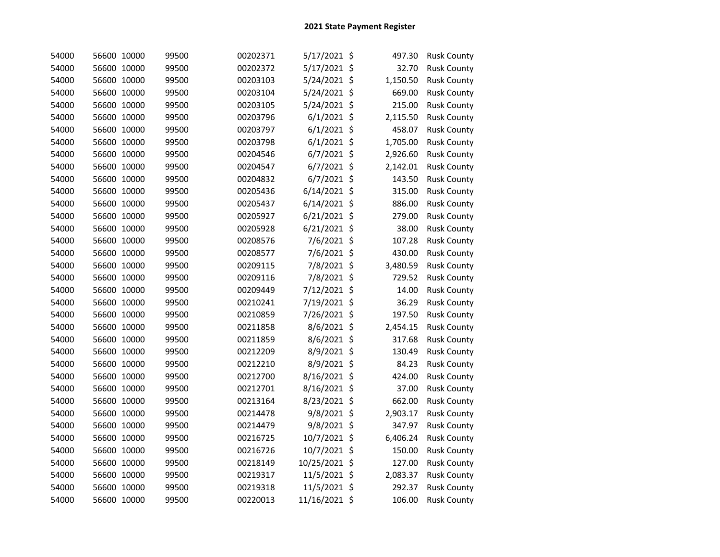| 54000 | 56600 10000 | 99500 | 00202371 | 5/17/2021 \$   | 497.30   | <b>Rusk County</b> |
|-------|-------------|-------|----------|----------------|----------|--------------------|
| 54000 | 56600 10000 | 99500 | 00202372 | 5/17/2021 \$   | 32.70    | <b>Rusk County</b> |
| 54000 | 56600 10000 | 99500 | 00203103 | 5/24/2021 \$   | 1,150.50 | <b>Rusk County</b> |
| 54000 | 56600 10000 | 99500 | 00203104 | 5/24/2021 \$   | 669.00   | <b>Rusk County</b> |
| 54000 | 56600 10000 | 99500 | 00203105 | 5/24/2021 \$   | 215.00   | <b>Rusk County</b> |
| 54000 | 56600 10000 | 99500 | 00203796 | $6/1/2021$ \$  | 2,115.50 | <b>Rusk County</b> |
| 54000 | 56600 10000 | 99500 | 00203797 | $6/1/2021$ \$  | 458.07   | <b>Rusk County</b> |
| 54000 | 56600 10000 | 99500 | 00203798 | $6/1/2021$ \$  | 1,705.00 | <b>Rusk County</b> |
| 54000 | 56600 10000 | 99500 | 00204546 | 6/7/2021 \$    | 2,926.60 | <b>Rusk County</b> |
| 54000 | 56600 10000 | 99500 | 00204547 | $6/7/2021$ \$  | 2,142.01 | <b>Rusk County</b> |
| 54000 | 56600 10000 | 99500 | 00204832 | $6/7/2021$ \$  | 143.50   | <b>Rusk County</b> |
| 54000 | 56600 10000 | 99500 | 00205436 | 6/14/2021 \$   | 315.00   | <b>Rusk County</b> |
| 54000 | 56600 10000 | 99500 | 00205437 | $6/14/2021$ \$ | 886.00   | <b>Rusk County</b> |
| 54000 | 56600 10000 | 99500 | 00205927 | $6/21/2021$ \$ | 279.00   | <b>Rusk County</b> |
| 54000 | 56600 10000 | 99500 | 00205928 | $6/21/2021$ \$ | 38.00    | <b>Rusk County</b> |
| 54000 | 56600 10000 | 99500 | 00208576 | 7/6/2021 \$    | 107.28   | <b>Rusk County</b> |
| 54000 | 56600 10000 | 99500 | 00208577 | 7/6/2021 \$    | 430.00   | <b>Rusk County</b> |
| 54000 | 56600 10000 | 99500 | 00209115 | 7/8/2021 \$    | 3,480.59 | <b>Rusk County</b> |
| 54000 | 56600 10000 | 99500 | 00209116 | 7/8/2021 \$    | 729.52   | <b>Rusk County</b> |
| 54000 | 56600 10000 | 99500 | 00209449 | 7/12/2021 \$   | 14.00    | <b>Rusk County</b> |
| 54000 | 56600 10000 | 99500 | 00210241 | 7/19/2021 \$   | 36.29    | <b>Rusk County</b> |
| 54000 | 56600 10000 | 99500 | 00210859 | 7/26/2021 \$   | 197.50   | <b>Rusk County</b> |
| 54000 | 56600 10000 | 99500 | 00211858 | 8/6/2021 \$    | 2,454.15 | <b>Rusk County</b> |
| 54000 | 56600 10000 | 99500 | 00211859 | 8/6/2021 \$    | 317.68   | <b>Rusk County</b> |
| 54000 | 56600 10000 | 99500 | 00212209 | 8/9/2021 \$    | 130.49   | <b>Rusk County</b> |
| 54000 | 56600 10000 | 99500 | 00212210 | 8/9/2021 \$    | 84.23    | <b>Rusk County</b> |
| 54000 | 56600 10000 | 99500 | 00212700 | 8/16/2021 \$   | 424.00   | <b>Rusk County</b> |
| 54000 | 56600 10000 | 99500 | 00212701 | 8/16/2021 \$   | 37.00    | <b>Rusk County</b> |
| 54000 | 56600 10000 | 99500 | 00213164 | 8/23/2021 \$   | 662.00   | <b>Rusk County</b> |
| 54000 | 56600 10000 | 99500 | 00214478 | 9/8/2021 \$    | 2,903.17 | <b>Rusk County</b> |
| 54000 | 56600 10000 | 99500 | 00214479 | 9/8/2021 \$    | 347.97   | <b>Rusk County</b> |
| 54000 | 56600 10000 | 99500 | 00216725 | 10/7/2021 \$   | 6,406.24 | <b>Rusk County</b> |
| 54000 | 56600 10000 | 99500 | 00216726 | 10/7/2021 \$   | 150.00   | <b>Rusk County</b> |
| 54000 | 56600 10000 | 99500 | 00218149 | 10/25/2021 \$  | 127.00   | <b>Rusk County</b> |
| 54000 | 56600 10000 | 99500 | 00219317 | 11/5/2021 \$   | 2,083.37 | <b>Rusk County</b> |
| 54000 | 56600 10000 | 99500 | 00219318 | 11/5/2021 \$   | 292.37   | <b>Rusk County</b> |
| 54000 | 56600 10000 | 99500 | 00220013 | 11/16/2021 \$  | 106.00   | <b>Rusk County</b> |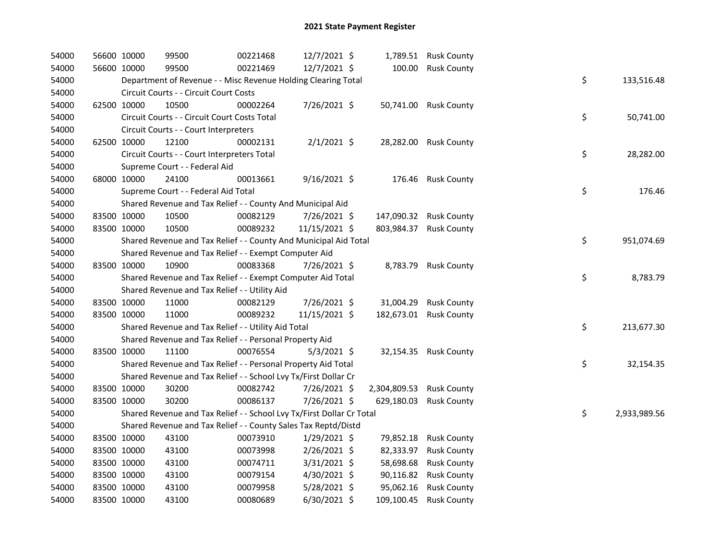| 54000 | 56600 10000 | 99500                                                                 | 00221468 | 12/7/2021 \$   |                          | 1,789.51 Rusk County   |    |              |
|-------|-------------|-----------------------------------------------------------------------|----------|----------------|--------------------------|------------------------|----|--------------|
| 54000 | 56600 10000 | 99500                                                                 | 00221469 | 12/7/2021 \$   |                          | 100.00 Rusk County     |    |              |
| 54000 |             | Department of Revenue - - Misc Revenue Holding Clearing Total         |          |                |                          |                        | \$ | 133,516.48   |
| 54000 |             | Circuit Courts - - Circuit Court Costs                                |          |                |                          |                        |    |              |
| 54000 | 62500 10000 | 10500                                                                 | 00002264 | 7/26/2021 \$   |                          | 50,741.00 Rusk County  |    |              |
| 54000 |             | Circuit Courts - - Circuit Court Costs Total                          |          |                |                          |                        | \$ | 50,741.00    |
| 54000 |             | Circuit Courts - - Court Interpreters                                 |          |                |                          |                        |    |              |
| 54000 | 62500 10000 | 12100                                                                 | 00002131 | $2/1/2021$ \$  |                          | 28,282.00 Rusk County  |    |              |
| 54000 |             | Circuit Courts - - Court Interpreters Total                           |          |                |                          |                        | \$ | 28,282.00    |
| 54000 |             | Supreme Court - - Federal Aid                                         |          |                |                          |                        |    |              |
| 54000 | 68000 10000 | 24100                                                                 | 00013661 | $9/16/2021$ \$ |                          | 176.46 Rusk County     |    |              |
| 54000 |             | Supreme Court - - Federal Aid Total                                   |          |                |                          |                        | \$ | 176.46       |
| 54000 |             | Shared Revenue and Tax Relief - - County And Municipal Aid            |          |                |                          |                        |    |              |
| 54000 | 83500 10000 | 10500                                                                 | 00082129 | 7/26/2021 \$   |                          | 147,090.32 Rusk County |    |              |
| 54000 | 83500 10000 | 10500                                                                 | 00089232 | 11/15/2021 \$  |                          | 803,984.37 Rusk County |    |              |
| 54000 |             | Shared Revenue and Tax Relief - - County And Municipal Aid Total      |          |                |                          |                        | \$ | 951,074.69   |
| 54000 |             | Shared Revenue and Tax Relief - - Exempt Computer Aid                 |          |                |                          |                        |    |              |
| 54000 | 83500 10000 | 10900                                                                 | 00083368 | 7/26/2021 \$   |                          | 8,783.79 Rusk County   |    |              |
| 54000 |             | Shared Revenue and Tax Relief - - Exempt Computer Aid Total           |          |                |                          |                        | \$ | 8,783.79     |
| 54000 |             | Shared Revenue and Tax Relief - - Utility Aid                         |          |                |                          |                        |    |              |
| 54000 | 83500 10000 | 11000                                                                 | 00082129 | 7/26/2021 \$   |                          | 31,004.29 Rusk County  |    |              |
| 54000 | 83500 10000 | 11000                                                                 | 00089232 | 11/15/2021 \$  |                          | 182,673.01 Rusk County |    |              |
| 54000 |             | Shared Revenue and Tax Relief - - Utility Aid Total                   |          |                |                          |                        | \$ | 213,677.30   |
| 54000 |             | Shared Revenue and Tax Relief - - Personal Property Aid               |          |                |                          |                        |    |              |
| 54000 | 83500 10000 | 11100                                                                 | 00076554 | $5/3/2021$ \$  |                          | 32,154.35 Rusk County  |    |              |
| 54000 |             | Shared Revenue and Tax Relief - - Personal Property Aid Total         |          |                |                          |                        | \$ | 32,154.35    |
| 54000 |             | Shared Revenue and Tax Relief - - School Lvy Tx/First Dollar Cr       |          |                |                          |                        |    |              |
| 54000 | 83500 10000 | 30200                                                                 | 00082742 | 7/26/2021 \$   | 2,304,809.53 Rusk County |                        |    |              |
| 54000 | 83500 10000 | 30200                                                                 | 00086137 | 7/26/2021 \$   | 629,180.03               | <b>Rusk County</b>     |    |              |
| 54000 |             | Shared Revenue and Tax Relief - - School Lvy Tx/First Dollar Cr Total |          |                |                          |                        | \$ | 2,933,989.56 |
| 54000 |             | Shared Revenue and Tax Relief - - County Sales Tax Reptd/Distd        |          |                |                          |                        |    |              |
| 54000 | 83500 10000 | 43100                                                                 | 00073910 | $1/29/2021$ \$ |                          | 79,852.18 Rusk County  |    |              |
| 54000 | 83500 10000 | 43100                                                                 | 00073998 | $2/26/2021$ \$ | 82,333.97                | <b>Rusk County</b>     |    |              |
| 54000 | 83500 10000 | 43100                                                                 | 00074711 | $3/31/2021$ \$ | 58,698.68                | <b>Rusk County</b>     |    |              |
| 54000 | 83500 10000 | 43100                                                                 | 00079154 | 4/30/2021 \$   | 90,116.82                | <b>Rusk County</b>     |    |              |
| 54000 | 83500 10000 | 43100                                                                 | 00079958 | 5/28/2021 \$   | 95,062.16                | <b>Rusk County</b>     |    |              |
| 54000 | 83500 10000 | 43100                                                                 | 00080689 | $6/30/2021$ \$ | 109,100.45               | <b>Rusk County</b>     |    |              |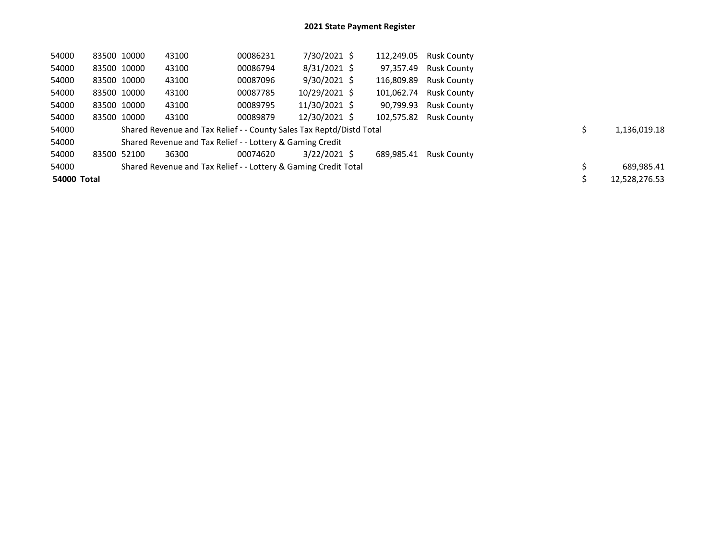| 54000       | 83500 10000 | 43100                                                                | 00086231 | 7/30/2021 \$   | 112,249.05 | Rusk County            |  |               |
|-------------|-------------|----------------------------------------------------------------------|----------|----------------|------------|------------------------|--|---------------|
| 54000       | 83500 10000 | 43100                                                                | 00086794 | $8/31/2021$ \$ | 97,357.49  | <b>Rusk County</b>     |  |               |
| 54000       | 83500 10000 | 43100                                                                | 00087096 | $9/30/2021$ \$ |            | 116,809.89 Rusk County |  |               |
| 54000       | 83500 10000 | 43100                                                                | 00087785 | 10/29/2021 \$  |            | 101,062.74 Rusk County |  |               |
| 54000       | 83500 10000 | 43100                                                                | 00089795 | 11/30/2021 \$  | 90,799.93  | <b>Rusk County</b>     |  |               |
| 54000       | 83500 10000 | 43100                                                                | 00089879 | 12/30/2021 \$  | 102,575.82 | Rusk County            |  |               |
| 54000       |             | Shared Revenue and Tax Relief - - County Sales Tax Reptd/Distd Total |          |                |            |                        |  | 1,136,019.18  |
| 54000       |             | Shared Revenue and Tax Relief - - Lottery & Gaming Credit            |          |                |            |                        |  |               |
| 54000       | 83500 52100 | 36300                                                                | 00074620 | $3/22/2021$ \$ | 689.985.41 | Rusk County            |  |               |
| 54000       |             | Shared Revenue and Tax Relief - - Lottery & Gaming Credit Total      |          |                |            |                        |  | 689,985.41    |
| 54000 Total |             |                                                                      |          |                |            |                        |  | 12,528,276.53 |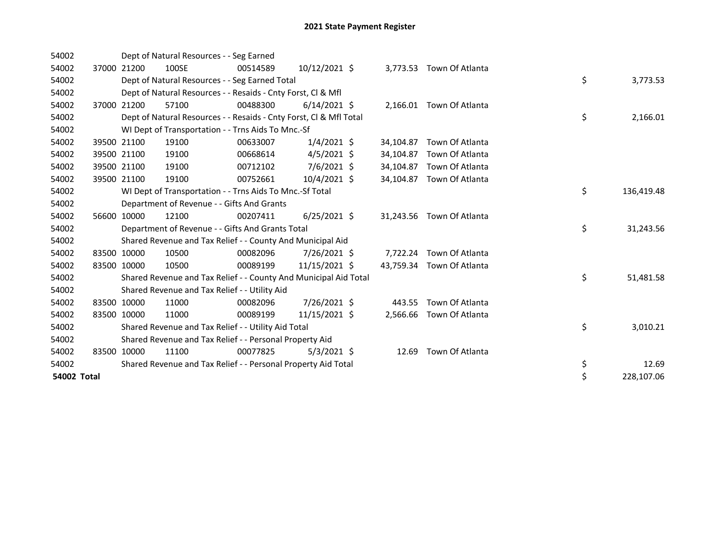| 54002              |       |             | Dept of Natural Resources - - Seg Earned                           |          |                |           |                           |    |            |
|--------------------|-------|-------------|--------------------------------------------------------------------|----------|----------------|-----------|---------------------------|----|------------|
| 54002              |       | 37000 21200 | 100SE                                                              | 00514589 | 10/12/2021 \$  |           | 3,773.53 Town Of Atlanta  |    |            |
| 54002              |       |             | Dept of Natural Resources - - Seg Earned Total                     |          |                |           |                           | \$ | 3,773.53   |
| 54002              |       |             | Dept of Natural Resources - - Resaids - Cnty Forst, CI & Mfl       |          |                |           |                           |    |            |
| 54002              | 37000 | 21200       | 57100                                                              | 00488300 | $6/14/2021$ \$ |           | 2,166.01 Town Of Atlanta  |    |            |
| 54002              |       |             | Dept of Natural Resources - - Resaids - Cnty Forst, CI & Mfl Total |          |                |           |                           | \$ | 2,166.01   |
| 54002              |       |             | WI Dept of Transportation - - Trns Aids To Mnc.-Sf                 |          |                |           |                           |    |            |
| 54002              | 39500 | 21100       | 19100                                                              | 00633007 | $1/4/2021$ \$  | 34,104.87 | Town Of Atlanta           |    |            |
| 54002              |       | 39500 21100 | 19100                                                              | 00668614 | $4/5/2021$ \$  | 34,104.87 | Town Of Atlanta           |    |            |
| 54002              |       | 39500 21100 | 19100                                                              | 00712102 | 7/6/2021 \$    | 34,104.87 | Town Of Atlanta           |    |            |
| 54002              |       | 39500 21100 | 19100                                                              | 00752661 | $10/4/2021$ \$ | 34,104.87 | Town Of Atlanta           |    |            |
| 54002              |       |             | WI Dept of Transportation - - Trns Aids To Mnc.-Sf Total           |          |                |           |                           | \$ | 136,419.48 |
| 54002              |       |             | Department of Revenue - - Gifts And Grants                         |          |                |           |                           |    |            |
| 54002              | 56600 | 10000       | 12100                                                              | 00207411 | $6/25/2021$ \$ |           | 31,243.56 Town Of Atlanta |    |            |
| 54002              |       |             | Department of Revenue - - Gifts And Grants Total                   |          |                |           |                           | \$ | 31,243.56  |
| 54002              |       |             | Shared Revenue and Tax Relief - - County And Municipal Aid         |          |                |           |                           |    |            |
| 54002              |       | 83500 10000 | 10500                                                              | 00082096 | 7/26/2021 \$   |           | 7,722.24 Town Of Atlanta  |    |            |
| 54002              |       | 83500 10000 | 10500                                                              | 00089199 | 11/15/2021 \$  |           | 43,759.34 Town Of Atlanta |    |            |
| 54002              |       |             | Shared Revenue and Tax Relief - - County And Municipal Aid Total   |          |                |           |                           | \$ | 51,481.58  |
| 54002              |       |             | Shared Revenue and Tax Relief - - Utility Aid                      |          |                |           |                           |    |            |
| 54002              |       | 83500 10000 | 11000                                                              | 00082096 | 7/26/2021 \$   | 443.55    | Town Of Atlanta           |    |            |
| 54002              |       | 83500 10000 | 11000                                                              | 00089199 | 11/15/2021 \$  |           | 2,566.66 Town Of Atlanta  |    |            |
| 54002              |       |             | Shared Revenue and Tax Relief - - Utility Aid Total                |          |                |           |                           | \$ | 3,010.21   |
| 54002              |       |             | Shared Revenue and Tax Relief - - Personal Property Aid            |          |                |           |                           |    |            |
| 54002              |       | 83500 10000 | 11100                                                              | 00077825 | $5/3/2021$ \$  | 12.69     | Town Of Atlanta           |    |            |
| 54002              |       |             | Shared Revenue and Tax Relief - - Personal Property Aid Total      |          |                |           |                           | \$ | 12.69      |
| <b>54002 Total</b> |       |             |                                                                    |          |                |           |                           | \$ | 228,107.06 |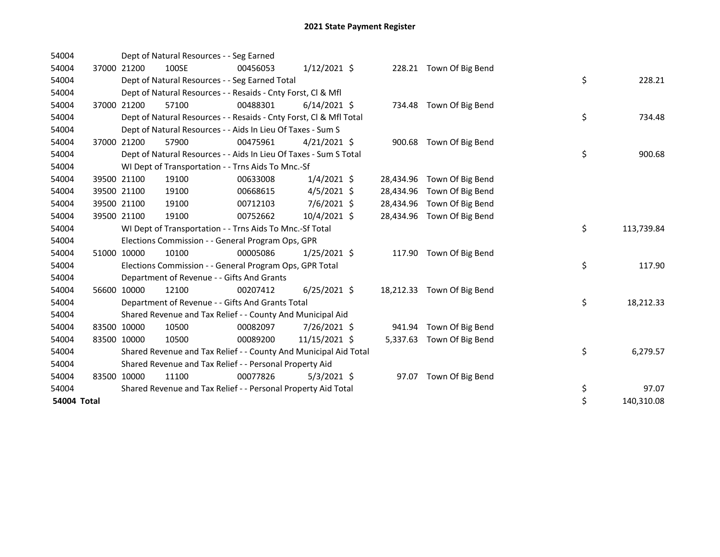| 54004       |             | Dept of Natural Resources - - Seg Earned                           |          |                |           |                            |    |            |
|-------------|-------------|--------------------------------------------------------------------|----------|----------------|-----------|----------------------------|----|------------|
| 54004       | 37000 21200 | 100SE                                                              | 00456053 | $1/12/2021$ \$ |           | 228.21 Town Of Big Bend    |    |            |
| 54004       |             | Dept of Natural Resources - - Seg Earned Total                     |          |                |           |                            | \$ | 228.21     |
| 54004       |             | Dept of Natural Resources - - Resaids - Cnty Forst, Cl & Mfl       |          |                |           |                            |    |            |
| 54004       | 37000 21200 | 57100                                                              | 00488301 | $6/14/2021$ \$ |           | 734.48 Town Of Big Bend    |    |            |
| 54004       |             | Dept of Natural Resources - - Resaids - Cnty Forst, CI & Mfl Total |          |                |           |                            | \$ | 734.48     |
| 54004       |             | Dept of Natural Resources - - Aids In Lieu Of Taxes - Sum S        |          |                |           |                            |    |            |
| 54004       | 37000 21200 | 57900                                                              | 00475961 | $4/21/2021$ \$ |           | 900.68 Town Of Big Bend    |    |            |
| 54004       |             | Dept of Natural Resources - - Aids In Lieu Of Taxes - Sum S Total  |          |                |           |                            | \$ | 900.68     |
| 54004       |             | WI Dept of Transportation - - Trns Aids To Mnc.-Sf                 |          |                |           |                            |    |            |
| 54004       | 39500 21100 | 19100                                                              | 00633008 | $1/4/2021$ \$  |           | 28,434.96 Town Of Big Bend |    |            |
| 54004       | 39500 21100 | 19100                                                              | 00668615 | $4/5/2021$ \$  |           | 28,434.96 Town Of Big Bend |    |            |
| 54004       | 39500 21100 | 19100                                                              | 00712103 | $7/6/2021$ \$  |           | 28,434.96 Town Of Big Bend |    |            |
| 54004       | 39500 21100 | 19100                                                              | 00752662 | 10/4/2021 \$   |           | 28,434.96 Town Of Big Bend |    |            |
| 54004       |             | WI Dept of Transportation - - Trns Aids To Mnc.-Sf Total           |          |                |           |                            | \$ | 113,739.84 |
| 54004       |             | Elections Commission - - General Program Ops, GPR                  |          |                |           |                            |    |            |
| 54004       | 51000 10000 | 10100                                                              | 00005086 | $1/25/2021$ \$ |           | 117.90 Town Of Big Bend    |    |            |
| 54004       |             | Elections Commission - - General Program Ops, GPR Total            |          |                |           |                            | \$ | 117.90     |
| 54004       |             | Department of Revenue - - Gifts And Grants                         |          |                |           |                            |    |            |
| 54004       | 56600 10000 | 12100                                                              | 00207412 | $6/25/2021$ \$ | 18,212.33 | Town Of Big Bend           |    |            |
| 54004       |             | Department of Revenue - - Gifts And Grants Total                   |          |                |           |                            | \$ | 18,212.33  |
| 54004       |             | Shared Revenue and Tax Relief - - County And Municipal Aid         |          |                |           |                            |    |            |
| 54004       | 83500 10000 | 10500                                                              | 00082097 | 7/26/2021 \$   | 941.94    | Town Of Big Bend           |    |            |
| 54004       | 83500 10000 | 10500                                                              | 00089200 | 11/15/2021 \$  | 5,337.63  | Town Of Big Bend           |    |            |
| 54004       |             | Shared Revenue and Tax Relief - - County And Municipal Aid Total   |          |                |           |                            | \$ | 6,279.57   |
| 54004       |             | Shared Revenue and Tax Relief - - Personal Property Aid            |          |                |           |                            |    |            |
| 54004       | 83500 10000 | 11100                                                              | 00077826 | $5/3/2021$ \$  | 97.07     | Town Of Big Bend           |    |            |
| 54004       |             | Shared Revenue and Tax Relief - - Personal Property Aid Total      |          |                |           |                            | \$ | 97.07      |
| 54004 Total |             |                                                                    |          |                |           |                            | \$ | 140,310.08 |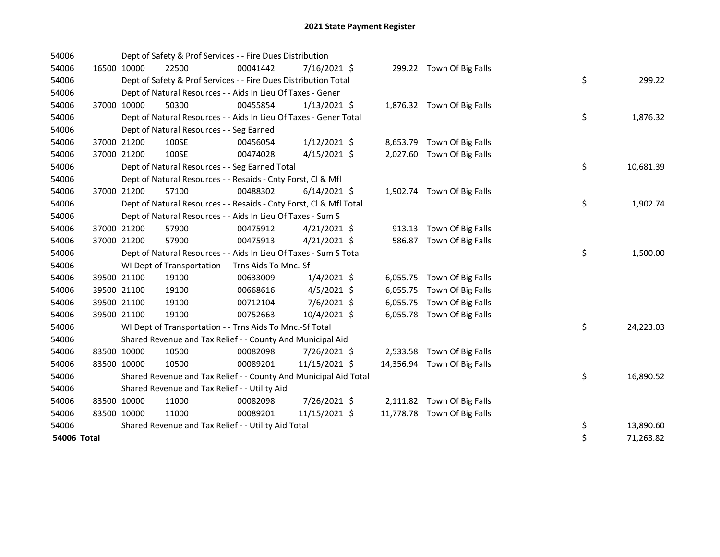| 54006       |             |             | Dept of Safety & Prof Services - - Fire Dues Distribution          |          |                |        |                             |    |           |
|-------------|-------------|-------------|--------------------------------------------------------------------|----------|----------------|--------|-----------------------------|----|-----------|
| 54006       | 16500 10000 |             | 22500                                                              | 00041442 | $7/16/2021$ \$ |        | 299.22 Town Of Big Falls    |    |           |
| 54006       |             |             | Dept of Safety & Prof Services - - Fire Dues Distribution Total    |          |                |        |                             | \$ | 299.22    |
| 54006       |             |             | Dept of Natural Resources - - Aids In Lieu Of Taxes - Gener        |          |                |        |                             |    |           |
| 54006       |             | 37000 10000 | 50300                                                              | 00455854 | $1/13/2021$ \$ |        | 1,876.32 Town Of Big Falls  |    |           |
| 54006       |             |             | Dept of Natural Resources - - Aids In Lieu Of Taxes - Gener Total  |          |                |        |                             | \$ | 1,876.32  |
| 54006       |             |             | Dept of Natural Resources - - Seg Earned                           |          |                |        |                             |    |           |
| 54006       |             | 37000 21200 | 100SE                                                              | 00456054 | $1/12/2021$ \$ |        | 8,653.79 Town Of Big Falls  |    |           |
| 54006       |             | 37000 21200 | 100SE                                                              | 00474028 | $4/15/2021$ \$ |        | 2,027.60 Town Of Big Falls  |    |           |
| 54006       |             |             | Dept of Natural Resources - - Seg Earned Total                     |          |                |        |                             | \$ | 10,681.39 |
| 54006       |             |             | Dept of Natural Resources - - Resaids - Cnty Forst, Cl & Mfl       |          |                |        |                             |    |           |
| 54006       |             | 37000 21200 | 57100                                                              | 00488302 | $6/14/2021$ \$ |        | 1,902.74 Town Of Big Falls  |    |           |
| 54006       |             |             | Dept of Natural Resources - - Resaids - Cnty Forst, Cl & Mfl Total |          |                |        |                             | \$ | 1,902.74  |
| 54006       |             |             | Dept of Natural Resources - - Aids In Lieu Of Taxes - Sum S        |          |                |        |                             |    |           |
| 54006       |             | 37000 21200 | 57900                                                              | 00475912 | $4/21/2021$ \$ |        | 913.13 Town Of Big Falls    |    |           |
| 54006       | 37000 21200 |             | 57900                                                              | 00475913 | $4/21/2021$ \$ | 586.87 | Town Of Big Falls           |    |           |
| 54006       |             |             | Dept of Natural Resources - - Aids In Lieu Of Taxes - Sum S Total  |          |                |        |                             | \$ | 1,500.00  |
| 54006       |             |             | WI Dept of Transportation - - Trns Aids To Mnc.-Sf                 |          |                |        |                             |    |           |
| 54006       |             | 39500 21100 | 19100                                                              | 00633009 | $1/4/2021$ \$  |        | 6,055.75 Town Of Big Falls  |    |           |
| 54006       |             | 39500 21100 | 19100                                                              | 00668616 | $4/5/2021$ \$  |        | 6,055.75 Town Of Big Falls  |    |           |
| 54006       | 39500 21100 |             | 19100                                                              | 00712104 | 7/6/2021 \$    |        | 6,055.75 Town Of Big Falls  |    |           |
| 54006       |             | 39500 21100 | 19100                                                              | 00752663 | 10/4/2021 \$   |        | 6,055.78 Town Of Big Falls  |    |           |
| 54006       |             |             | WI Dept of Transportation - - Trns Aids To Mnc.-Sf Total           |          |                |        |                             | \$ | 24,223.03 |
| 54006       |             |             | Shared Revenue and Tax Relief - - County And Municipal Aid         |          |                |        |                             |    |           |
| 54006       | 83500 10000 |             | 10500                                                              | 00082098 | 7/26/2021 \$   |        | 2,533.58 Town Of Big Falls  |    |           |
| 54006       |             | 83500 10000 | 10500                                                              | 00089201 | 11/15/2021 \$  |        | 14,356.94 Town Of Big Falls |    |           |
| 54006       |             |             | Shared Revenue and Tax Relief - - County And Municipal Aid Total   |          |                |        |                             | \$ | 16,890.52 |
| 54006       |             |             | Shared Revenue and Tax Relief - - Utility Aid                      |          |                |        |                             |    |           |
| 54006       | 83500 10000 |             | 11000                                                              | 00082098 | 7/26/2021 \$   |        | 2,111.82 Town Of Big Falls  |    |           |
| 54006       | 83500 10000 |             | 11000                                                              | 00089201 | 11/15/2021 \$  |        | 11,778.78 Town Of Big Falls |    |           |
| 54006       |             |             | Shared Revenue and Tax Relief - - Utility Aid Total                |          |                |        |                             | \$ | 13,890.60 |
| 54006 Total |             |             |                                                                    |          |                |        |                             | \$ | 71,263.82 |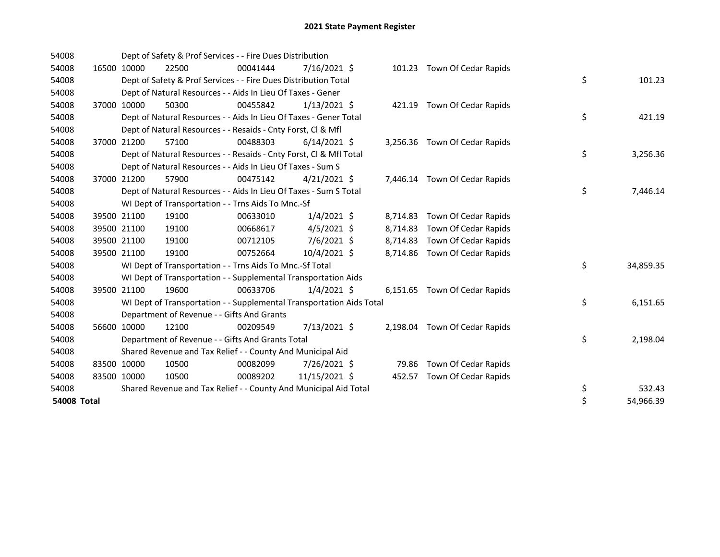| 54008       |             |             | Dept of Safety & Prof Services - - Fire Dues Distribution            |          |                |          |                               |                 |
|-------------|-------------|-------------|----------------------------------------------------------------------|----------|----------------|----------|-------------------------------|-----------------|
| 54008       |             | 16500 10000 | 22500                                                                | 00041444 | $7/16/2021$ \$ |          | 101.23 Town Of Cedar Rapids   |                 |
| 54008       |             |             | Dept of Safety & Prof Services - - Fire Dues Distribution Total      |          |                |          |                               | \$<br>101.23    |
| 54008       |             |             | Dept of Natural Resources - - Aids In Lieu Of Taxes - Gener          |          |                |          |                               |                 |
| 54008       |             | 37000 10000 | 50300                                                                | 00455842 | $1/13/2021$ \$ |          | 421.19 Town Of Cedar Rapids   |                 |
| 54008       |             |             | Dept of Natural Resources - - Aids In Lieu Of Taxes - Gener Total    |          |                |          |                               | \$<br>421.19    |
| 54008       |             |             | Dept of Natural Resources - - Resaids - Cnty Forst, Cl & Mfl         |          |                |          |                               |                 |
| 54008       |             | 37000 21200 | 57100                                                                | 00488303 | $6/14/2021$ \$ |          | 3,256.36 Town Of Cedar Rapids |                 |
| 54008       |             |             | Dept of Natural Resources - - Resaids - Cnty Forst, Cl & Mfl Total   |          |                |          |                               | \$<br>3,256.36  |
| 54008       |             |             | Dept of Natural Resources - - Aids In Lieu Of Taxes - Sum S          |          |                |          |                               |                 |
| 54008       |             | 37000 21200 | 57900                                                                | 00475142 | $4/21/2021$ \$ |          | 7,446.14 Town Of Cedar Rapids |                 |
| 54008       |             |             | Dept of Natural Resources - - Aids In Lieu Of Taxes - Sum S Total    |          |                |          |                               | \$<br>7,446.14  |
| 54008       |             |             | WI Dept of Transportation - - Trns Aids To Mnc.-Sf                   |          |                |          |                               |                 |
| 54008       |             | 39500 21100 | 19100                                                                | 00633010 | $1/4/2021$ \$  |          | 8,714.83 Town Of Cedar Rapids |                 |
| 54008       |             | 39500 21100 | 19100                                                                | 00668617 | $4/5/2021$ \$  | 8,714.83 | Town Of Cedar Rapids          |                 |
| 54008       |             | 39500 21100 | 19100                                                                | 00712105 | $7/6/2021$ \$  | 8,714.83 | Town Of Cedar Rapids          |                 |
| 54008       | 39500 21100 |             | 19100                                                                | 00752664 | $10/4/2021$ \$ |          | 8,714.86 Town Of Cedar Rapids |                 |
| 54008       |             |             | WI Dept of Transportation - - Trns Aids To Mnc.-Sf Total             |          |                |          |                               | \$<br>34,859.35 |
| 54008       |             |             | WI Dept of Transportation - - Supplemental Transportation Aids       |          |                |          |                               |                 |
| 54008       |             | 39500 21100 | 19600                                                                | 00633706 | $1/4/2021$ \$  |          | 6,151.65 Town Of Cedar Rapids |                 |
| 54008       |             |             | WI Dept of Transportation - - Supplemental Transportation Aids Total |          |                |          |                               | \$<br>6,151.65  |
| 54008       |             |             | Department of Revenue - - Gifts And Grants                           |          |                |          |                               |                 |
| 54008       |             | 56600 10000 | 12100                                                                | 00209549 | 7/13/2021 \$   | 2,198.04 | Town Of Cedar Rapids          |                 |
| 54008       |             |             | Department of Revenue - - Gifts And Grants Total                     |          |                |          |                               | \$<br>2,198.04  |
| 54008       |             |             | Shared Revenue and Tax Relief - - County And Municipal Aid           |          |                |          |                               |                 |
| 54008       |             | 83500 10000 | 10500                                                                | 00082099 | 7/26/2021 \$   | 79.86    | Town Of Cedar Rapids          |                 |
| 54008       | 83500 10000 |             | 10500                                                                | 00089202 | 11/15/2021 \$  | 452.57   | Town Of Cedar Rapids          |                 |
| 54008       |             |             | Shared Revenue and Tax Relief - - County And Municipal Aid Total     |          |                |          |                               | \$<br>532.43    |
| 54008 Total |             |             |                                                                      |          |                |          |                               | \$<br>54,966.39 |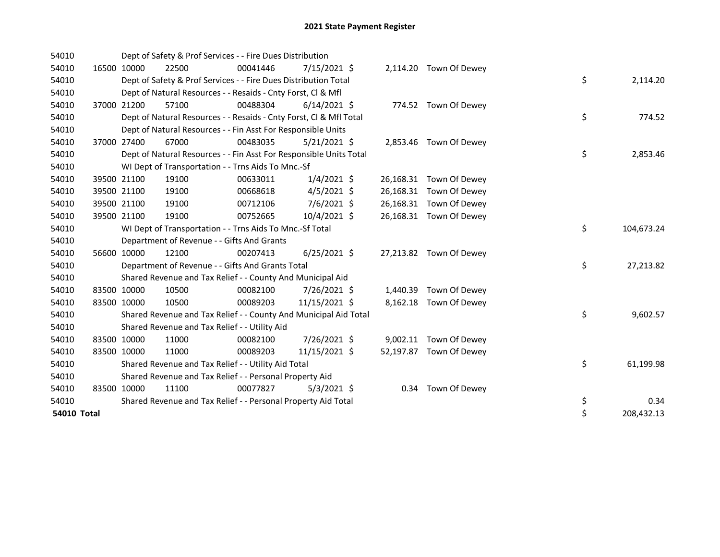| 54010              |       |             | Dept of Safety & Prof Services - - Fire Dues Distribution          |          |                |      |                         |    |            |
|--------------------|-------|-------------|--------------------------------------------------------------------|----------|----------------|------|-------------------------|----|------------|
| 54010              |       | 16500 10000 | 22500                                                              | 00041446 | $7/15/2021$ \$ |      | 2,114.20 Town Of Dewey  |    |            |
| 54010              |       |             | Dept of Safety & Prof Services - - Fire Dues Distribution Total    |          |                |      |                         | \$ | 2,114.20   |
| 54010              |       |             | Dept of Natural Resources - - Resaids - Cnty Forst, Cl & Mfl       |          |                |      |                         |    |            |
| 54010              |       | 37000 21200 | 57100                                                              | 00488304 | $6/14/2021$ \$ |      | 774.52 Town Of Dewey    |    |            |
| 54010              |       |             | Dept of Natural Resources - - Resaids - Cnty Forst, CI & Mfl Total |          |                |      |                         | \$ | 774.52     |
| 54010              |       |             | Dept of Natural Resources - - Fin Asst For Responsible Units       |          |                |      |                         |    |            |
| 54010              | 37000 | 27400       | 67000                                                              | 00483035 | $5/21/2021$ \$ |      | 2,853.46 Town Of Dewey  |    |            |
| 54010              |       |             | Dept of Natural Resources - - Fin Asst For Responsible Units Total |          |                |      |                         | \$ | 2,853.46   |
| 54010              |       |             | WI Dept of Transportation - - Trns Aids To Mnc.-Sf                 |          |                |      |                         |    |            |
| 54010              |       | 39500 21100 | 19100                                                              | 00633011 | $1/4/2021$ \$  |      | 26,168.31 Town Of Dewey |    |            |
| 54010              |       | 39500 21100 | 19100                                                              | 00668618 | $4/5/2021$ \$  |      | 26,168.31 Town Of Dewey |    |            |
| 54010              |       | 39500 21100 | 19100                                                              | 00712106 | $7/6/2021$ \$  |      | 26,168.31 Town Of Dewey |    |            |
| 54010              |       | 39500 21100 | 19100                                                              | 00752665 | 10/4/2021 \$   |      | 26,168.31 Town Of Dewey |    |            |
| 54010              |       |             | WI Dept of Transportation - - Trns Aids To Mnc.-Sf Total           |          |                |      |                         | \$ | 104,673.24 |
| 54010              |       |             | Department of Revenue - - Gifts And Grants                         |          |                |      |                         |    |            |
| 54010              |       | 56600 10000 | 12100                                                              | 00207413 | $6/25/2021$ \$ |      | 27,213.82 Town Of Dewey |    |            |
| 54010              |       |             | Department of Revenue - - Gifts And Grants Total                   |          |                |      |                         | \$ | 27,213.82  |
| 54010              |       |             | Shared Revenue and Tax Relief - - County And Municipal Aid         |          |                |      |                         |    |            |
| 54010              |       | 83500 10000 | 10500                                                              | 00082100 | 7/26/2021 \$   |      | 1,440.39 Town Of Dewey  |    |            |
| 54010              |       | 83500 10000 | 10500                                                              | 00089203 | 11/15/2021 \$  |      | 8,162.18 Town Of Dewey  |    |            |
| 54010              |       |             | Shared Revenue and Tax Relief - - County And Municipal Aid Total   |          |                |      |                         | \$ | 9,602.57   |
| 54010              |       |             | Shared Revenue and Tax Relief - - Utility Aid                      |          |                |      |                         |    |            |
| 54010              |       | 83500 10000 | 11000                                                              | 00082100 | 7/26/2021 \$   |      | 9,002.11 Town Of Dewey  |    |            |
| 54010              |       | 83500 10000 | 11000                                                              | 00089203 | 11/15/2021 \$  |      | 52,197.87 Town Of Dewey |    |            |
| 54010              |       |             | Shared Revenue and Tax Relief - - Utility Aid Total                |          |                |      |                         | \$ | 61,199.98  |
| 54010              |       |             | Shared Revenue and Tax Relief - - Personal Property Aid            |          |                |      |                         |    |            |
| 54010              |       | 83500 10000 | 11100                                                              | 00077827 | $5/3/2021$ \$  | 0.34 | Town Of Dewey           |    |            |
| 54010              |       |             | Shared Revenue and Tax Relief - - Personal Property Aid Total      |          |                |      |                         | \$ | 0.34       |
| <b>54010 Total</b> |       |             |                                                                    |          |                |      |                         | \$ | 208,432.13 |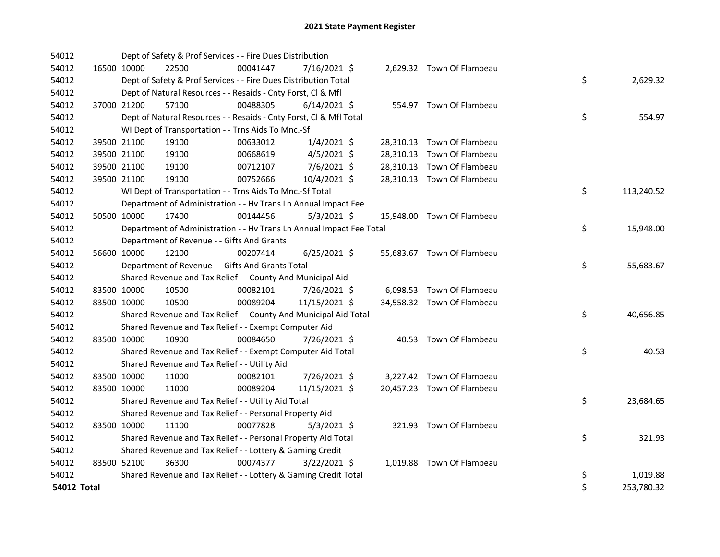| 54012              |             |             | Dept of Safety & Prof Services - - Fire Dues Distribution            |          |                |  |                            |    |            |
|--------------------|-------------|-------------|----------------------------------------------------------------------|----------|----------------|--|----------------------------|----|------------|
| 54012              |             | 16500 10000 | 22500                                                                | 00041447 | 7/16/2021 \$   |  | 2,629.32 Town Of Flambeau  |    |            |
| 54012              |             |             | Dept of Safety & Prof Services - - Fire Dues Distribution Total      |          |                |  |                            | \$ | 2,629.32   |
| 54012              |             |             | Dept of Natural Resources - - Resaids - Cnty Forst, CI & Mfl         |          |                |  |                            |    |            |
| 54012              |             | 37000 21200 | 57100                                                                | 00488305 | $6/14/2021$ \$ |  | 554.97 Town Of Flambeau    |    |            |
| 54012              |             |             | Dept of Natural Resources - - Resaids - Cnty Forst, Cl & Mfl Total   |          |                |  |                            | \$ | 554.97     |
| 54012              |             |             | WI Dept of Transportation - - Trns Aids To Mnc.-Sf                   |          |                |  |                            |    |            |
| 54012              |             | 39500 21100 | 19100                                                                | 00633012 | $1/4/2021$ \$  |  | 28,310.13 Town Of Flambeau |    |            |
| 54012              |             | 39500 21100 | 19100                                                                | 00668619 | $4/5/2021$ \$  |  | 28,310.13 Town Of Flambeau |    |            |
| 54012              |             | 39500 21100 | 19100                                                                | 00712107 | 7/6/2021 \$    |  | 28,310.13 Town Of Flambeau |    |            |
| 54012              |             | 39500 21100 | 19100                                                                | 00752666 | 10/4/2021 \$   |  | 28,310.13 Town Of Flambeau |    |            |
| 54012              |             |             | WI Dept of Transportation - - Trns Aids To Mnc.-Sf Total             |          |                |  |                            | \$ | 113,240.52 |
| 54012              |             |             | Department of Administration - - Hv Trans Ln Annual Impact Fee       |          |                |  |                            |    |            |
| 54012              |             | 50500 10000 | 17400                                                                | 00144456 | $5/3/2021$ \$  |  | 15,948.00 Town Of Flambeau |    |            |
| 54012              |             |             | Department of Administration - - Hv Trans Ln Annual Impact Fee Total |          |                |  |                            | \$ | 15,948.00  |
| 54012              |             |             | Department of Revenue - - Gifts And Grants                           |          |                |  |                            |    |            |
| 54012              |             | 56600 10000 | 12100                                                                | 00207414 | $6/25/2021$ \$ |  | 55,683.67 Town Of Flambeau |    |            |
| 54012              |             |             | Department of Revenue - - Gifts And Grants Total                     |          |                |  |                            | \$ | 55,683.67  |
| 54012              |             |             | Shared Revenue and Tax Relief - - County And Municipal Aid           |          |                |  |                            |    |            |
| 54012              | 83500 10000 |             | 10500                                                                | 00082101 | 7/26/2021 \$   |  | 6,098.53 Town Of Flambeau  |    |            |
| 54012              |             | 83500 10000 | 10500                                                                | 00089204 | 11/15/2021 \$  |  | 34,558.32 Town Of Flambeau |    |            |
| 54012              |             |             | Shared Revenue and Tax Relief - - County And Municipal Aid Total     |          |                |  |                            | \$ | 40,656.85  |
| 54012              |             |             | Shared Revenue and Tax Relief - - Exempt Computer Aid                |          |                |  |                            |    |            |
| 54012              |             | 83500 10000 | 10900                                                                | 00084650 | 7/26/2021 \$   |  | 40.53 Town Of Flambeau     |    |            |
| 54012              |             |             | Shared Revenue and Tax Relief - - Exempt Computer Aid Total          |          |                |  |                            | \$ | 40.53      |
| 54012              |             |             | Shared Revenue and Tax Relief - - Utility Aid                        |          |                |  |                            |    |            |
| 54012              |             | 83500 10000 | 11000                                                                | 00082101 | 7/26/2021 \$   |  | 3,227.42 Town Of Flambeau  |    |            |
| 54012              |             | 83500 10000 | 11000                                                                | 00089204 | 11/15/2021 \$  |  | 20,457.23 Town Of Flambeau |    |            |
| 54012              |             |             | Shared Revenue and Tax Relief - - Utility Aid Total                  |          |                |  |                            | \$ | 23,684.65  |
| 54012              |             |             | Shared Revenue and Tax Relief - - Personal Property Aid              |          |                |  |                            |    |            |
| 54012              |             | 83500 10000 | 11100                                                                | 00077828 | $5/3/2021$ \$  |  | 321.93 Town Of Flambeau    |    |            |
| 54012              |             |             | Shared Revenue and Tax Relief - - Personal Property Aid Total        |          |                |  |                            | \$ | 321.93     |
| 54012              |             |             | Shared Revenue and Tax Relief - - Lottery & Gaming Credit            |          |                |  |                            |    |            |
| 54012              |             | 83500 52100 | 36300                                                                | 00074377 | $3/22/2021$ \$ |  | 1,019.88 Town Of Flambeau  |    |            |
| 54012              |             |             | Shared Revenue and Tax Relief - - Lottery & Gaming Credit Total      |          |                |  |                            | \$ | 1,019.88   |
| <b>54012 Total</b> |             |             |                                                                      |          |                |  |                            | \$ | 253,780.32 |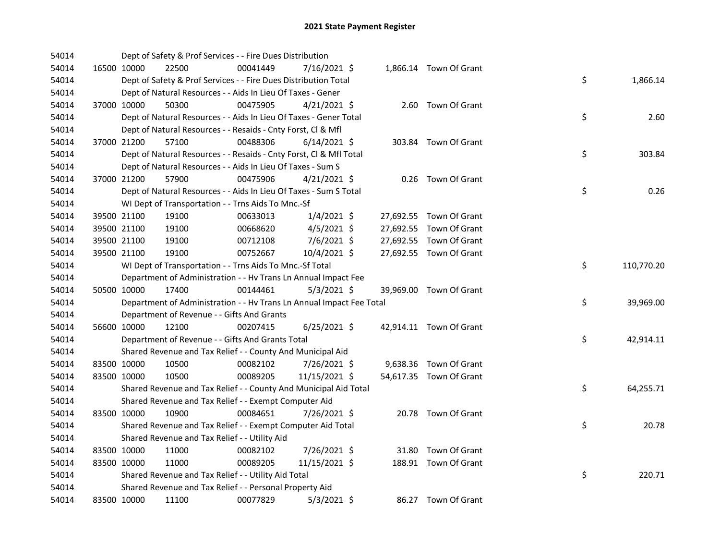| 54014 |             | Dept of Safety & Prof Services - - Fire Dues Distribution            |          |                |  |                         |    |            |
|-------|-------------|----------------------------------------------------------------------|----------|----------------|--|-------------------------|----|------------|
| 54014 | 16500 10000 | 22500                                                                | 00041449 | 7/16/2021 \$   |  | 1,866.14 Town Of Grant  |    |            |
| 54014 |             | Dept of Safety & Prof Services - - Fire Dues Distribution Total      |          |                |  |                         | \$ | 1,866.14   |
| 54014 |             | Dept of Natural Resources - - Aids In Lieu Of Taxes - Gener          |          |                |  |                         |    |            |
| 54014 | 37000 10000 | 50300                                                                | 00475905 | $4/21/2021$ \$ |  | 2.60 Town Of Grant      |    |            |
| 54014 |             | Dept of Natural Resources - - Aids In Lieu Of Taxes - Gener Total    |          |                |  |                         | \$ | 2.60       |
| 54014 |             | Dept of Natural Resources - - Resaids - Cnty Forst, Cl & Mfl         |          |                |  |                         |    |            |
| 54014 | 37000 21200 | 57100                                                                | 00488306 | $6/14/2021$ \$ |  | 303.84 Town Of Grant    |    |            |
| 54014 |             | Dept of Natural Resources - - Resaids - Cnty Forst, Cl & Mfl Total   |          |                |  |                         | \$ | 303.84     |
| 54014 |             | Dept of Natural Resources - - Aids In Lieu Of Taxes - Sum S          |          |                |  |                         |    |            |
| 54014 | 37000 21200 | 57900                                                                | 00475906 | $4/21/2021$ \$ |  | 0.26 Town Of Grant      |    |            |
| 54014 |             | Dept of Natural Resources - - Aids In Lieu Of Taxes - Sum S Total    |          |                |  |                         | \$ | 0.26       |
| 54014 |             | WI Dept of Transportation - - Trns Aids To Mnc.-Sf                   |          |                |  |                         |    |            |
| 54014 | 39500 21100 | 19100                                                                | 00633013 | $1/4/2021$ \$  |  | 27,692.55 Town Of Grant |    |            |
| 54014 | 39500 21100 | 19100                                                                | 00668620 | $4/5/2021$ \$  |  | 27,692.55 Town Of Grant |    |            |
| 54014 | 39500 21100 | 19100                                                                | 00712108 | 7/6/2021 \$    |  | 27,692.55 Town Of Grant |    |            |
| 54014 | 39500 21100 | 19100                                                                | 00752667 | 10/4/2021 \$   |  | 27,692.55 Town Of Grant |    |            |
| 54014 |             | WI Dept of Transportation - - Trns Aids To Mnc.-Sf Total             |          |                |  |                         | \$ | 110,770.20 |
| 54014 |             | Department of Administration - - Hv Trans Ln Annual Impact Fee       |          |                |  |                         |    |            |
| 54014 | 50500 10000 | 17400                                                                | 00144461 | $5/3/2021$ \$  |  | 39,969.00 Town Of Grant |    |            |
| 54014 |             | Department of Administration - - Hv Trans Ln Annual Impact Fee Total |          |                |  |                         | \$ | 39,969.00  |
| 54014 |             | Department of Revenue - - Gifts And Grants                           |          |                |  |                         |    |            |
| 54014 | 56600 10000 | 12100                                                                | 00207415 | $6/25/2021$ \$ |  | 42,914.11 Town Of Grant |    |            |
| 54014 |             | Department of Revenue - - Gifts And Grants Total                     |          |                |  |                         | \$ | 42,914.11  |
| 54014 |             | Shared Revenue and Tax Relief - - County And Municipal Aid           |          |                |  |                         |    |            |
| 54014 | 83500 10000 | 10500                                                                | 00082102 | 7/26/2021 \$   |  | 9,638.36 Town Of Grant  |    |            |
| 54014 | 83500 10000 | 10500                                                                | 00089205 | 11/15/2021 \$  |  | 54,617.35 Town Of Grant |    |            |
| 54014 |             | Shared Revenue and Tax Relief - - County And Municipal Aid Total     |          |                |  |                         | \$ | 64,255.71  |
| 54014 |             | Shared Revenue and Tax Relief - - Exempt Computer Aid                |          |                |  |                         |    |            |
| 54014 | 83500 10000 | 10900                                                                | 00084651 | 7/26/2021 \$   |  | 20.78 Town Of Grant     |    |            |
| 54014 |             | Shared Revenue and Tax Relief - - Exempt Computer Aid Total          |          |                |  |                         | \$ | 20.78      |
| 54014 |             | Shared Revenue and Tax Relief - - Utility Aid                        |          |                |  |                         |    |            |
| 54014 | 83500 10000 | 11000                                                                | 00082102 | 7/26/2021 \$   |  | 31.80 Town Of Grant     |    |            |
| 54014 | 83500 10000 | 11000                                                                | 00089205 | 11/15/2021 \$  |  | 188.91 Town Of Grant    |    |            |
| 54014 |             | Shared Revenue and Tax Relief - - Utility Aid Total                  |          |                |  |                         | \$ | 220.71     |
| 54014 |             | Shared Revenue and Tax Relief - - Personal Property Aid              |          |                |  |                         |    |            |
|       |             |                                                                      |          |                |  |                         |    |            |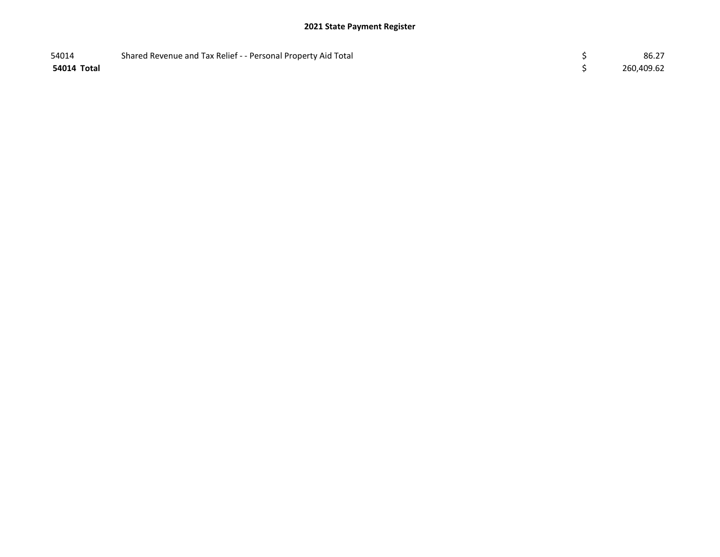| 54014       | Shared Revenue and Tax Relief - - Personal Property Aid Total | 86.27      |
|-------------|---------------------------------------------------------------|------------|
| 54014 Total |                                                               | 260,409.62 |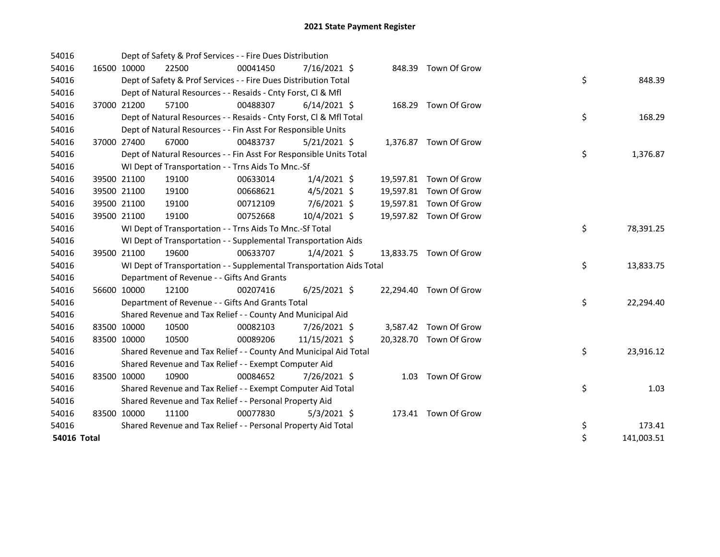| 54016       |             |             | Dept of Safety & Prof Services - - Fire Dues Distribution            |          |                |  |                        |    |            |
|-------------|-------------|-------------|----------------------------------------------------------------------|----------|----------------|--|------------------------|----|------------|
| 54016       | 16500 10000 |             | 22500                                                                | 00041450 | 7/16/2021 \$   |  | 848.39 Town Of Grow    |    |            |
| 54016       |             |             | Dept of Safety & Prof Services - - Fire Dues Distribution Total      |          |                |  |                        | \$ | 848.39     |
| 54016       |             |             | Dept of Natural Resources - - Resaids - Cnty Forst, CI & Mfl         |          |                |  |                        |    |            |
| 54016       |             | 37000 21200 | 57100                                                                | 00488307 | $6/14/2021$ \$ |  | 168.29 Town Of Grow    |    |            |
| 54016       |             |             | Dept of Natural Resources - - Resaids - Cnty Forst, Cl & Mfl Total   |          |                |  |                        | \$ | 168.29     |
| 54016       |             |             | Dept of Natural Resources - - Fin Asst For Responsible Units         |          |                |  |                        |    |            |
| 54016       |             | 37000 27400 | 67000                                                                | 00483737 | $5/21/2021$ \$ |  | 1,376.87 Town Of Grow  |    |            |
| 54016       |             |             | Dept of Natural Resources - - Fin Asst For Responsible Units Total   |          |                |  |                        | \$ | 1,376.87   |
| 54016       |             |             | WI Dept of Transportation - - Trns Aids To Mnc.-Sf                   |          |                |  |                        |    |            |
| 54016       |             | 39500 21100 | 19100                                                                | 00633014 | $1/4/2021$ \$  |  | 19,597.81 Town Of Grow |    |            |
| 54016       |             | 39500 21100 | 19100                                                                | 00668621 | $4/5/2021$ \$  |  | 19,597.81 Town Of Grow |    |            |
| 54016       |             | 39500 21100 | 19100                                                                | 00712109 | 7/6/2021 \$    |  | 19,597.81 Town Of Grow |    |            |
| 54016       |             | 39500 21100 | 19100                                                                | 00752668 | 10/4/2021 \$   |  | 19,597.82 Town Of Grow |    |            |
| 54016       |             |             | WI Dept of Transportation - - Trns Aids To Mnc.-Sf Total             |          |                |  |                        | \$ | 78,391.25  |
| 54016       |             |             | WI Dept of Transportation - - Supplemental Transportation Aids       |          |                |  |                        |    |            |
| 54016       |             | 39500 21100 | 19600                                                                | 00633707 | $1/4/2021$ \$  |  | 13,833.75 Town Of Grow |    |            |
| 54016       |             |             | WI Dept of Transportation - - Supplemental Transportation Aids Total |          |                |  |                        | \$ | 13,833.75  |
| 54016       |             |             | Department of Revenue - - Gifts And Grants                           |          |                |  |                        |    |            |
| 54016       |             | 56600 10000 | 12100                                                                | 00207416 | $6/25/2021$ \$ |  | 22,294.40 Town Of Grow |    |            |
| 54016       |             |             | Department of Revenue - - Gifts And Grants Total                     |          |                |  |                        | \$ | 22,294.40  |
| 54016       |             |             | Shared Revenue and Tax Relief - - County And Municipal Aid           |          |                |  |                        |    |            |
| 54016       | 83500 10000 |             | 10500                                                                | 00082103 | 7/26/2021 \$   |  | 3,587.42 Town Of Grow  |    |            |
| 54016       | 83500 10000 |             | 10500                                                                | 00089206 | 11/15/2021 \$  |  | 20,328.70 Town Of Grow |    |            |
| 54016       |             |             | Shared Revenue and Tax Relief - - County And Municipal Aid Total     |          |                |  |                        | \$ | 23,916.12  |
| 54016       |             |             | Shared Revenue and Tax Relief - - Exempt Computer Aid                |          |                |  |                        |    |            |
| 54016       | 83500 10000 |             | 10900                                                                | 00084652 | 7/26/2021 \$   |  | 1.03 Town Of Grow      |    |            |
| 54016       |             |             | Shared Revenue and Tax Relief - - Exempt Computer Aid Total          |          |                |  |                        | \$ | 1.03       |
| 54016       |             |             | Shared Revenue and Tax Relief - - Personal Property Aid              |          |                |  |                        |    |            |
| 54016       | 83500 10000 |             | 11100                                                                | 00077830 | $5/3/2021$ \$  |  | 173.41 Town Of Grow    |    |            |
| 54016       |             |             | Shared Revenue and Tax Relief - - Personal Property Aid Total        |          |                |  |                        | \$ | 173.41     |
| 54016 Total |             |             |                                                                      |          |                |  |                        | \$ | 141,003.51 |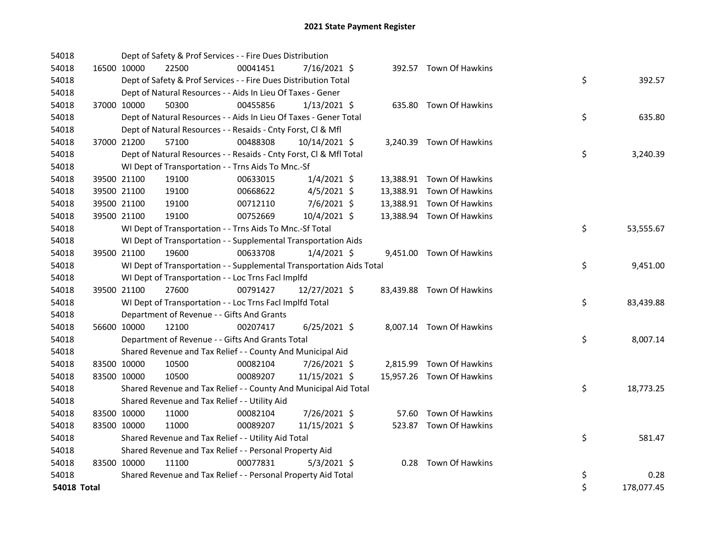| 54018       |             | Dept of Safety & Prof Services - - Fire Dues Distribution            |          |                |  |                           |    |            |
|-------------|-------------|----------------------------------------------------------------------|----------|----------------|--|---------------------------|----|------------|
| 54018       | 16500 10000 | 22500                                                                | 00041451 | 7/16/2021 \$   |  | 392.57 Town Of Hawkins    |    |            |
| 54018       |             | Dept of Safety & Prof Services - - Fire Dues Distribution Total      |          |                |  |                           | \$ | 392.57     |
| 54018       |             | Dept of Natural Resources - - Aids In Lieu Of Taxes - Gener          |          |                |  |                           |    |            |
| 54018       | 37000 10000 | 50300                                                                | 00455856 | $1/13/2021$ \$ |  | 635.80 Town Of Hawkins    |    |            |
| 54018       |             | Dept of Natural Resources - - Aids In Lieu Of Taxes - Gener Total    |          |                |  |                           | \$ | 635.80     |
| 54018       |             | Dept of Natural Resources - - Resaids - Cnty Forst, Cl & Mfl         |          |                |  |                           |    |            |
| 54018       | 37000 21200 | 57100                                                                | 00488308 | 10/14/2021 \$  |  | 3,240.39 Town Of Hawkins  |    |            |
| 54018       |             | Dept of Natural Resources - - Resaids - Cnty Forst, Cl & Mfl Total   |          |                |  |                           | \$ | 3,240.39   |
| 54018       |             | WI Dept of Transportation - - Trns Aids To Mnc.-Sf                   |          |                |  |                           |    |            |
| 54018       | 39500 21100 | 19100                                                                | 00633015 | $1/4/2021$ \$  |  | 13,388.91 Town Of Hawkins |    |            |
| 54018       | 39500 21100 | 19100                                                                | 00668622 | $4/5/2021$ \$  |  | 13,388.91 Town Of Hawkins |    |            |
| 54018       | 39500 21100 | 19100                                                                | 00712110 | 7/6/2021 \$    |  | 13,388.91 Town Of Hawkins |    |            |
| 54018       | 39500 21100 | 19100                                                                | 00752669 | 10/4/2021 \$   |  | 13,388.94 Town Of Hawkins |    |            |
| 54018       |             | WI Dept of Transportation - - Trns Aids To Mnc.-Sf Total             |          |                |  |                           | \$ | 53,555.67  |
| 54018       |             | WI Dept of Transportation - - Supplemental Transportation Aids       |          |                |  |                           |    |            |
| 54018       | 39500 21100 | 19600                                                                | 00633708 | $1/4/2021$ \$  |  | 9,451.00 Town Of Hawkins  |    |            |
| 54018       |             | WI Dept of Transportation - - Supplemental Transportation Aids Total |          |                |  |                           | \$ | 9,451.00   |
| 54018       |             | WI Dept of Transportation - - Loc Trns Facl Implfd                   |          |                |  |                           |    |            |
| 54018       | 39500 21100 | 27600                                                                | 00791427 | 12/27/2021 \$  |  | 83,439.88 Town Of Hawkins |    |            |
| 54018       |             | WI Dept of Transportation - - Loc Trns Facl Implfd Total             |          |                |  |                           | \$ | 83,439.88  |
| 54018       |             | Department of Revenue - - Gifts And Grants                           |          |                |  |                           |    |            |
| 54018       | 56600 10000 | 12100                                                                | 00207417 | $6/25/2021$ \$ |  | 8,007.14 Town Of Hawkins  |    |            |
| 54018       |             | Department of Revenue - - Gifts And Grants Total                     |          |                |  |                           | \$ | 8,007.14   |
| 54018       |             | Shared Revenue and Tax Relief - - County And Municipal Aid           |          |                |  |                           |    |            |
| 54018       | 83500 10000 | 10500                                                                | 00082104 | 7/26/2021 \$   |  | 2,815.99 Town Of Hawkins  |    |            |
| 54018       | 83500 10000 | 10500                                                                | 00089207 | 11/15/2021 \$  |  | 15,957.26 Town Of Hawkins |    |            |
| 54018       |             | Shared Revenue and Tax Relief - - County And Municipal Aid Total     |          |                |  |                           | \$ | 18,773.25  |
| 54018       |             | Shared Revenue and Tax Relief - - Utility Aid                        |          |                |  |                           |    |            |
| 54018       | 83500 10000 | 11000                                                                | 00082104 | 7/26/2021 \$   |  | 57.60 Town Of Hawkins     |    |            |
| 54018       | 83500 10000 | 11000                                                                | 00089207 | 11/15/2021 \$  |  | 523.87 Town Of Hawkins    |    |            |
| 54018       |             | Shared Revenue and Tax Relief - - Utility Aid Total                  |          |                |  |                           | \$ | 581.47     |
| 54018       |             | Shared Revenue and Tax Relief - - Personal Property Aid              |          |                |  |                           |    |            |
| 54018       | 83500 10000 | 11100                                                                | 00077831 | $5/3/2021$ \$  |  | 0.28 Town Of Hawkins      |    |            |
| 54018       |             | Shared Revenue and Tax Relief - - Personal Property Aid Total        |          |                |  |                           | \$ | 0.28       |
| 54018 Total |             |                                                                      |          |                |  |                           | \$ | 178,077.45 |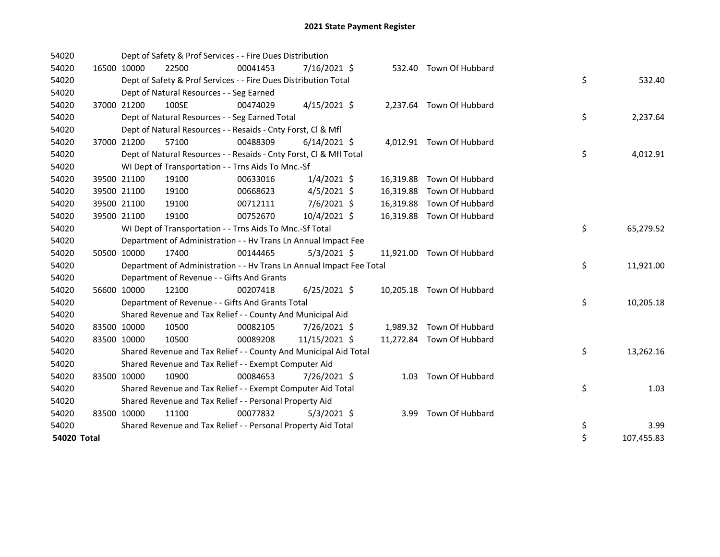| 54020       |             |             | Dept of Safety & Prof Services - - Fire Dues Distribution            |          |                |  |                           |    |            |
|-------------|-------------|-------------|----------------------------------------------------------------------|----------|----------------|--|---------------------------|----|------------|
| 54020       | 16500 10000 |             | 22500                                                                | 00041453 | $7/16/2021$ \$ |  | 532.40 Town Of Hubbard    |    |            |
| 54020       |             |             | Dept of Safety & Prof Services - - Fire Dues Distribution Total      |          |                |  |                           | \$ | 532.40     |
| 54020       |             |             | Dept of Natural Resources - - Seg Earned                             |          |                |  |                           |    |            |
| 54020       |             | 37000 21200 | 100SE                                                                | 00474029 | $4/15/2021$ \$ |  | 2,237.64 Town Of Hubbard  |    |            |
| 54020       |             |             | Dept of Natural Resources - - Seg Earned Total                       |          |                |  |                           | \$ | 2,237.64   |
| 54020       |             |             | Dept of Natural Resources - - Resaids - Cnty Forst, Cl & Mfl         |          |                |  |                           |    |            |
| 54020       |             | 37000 21200 | 57100                                                                | 00488309 | $6/14/2021$ \$ |  | 4,012.91 Town Of Hubbard  |    |            |
| 54020       |             |             | Dept of Natural Resources - - Resaids - Cnty Forst, CI & Mfl Total   |          |                |  |                           | \$ | 4,012.91   |
| 54020       |             |             | WI Dept of Transportation - - Trns Aids To Mnc.-Sf                   |          |                |  |                           |    |            |
| 54020       |             | 39500 21100 | 19100                                                                | 00633016 | $1/4/2021$ \$  |  | 16,319.88 Town Of Hubbard |    |            |
| 54020       |             | 39500 21100 | 19100                                                                | 00668623 | $4/5/2021$ \$  |  | 16,319.88 Town Of Hubbard |    |            |
| 54020       | 39500 21100 |             | 19100                                                                | 00712111 | 7/6/2021 \$    |  | 16,319.88 Town Of Hubbard |    |            |
| 54020       |             | 39500 21100 | 19100                                                                | 00752670 | 10/4/2021 \$   |  | 16,319.88 Town Of Hubbard |    |            |
| 54020       |             |             | WI Dept of Transportation - - Trns Aids To Mnc.-Sf Total             |          |                |  |                           | \$ | 65,279.52  |
| 54020       |             |             | Department of Administration - - Hv Trans Ln Annual Impact Fee       |          |                |  |                           |    |            |
| 54020       |             | 50500 10000 | 17400                                                                | 00144465 | $5/3/2021$ \$  |  | 11,921.00 Town Of Hubbard |    |            |
| 54020       |             |             | Department of Administration - - Hv Trans Ln Annual Impact Fee Total |          |                |  |                           | \$ | 11,921.00  |
| 54020       |             |             | Department of Revenue - - Gifts And Grants                           |          |                |  |                           |    |            |
| 54020       |             | 56600 10000 | 12100                                                                | 00207418 | $6/25/2021$ \$ |  | 10,205.18 Town Of Hubbard |    |            |
| 54020       |             |             | Department of Revenue - - Gifts And Grants Total                     |          |                |  |                           | \$ | 10,205.18  |
| 54020       |             |             | Shared Revenue and Tax Relief - - County And Municipal Aid           |          |                |  |                           |    |            |
| 54020       | 83500 10000 |             | 10500                                                                | 00082105 | 7/26/2021 \$   |  | 1,989.32 Town Of Hubbard  |    |            |
| 54020       | 83500 10000 |             | 10500                                                                | 00089208 | 11/15/2021 \$  |  | 11,272.84 Town Of Hubbard |    |            |
| 54020       |             |             | Shared Revenue and Tax Relief - - County And Municipal Aid Total     |          |                |  |                           | \$ | 13,262.16  |
| 54020       |             |             | Shared Revenue and Tax Relief - - Exempt Computer Aid                |          |                |  |                           |    |            |
| 54020       | 83500 10000 |             | 10900                                                                | 00084653 | 7/26/2021 \$   |  | 1.03 Town Of Hubbard      |    |            |
| 54020       |             |             | Shared Revenue and Tax Relief - - Exempt Computer Aid Total          |          |                |  |                           | \$ | 1.03       |
| 54020       |             |             | Shared Revenue and Tax Relief - - Personal Property Aid              |          |                |  |                           |    |            |
| 54020       | 83500 10000 |             | 11100                                                                | 00077832 | $5/3/2021$ \$  |  | 3.99 Town Of Hubbard      |    |            |
| 54020       |             |             | Shared Revenue and Tax Relief - - Personal Property Aid Total        |          |                |  |                           | \$ | 3.99       |
| 54020 Total |             |             |                                                                      |          |                |  |                           | \$ | 107,455.83 |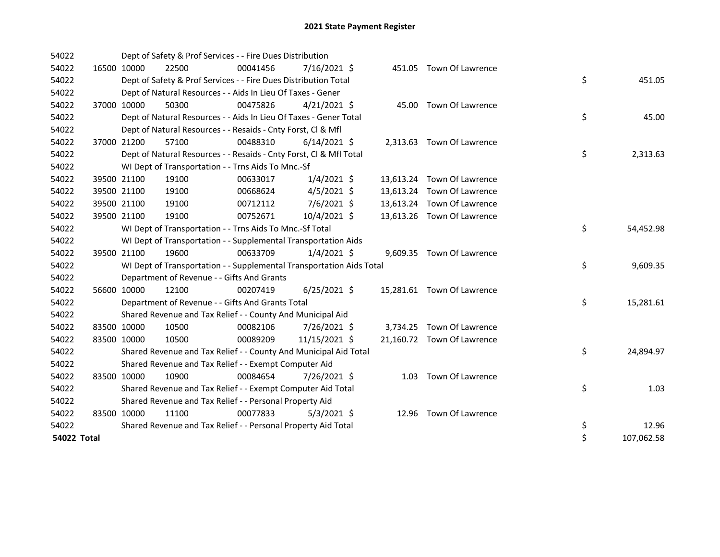| 54022       |             |                                            | Dept of Safety & Prof Services - - Fire Dues Distribution            |                |  |                            |    |            |
|-------------|-------------|--------------------------------------------|----------------------------------------------------------------------|----------------|--|----------------------------|----|------------|
| 54022       | 16500 10000 | 22500                                      | 00041456                                                             | 7/16/2021 \$   |  | 451.05 Town Of Lawrence    |    |            |
| 54022       |             |                                            | Dept of Safety & Prof Services - - Fire Dues Distribution Total      |                |  |                            | \$ | 451.05     |
| 54022       |             |                                            | Dept of Natural Resources - - Aids In Lieu Of Taxes - Gener          |                |  |                            |    |            |
| 54022       | 37000 10000 | 50300                                      | 00475826                                                             | $4/21/2021$ \$ |  | 45.00 Town Of Lawrence     |    |            |
| 54022       |             |                                            | Dept of Natural Resources - - Aids In Lieu Of Taxes - Gener Total    |                |  |                            | \$ | 45.00      |
| 54022       |             |                                            | Dept of Natural Resources - - Resaids - Cnty Forst, CI & Mfl         |                |  |                            |    |            |
| 54022       | 37000 21200 | 57100                                      | 00488310                                                             | $6/14/2021$ \$ |  | 2,313.63 Town Of Lawrence  |    |            |
| 54022       |             |                                            | Dept of Natural Resources - - Resaids - Cnty Forst, Cl & Mfl Total   |                |  |                            | \$ | 2,313.63   |
| 54022       |             |                                            | WI Dept of Transportation - - Trns Aids To Mnc.-Sf                   |                |  |                            |    |            |
| 54022       | 39500 21100 | 19100                                      | 00633017                                                             | $1/4/2021$ \$  |  | 13,613.24 Town Of Lawrence |    |            |
| 54022       | 39500 21100 | 19100                                      | 00668624                                                             | $4/5/2021$ \$  |  | 13,613.24 Town Of Lawrence |    |            |
| 54022       | 39500 21100 | 19100                                      | 00712112                                                             | $7/6/2021$ \$  |  | 13,613.24 Town Of Lawrence |    |            |
| 54022       | 39500 21100 | 19100                                      | 00752671                                                             | 10/4/2021 \$   |  | 13,613.26 Town Of Lawrence |    |            |
| 54022       |             |                                            | WI Dept of Transportation - - Trns Aids To Mnc.-Sf Total             |                |  |                            | \$ | 54,452.98  |
| 54022       |             |                                            | WI Dept of Transportation - - Supplemental Transportation Aids       |                |  |                            |    |            |
| 54022       | 39500 21100 | 19600                                      | 00633709                                                             | $1/4/2021$ \$  |  | 9,609.35 Town Of Lawrence  |    |            |
| 54022       |             |                                            | WI Dept of Transportation - - Supplemental Transportation Aids Total |                |  |                            | \$ | 9,609.35   |
| 54022       |             | Department of Revenue - - Gifts And Grants |                                                                      |                |  |                            |    |            |
| 54022       | 56600 10000 | 12100                                      | 00207419                                                             | $6/25/2021$ \$ |  | 15,281.61 Town Of Lawrence |    |            |
| 54022       |             |                                            | Department of Revenue - - Gifts And Grants Total                     |                |  |                            | \$ | 15,281.61  |
| 54022       |             |                                            | Shared Revenue and Tax Relief - - County And Municipal Aid           |                |  |                            |    |            |
| 54022       | 83500 10000 | 10500                                      | 00082106                                                             | 7/26/2021 \$   |  | 3,734.25 Town Of Lawrence  |    |            |
| 54022       | 83500 10000 | 10500                                      | 00089209                                                             | 11/15/2021 \$  |  | 21,160.72 Town Of Lawrence |    |            |
| 54022       |             |                                            | Shared Revenue and Tax Relief - - County And Municipal Aid Total     |                |  |                            | \$ | 24,894.97  |
| 54022       |             |                                            | Shared Revenue and Tax Relief - - Exempt Computer Aid                |                |  |                            |    |            |
| 54022       | 83500 10000 | 10900                                      | 00084654                                                             | 7/26/2021 \$   |  | 1.03 Town Of Lawrence      |    |            |
| 54022       |             |                                            | Shared Revenue and Tax Relief - - Exempt Computer Aid Total          |                |  |                            | \$ | 1.03       |
| 54022       |             |                                            | Shared Revenue and Tax Relief - - Personal Property Aid              |                |  |                            |    |            |
| 54022       | 83500 10000 | 11100                                      | 00077833                                                             | $5/3/2021$ \$  |  | 12.96 Town Of Lawrence     |    |            |
| 54022       |             |                                            | Shared Revenue and Tax Relief - - Personal Property Aid Total        |                |  |                            | \$ | 12.96      |
| 54022 Total |             |                                            |                                                                      |                |  |                            | \$ | 107,062.58 |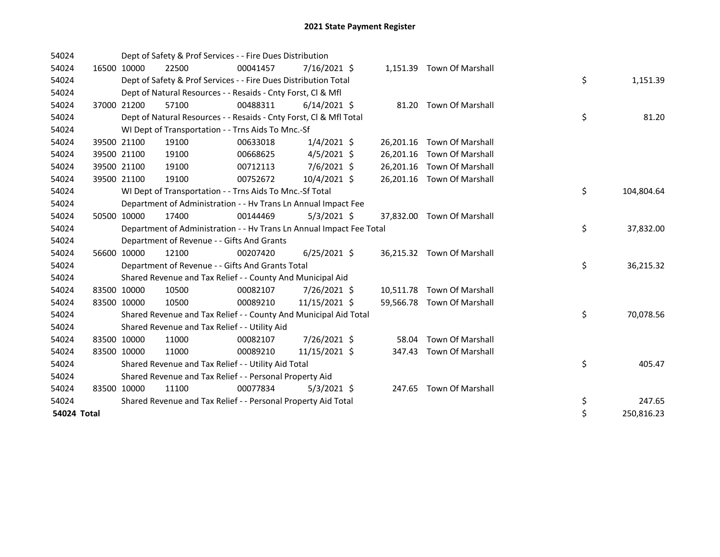| 54024       |             | Dept of Safety & Prof Services - - Fire Dues Distribution            |          |                |       |                            |    |            |
|-------------|-------------|----------------------------------------------------------------------|----------|----------------|-------|----------------------------|----|------------|
| 54024       | 16500 10000 | 22500                                                                | 00041457 | 7/16/2021 \$   |       | 1,151.39 Town Of Marshall  |    |            |
| 54024       |             | Dept of Safety & Prof Services - - Fire Dues Distribution Total      |          |                |       |                            | \$ | 1,151.39   |
| 54024       |             | Dept of Natural Resources - - Resaids - Cnty Forst, CI & Mfl         |          |                |       |                            |    |            |
| 54024       | 37000 21200 | 57100                                                                | 00488311 | $6/14/2021$ \$ |       | 81.20 Town Of Marshall     |    |            |
| 54024       |             | Dept of Natural Resources - - Resaids - Cnty Forst, Cl & Mfl Total   |          |                |       |                            | \$ | 81.20      |
| 54024       |             | WI Dept of Transportation - - Trns Aids To Mnc.-Sf                   |          |                |       |                            |    |            |
| 54024       | 39500 21100 | 19100                                                                | 00633018 | $1/4/2021$ \$  |       | 26,201.16 Town Of Marshall |    |            |
| 54024       | 39500 21100 | 19100                                                                | 00668625 | $4/5/2021$ \$  |       | 26,201.16 Town Of Marshall |    |            |
| 54024       | 39500 21100 | 19100                                                                | 00712113 | 7/6/2021 \$    |       | 26,201.16 Town Of Marshall |    |            |
| 54024       | 39500 21100 | 19100                                                                | 00752672 | 10/4/2021 \$   |       | 26,201.16 Town Of Marshall |    |            |
| 54024       |             | WI Dept of Transportation - - Trns Aids To Mnc.-Sf Total             |          |                |       |                            | \$ | 104,804.64 |
| 54024       |             | Department of Administration - - Hv Trans Ln Annual Impact Fee       |          |                |       |                            |    |            |
| 54024       | 50500 10000 | 17400                                                                | 00144469 | $5/3/2021$ \$  |       | 37,832.00 Town Of Marshall |    |            |
| 54024       |             | Department of Administration - - Hv Trans Ln Annual Impact Fee Total |          |                |       |                            | \$ | 37,832.00  |
| 54024       |             | Department of Revenue - - Gifts And Grants                           |          |                |       |                            |    |            |
| 54024       | 56600 10000 | 12100                                                                | 00207420 | $6/25/2021$ \$ |       | 36,215.32 Town Of Marshall |    |            |
| 54024       |             | Department of Revenue - - Gifts And Grants Total                     |          |                |       |                            | \$ | 36,215.32  |
| 54024       |             | Shared Revenue and Tax Relief - - County And Municipal Aid           |          |                |       |                            |    |            |
| 54024       | 83500 10000 | 10500                                                                | 00082107 | 7/26/2021 \$   |       | 10,511.78 Town Of Marshall |    |            |
| 54024       | 83500 10000 | 10500                                                                | 00089210 | 11/15/2021 \$  |       | 59,566.78 Town Of Marshall |    |            |
| 54024       |             | Shared Revenue and Tax Relief - - County And Municipal Aid Total     |          |                |       |                            | \$ | 70,078.56  |
| 54024       |             | Shared Revenue and Tax Relief - - Utility Aid                        |          |                |       |                            |    |            |
| 54024       | 83500 10000 | 11000                                                                | 00082107 | 7/26/2021 \$   | 58.04 | <b>Town Of Marshall</b>    |    |            |
| 54024       | 83500 10000 | 11000                                                                | 00089210 | 11/15/2021 \$  |       | 347.43 Town Of Marshall    |    |            |
| 54024       |             | Shared Revenue and Tax Relief - - Utility Aid Total                  |          |                |       |                            | \$ | 405.47     |
| 54024       |             | Shared Revenue and Tax Relief - - Personal Property Aid              |          |                |       |                            |    |            |
| 54024       | 83500 10000 | 11100                                                                | 00077834 | $5/3/2021$ \$  |       | 247.65 Town Of Marshall    |    |            |
| 54024       |             | Shared Revenue and Tax Relief - - Personal Property Aid Total        |          |                |       |                            | \$ | 247.65     |
| 54024 Total |             |                                                                      |          |                |       |                            | \$ | 250,816.23 |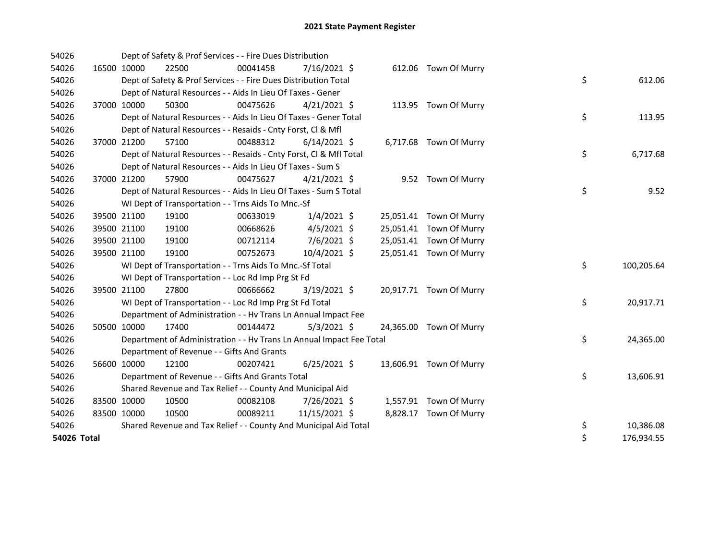| 54026       |             |             | Dept of Safety & Prof Services - - Fire Dues Distribution            |          |                |  |                         |    |            |
|-------------|-------------|-------------|----------------------------------------------------------------------|----------|----------------|--|-------------------------|----|------------|
| 54026       | 16500 10000 |             | 22500                                                                | 00041458 | $7/16/2021$ \$ |  | 612.06 Town Of Murry    |    |            |
| 54026       |             |             | Dept of Safety & Prof Services - - Fire Dues Distribution Total      |          |                |  |                         | \$ | 612.06     |
| 54026       |             |             | Dept of Natural Resources - - Aids In Lieu Of Taxes - Gener          |          |                |  |                         |    |            |
| 54026       |             | 37000 10000 | 50300                                                                | 00475626 | $4/21/2021$ \$ |  | 113.95 Town Of Murry    |    |            |
| 54026       |             |             | Dept of Natural Resources - - Aids In Lieu Of Taxes - Gener Total    |          |                |  |                         | \$ | 113.95     |
| 54026       |             |             | Dept of Natural Resources - - Resaids - Cnty Forst, CI & Mfl         |          |                |  |                         |    |            |
| 54026       |             | 37000 21200 | 57100                                                                | 00488312 | $6/14/2021$ \$ |  | 6,717.68 Town Of Murry  |    |            |
| 54026       |             |             | Dept of Natural Resources - - Resaids - Cnty Forst, Cl & Mfl Total   |          |                |  |                         | \$ | 6,717.68   |
| 54026       |             |             | Dept of Natural Resources - - Aids In Lieu Of Taxes - Sum S          |          |                |  |                         |    |            |
| 54026       |             | 37000 21200 | 57900                                                                | 00475627 | $4/21/2021$ \$ |  | 9.52 Town Of Murry      |    |            |
| 54026       |             |             | Dept of Natural Resources - - Aids In Lieu Of Taxes - Sum S Total    |          |                |  |                         | \$ | 9.52       |
| 54026       |             |             | WI Dept of Transportation - - Trns Aids To Mnc.-Sf                   |          |                |  |                         |    |            |
| 54026       |             | 39500 21100 | 19100                                                                | 00633019 | $1/4/2021$ \$  |  | 25,051.41 Town Of Murry |    |            |
| 54026       |             | 39500 21100 | 19100                                                                | 00668626 | $4/5/2021$ \$  |  | 25,051.41 Town Of Murry |    |            |
| 54026       |             | 39500 21100 | 19100                                                                | 00712114 | 7/6/2021 \$    |  | 25,051.41 Town Of Murry |    |            |
| 54026       |             | 39500 21100 | 19100                                                                | 00752673 | 10/4/2021 \$   |  | 25,051.41 Town Of Murry |    |            |
| 54026       |             |             | WI Dept of Transportation - - Trns Aids To Mnc.-Sf Total             |          |                |  |                         | \$ | 100,205.64 |
| 54026       |             |             | WI Dept of Transportation - - Loc Rd Imp Prg St Fd                   |          |                |  |                         |    |            |
| 54026       |             | 39500 21100 | 27800                                                                | 00666662 | $3/19/2021$ \$ |  | 20,917.71 Town Of Murry |    |            |
| 54026       |             |             | WI Dept of Transportation - - Loc Rd Imp Prg St Fd Total             |          |                |  |                         | \$ | 20,917.71  |
| 54026       |             |             | Department of Administration - - Hv Trans Ln Annual Impact Fee       |          |                |  |                         |    |            |
| 54026       |             | 50500 10000 | 17400                                                                | 00144472 | $5/3/2021$ \$  |  | 24,365.00 Town Of Murry |    |            |
| 54026       |             |             | Department of Administration - - Hv Trans Ln Annual Impact Fee Total |          |                |  |                         | \$ | 24,365.00  |
| 54026       |             |             | Department of Revenue - - Gifts And Grants                           |          |                |  |                         |    |            |
| 54026       |             | 56600 10000 | 12100                                                                | 00207421 | $6/25/2021$ \$ |  | 13,606.91 Town Of Murry |    |            |
| 54026       |             |             | Department of Revenue - - Gifts And Grants Total                     |          |                |  |                         | \$ | 13,606.91  |
| 54026       |             |             | Shared Revenue and Tax Relief - - County And Municipal Aid           |          |                |  |                         |    |            |
| 54026       | 83500 10000 |             | 10500                                                                | 00082108 | 7/26/2021 \$   |  | 1,557.91 Town Of Murry  |    |            |
| 54026       | 83500 10000 |             | 10500                                                                | 00089211 | 11/15/2021 \$  |  | 8,828.17 Town Of Murry  |    |            |
| 54026       |             |             | Shared Revenue and Tax Relief - - County And Municipal Aid Total     |          |                |  |                         | \$ | 10,386.08  |
| 54026 Total |             |             |                                                                      |          |                |  |                         | \$ | 176,934.55 |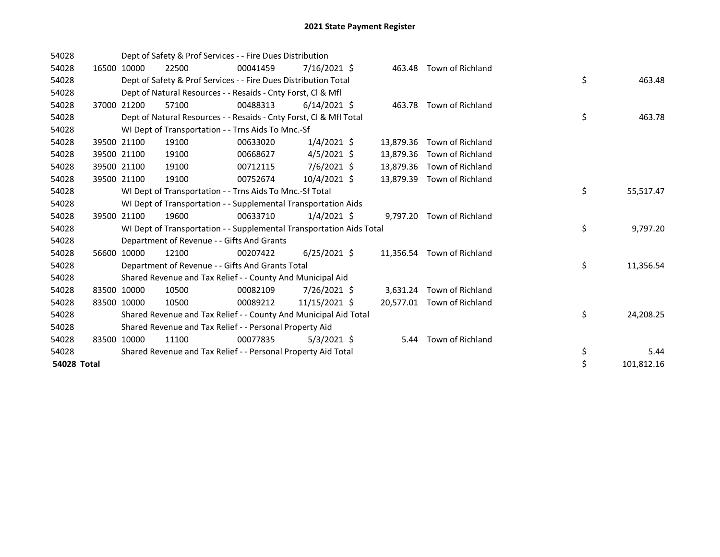| 54028       |             |             | Dept of Safety & Prof Services - - Fire Dues Distribution            |          |                |           |                            |    |            |
|-------------|-------------|-------------|----------------------------------------------------------------------|----------|----------------|-----------|----------------------------|----|------------|
| 54028       | 16500       | 10000       | 22500                                                                | 00041459 | $7/16/2021$ \$ | 463.48    | Town of Richland           |    |            |
| 54028       |             |             | Dept of Safety & Prof Services - - Fire Dues Distribution Total      |          |                |           |                            | \$ | 463.48     |
| 54028       |             |             | Dept of Natural Resources - - Resaids - Cnty Forst, CI & Mfl         |          |                |           |                            |    |            |
| 54028       | 37000       | 21200       | 57100                                                                | 00488313 | $6/14/2021$ \$ |           | 463.78 Town of Richland    |    |            |
| 54028       |             |             | Dept of Natural Resources - - Resaids - Cnty Forst, CI & Mfl Total   |          |                |           |                            | \$ | 463.78     |
| 54028       |             |             | WI Dept of Transportation - - Trns Aids To Mnc.-Sf                   |          |                |           |                            |    |            |
| 54028       | 39500       | 21100       | 19100                                                                | 00633020 | $1/4/2021$ \$  | 13,879.36 | Town of Richland           |    |            |
| 54028       |             | 39500 21100 | 19100                                                                | 00668627 | $4/5/2021$ \$  | 13,879.36 | Town of Richland           |    |            |
| 54028       |             | 39500 21100 | 19100                                                                | 00712115 | $7/6/2021$ \$  | 13,879.36 | Town of Richland           |    |            |
| 54028       | 39500 21100 |             | 19100                                                                | 00752674 | 10/4/2021 \$   | 13,879.39 | Town of Richland           |    |            |
| 54028       |             |             | WI Dept of Transportation - - Trns Aids To Mnc.-Sf Total             |          |                |           |                            | \$ | 55,517.47  |
| 54028       |             |             | WI Dept of Transportation - - Supplemental Transportation Aids       |          |                |           |                            |    |            |
| 54028       | 39500       | 21100       | 19600                                                                | 00633710 | $1/4/2021$ \$  |           | 9,797.20 Town of Richland  |    |            |
| 54028       |             |             | WI Dept of Transportation - - Supplemental Transportation Aids Total |          |                |           |                            | \$ | 9,797.20   |
| 54028       |             |             | Department of Revenue - - Gifts And Grants                           |          |                |           |                            |    |            |
| 54028       | 56600       | 10000       | 12100                                                                | 00207422 | $6/25/2021$ \$ |           | 11,356.54 Town of Richland |    |            |
| 54028       |             |             | Department of Revenue - - Gifts And Grants Total                     |          |                |           |                            | \$ | 11,356.54  |
| 54028       |             |             | Shared Revenue and Tax Relief - - County And Municipal Aid           |          |                |           |                            |    |            |
| 54028       | 83500 10000 |             | 10500                                                                | 00082109 | 7/26/2021 \$   |           | 3,631.24 Town of Richland  |    |            |
| 54028       | 83500 10000 |             | 10500                                                                | 00089212 | 11/15/2021 \$  |           | 20,577.01 Town of Richland |    |            |
| 54028       |             |             | Shared Revenue and Tax Relief - - County And Municipal Aid Total     |          |                |           |                            | \$ | 24,208.25  |
| 54028       |             |             | Shared Revenue and Tax Relief - - Personal Property Aid              |          |                |           |                            |    |            |
| 54028       | 83500       | 10000       | 11100                                                                | 00077835 | $5/3/2021$ \$  | 5.44      | Town of Richland           |    |            |
| 54028       |             |             | Shared Revenue and Tax Relief - - Personal Property Aid Total        |          |                |           |                            | \$ | 5.44       |
| 54028 Total |             |             |                                                                      |          |                |           |                            | \$ | 101,812.16 |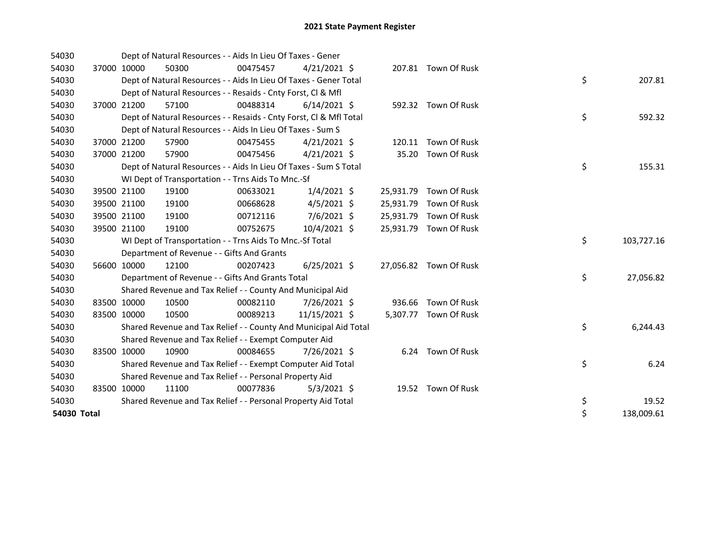| 54030       |             | Dept of Natural Resources - - Aids In Lieu Of Taxes - Gener        |          |                |           |                        |    |            |
|-------------|-------------|--------------------------------------------------------------------|----------|----------------|-----------|------------------------|----|------------|
| 54030       | 37000 10000 | 50300                                                              | 00475457 | $4/21/2021$ \$ |           | 207.81 Town Of Rusk    |    |            |
| 54030       |             | Dept of Natural Resources - - Aids In Lieu Of Taxes - Gener Total  |          |                |           |                        | \$ | 207.81     |
| 54030       |             | Dept of Natural Resources - - Resaids - Cnty Forst, Cl & Mfl       |          |                |           |                        |    |            |
| 54030       | 37000 21200 | 57100                                                              | 00488314 | $6/14/2021$ \$ |           | 592.32 Town Of Rusk    |    |            |
| 54030       |             | Dept of Natural Resources - - Resaids - Cnty Forst, Cl & Mfl Total |          |                |           |                        | \$ | 592.32     |
| 54030       |             | Dept of Natural Resources - - Aids In Lieu Of Taxes - Sum S        |          |                |           |                        |    |            |
| 54030       | 37000 21200 | 57900                                                              | 00475455 | $4/21/2021$ \$ |           | 120.11 Town Of Rusk    |    |            |
| 54030       | 37000 21200 | 57900                                                              | 00475456 | $4/21/2021$ \$ | 35.20     | Town Of Rusk           |    |            |
| 54030       |             | Dept of Natural Resources - - Aids In Lieu Of Taxes - Sum S Total  |          |                |           |                        | \$ | 155.31     |
| 54030       |             | WI Dept of Transportation - - Trns Aids To Mnc.-Sf                 |          |                |           |                        |    |            |
| 54030       | 39500 21100 | 19100                                                              | 00633021 | $1/4/2021$ \$  |           | 25,931.79 Town Of Rusk |    |            |
| 54030       | 39500 21100 | 19100                                                              | 00668628 | $4/5/2021$ \$  | 25,931.79 | Town Of Rusk           |    |            |
| 54030       | 39500 21100 | 19100                                                              | 00712116 | 7/6/2021 \$    |           | 25,931.79 Town Of Rusk |    |            |
| 54030       | 39500 21100 | 19100                                                              | 00752675 | 10/4/2021 \$   | 25,931.79 | Town Of Rusk           |    |            |
| 54030       |             | WI Dept of Transportation - - Trns Aids To Mnc.-Sf Total           |          |                |           |                        | \$ | 103,727.16 |
| 54030       |             | Department of Revenue - - Gifts And Grants                         |          |                |           |                        |    |            |
| 54030       | 56600 10000 | 12100                                                              | 00207423 | $6/25/2021$ \$ |           | 27,056.82 Town Of Rusk |    |            |
| 54030       |             | Department of Revenue - - Gifts And Grants Total                   |          |                |           |                        | \$ | 27,056.82  |
| 54030       |             | Shared Revenue and Tax Relief - - County And Municipal Aid         |          |                |           |                        |    |            |
| 54030       | 83500 10000 | 10500                                                              | 00082110 | 7/26/2021 \$   |           | 936.66 Town Of Rusk    |    |            |
| 54030       | 83500 10000 | 10500                                                              | 00089213 | 11/15/2021 \$  |           | 5,307.77 Town Of Rusk  |    |            |
| 54030       |             | Shared Revenue and Tax Relief - - County And Municipal Aid Total   |          |                |           |                        | \$ | 6,244.43   |
| 54030       |             | Shared Revenue and Tax Relief - - Exempt Computer Aid              |          |                |           |                        |    |            |
| 54030       | 83500 10000 | 10900                                                              | 00084655 | 7/26/2021 \$   |           | 6.24 Town Of Rusk      |    |            |
| 54030       |             | Shared Revenue and Tax Relief - - Exempt Computer Aid Total        |          |                |           |                        | \$ | 6.24       |
| 54030       |             | Shared Revenue and Tax Relief - - Personal Property Aid            |          |                |           |                        |    |            |
| 54030       | 83500 10000 | 11100                                                              | 00077836 | $5/3/2021$ \$  |           | 19.52 Town Of Rusk     |    |            |
| 54030       |             | Shared Revenue and Tax Relief - - Personal Property Aid Total      |          |                |           |                        | \$ | 19.52      |
| 54030 Total |             |                                                                    |          |                |           |                        | \$ | 138,009.61 |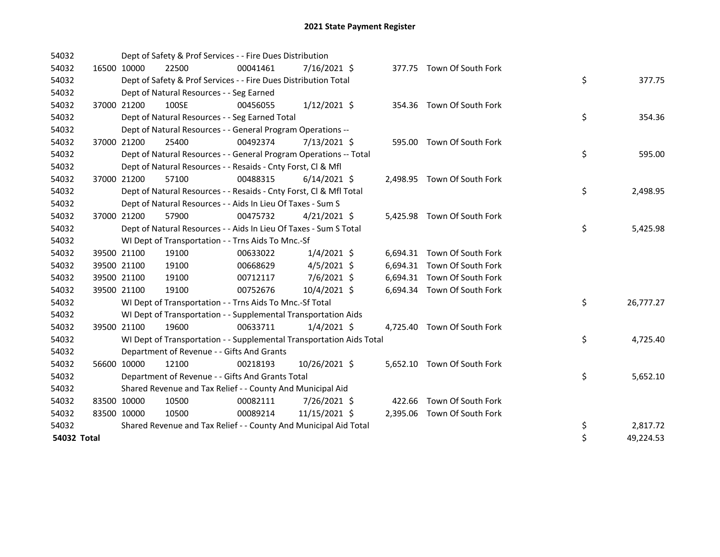| 54032       |             | Dept of Safety & Prof Services - - Fire Dues Distribution            |          |                |  |                             |    |           |
|-------------|-------------|----------------------------------------------------------------------|----------|----------------|--|-----------------------------|----|-----------|
| 54032       | 16500 10000 | 22500                                                                | 00041461 | $7/16/2021$ \$ |  | 377.75 Town Of South Fork   |    |           |
| 54032       |             | Dept of Safety & Prof Services - - Fire Dues Distribution Total      |          |                |  |                             | \$ | 377.75    |
| 54032       |             | Dept of Natural Resources - - Seg Earned                             |          |                |  |                             |    |           |
| 54032       | 37000 21200 | 100SE                                                                | 00456055 | $1/12/2021$ \$ |  | 354.36 Town Of South Fork   |    |           |
| 54032       |             | Dept of Natural Resources - - Seg Earned Total                       |          |                |  |                             | \$ | 354.36    |
| 54032       |             | Dept of Natural Resources - - General Program Operations --          |          |                |  |                             |    |           |
| 54032       | 37000 21200 | 25400                                                                | 00492374 | 7/13/2021 \$   |  | 595.00 Town Of South Fork   |    |           |
| 54032       |             | Dept of Natural Resources - - General Program Operations -- Total    |          |                |  |                             | \$ | 595.00    |
| 54032       |             | Dept of Natural Resources - - Resaids - Cnty Forst, Cl & Mfl         |          |                |  |                             |    |           |
| 54032       | 37000 21200 | 57100                                                                | 00488315 | $6/14/2021$ \$ |  | 2,498.95 Town Of South Fork |    |           |
| 54032       |             | Dept of Natural Resources - - Resaids - Cnty Forst, CI & Mfl Total   |          |                |  |                             | \$ | 2,498.95  |
| 54032       |             | Dept of Natural Resources - - Aids In Lieu Of Taxes - Sum S          |          |                |  |                             |    |           |
| 54032       | 37000 21200 | 57900                                                                | 00475732 | $4/21/2021$ \$ |  | 5,425.98 Town Of South Fork |    |           |
| 54032       |             | Dept of Natural Resources - - Aids In Lieu Of Taxes - Sum S Total    |          |                |  |                             | \$ | 5,425.98  |
| 54032       |             | WI Dept of Transportation - - Trns Aids To Mnc.-Sf                   |          |                |  |                             |    |           |
| 54032       | 39500 21100 | 19100                                                                | 00633022 | $1/4/2021$ \$  |  | 6,694.31 Town Of South Fork |    |           |
| 54032       | 39500 21100 | 19100                                                                | 00668629 | $4/5/2021$ \$  |  | 6,694.31 Town Of South Fork |    |           |
| 54032       | 39500 21100 | 19100                                                                | 00712117 | 7/6/2021 \$    |  | 6,694.31 Town Of South Fork |    |           |
| 54032       | 39500 21100 | 19100                                                                | 00752676 | 10/4/2021 \$   |  | 6,694.34 Town Of South Fork |    |           |
| 54032       |             | WI Dept of Transportation - - Trns Aids To Mnc.-Sf Total             |          |                |  |                             | \$ | 26,777.27 |
| 54032       |             | WI Dept of Transportation - - Supplemental Transportation Aids       |          |                |  |                             |    |           |
| 54032       | 39500 21100 | 19600                                                                | 00633711 | $1/4/2021$ \$  |  | 4,725.40 Town Of South Fork |    |           |
| 54032       |             | WI Dept of Transportation - - Supplemental Transportation Aids Total |          |                |  |                             | \$ | 4,725.40  |
| 54032       |             | Department of Revenue - - Gifts And Grants                           |          |                |  |                             |    |           |
| 54032       | 56600 10000 | 12100                                                                | 00218193 | 10/26/2021 \$  |  | 5,652.10 Town Of South Fork |    |           |
| 54032       |             | Department of Revenue - - Gifts And Grants Total                     |          |                |  |                             | \$ | 5,652.10  |
| 54032       |             | Shared Revenue and Tax Relief - - County And Municipal Aid           |          |                |  |                             |    |           |
| 54032       | 83500 10000 | 10500                                                                | 00082111 | 7/26/2021 \$   |  | 422.66 Town Of South Fork   |    |           |
| 54032       | 83500 10000 | 10500                                                                | 00089214 | 11/15/2021 \$  |  | 2,395.06 Town Of South Fork |    |           |
| 54032       |             | Shared Revenue and Tax Relief - - County And Municipal Aid Total     |          |                |  |                             | \$ | 2,817.72  |
| 54032 Total |             |                                                                      |          |                |  |                             | \$ | 49,224.53 |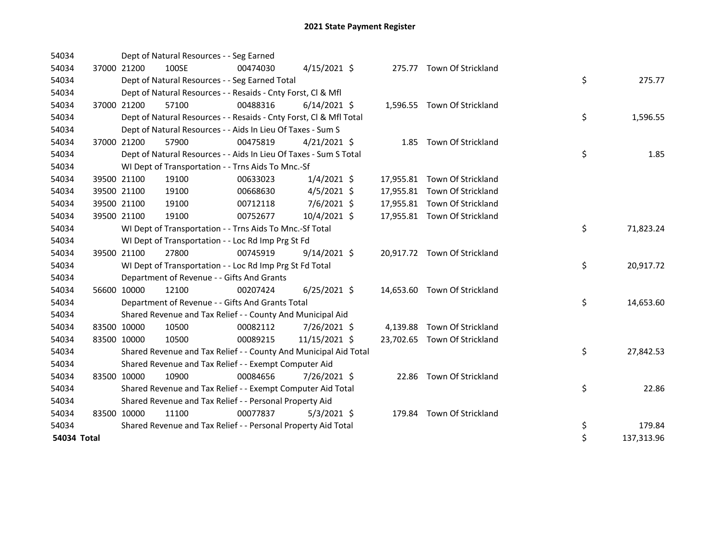| 54034       |             | Dept of Natural Resources - - Seg Earned   |                                                                    |                |  |                              |    |            |
|-------------|-------------|--------------------------------------------|--------------------------------------------------------------------|----------------|--|------------------------------|----|------------|
| 54034       | 37000 21200 | 100SE                                      | 00474030                                                           | $4/15/2021$ \$ |  | 275.77 Town Of Strickland    |    |            |
| 54034       |             |                                            | Dept of Natural Resources - - Seg Earned Total                     |                |  |                              | \$ | 275.77     |
| 54034       |             |                                            | Dept of Natural Resources - - Resaids - Cnty Forst, Cl & Mfl       |                |  |                              |    |            |
| 54034       | 37000 21200 | 57100                                      | 00488316                                                           | $6/14/2021$ \$ |  | 1,596.55 Town Of Strickland  |    |            |
| 54034       |             |                                            | Dept of Natural Resources - - Resaids - Cnty Forst, CI & Mfl Total |                |  |                              | \$ | 1,596.55   |
| 54034       |             |                                            | Dept of Natural Resources - - Aids In Lieu Of Taxes - Sum S        |                |  |                              |    |            |
| 54034       | 37000 21200 | 57900                                      | 00475819                                                           | $4/21/2021$ \$ |  | 1.85 Town Of Strickland      |    |            |
| 54034       |             |                                            | Dept of Natural Resources - - Aids In Lieu Of Taxes - Sum S Total  |                |  |                              | \$ | 1.85       |
| 54034       |             |                                            | WI Dept of Transportation - - Trns Aids To Mnc.-Sf                 |                |  |                              |    |            |
| 54034       | 39500 21100 | 19100                                      | 00633023                                                           | $1/4/2021$ \$  |  | 17,955.81 Town Of Strickland |    |            |
| 54034       | 39500 21100 | 19100                                      | 00668630                                                           | $4/5/2021$ \$  |  | 17,955.81 Town Of Strickland |    |            |
| 54034       | 39500 21100 | 19100                                      | 00712118                                                           | 7/6/2021 \$    |  | 17,955.81 Town Of Strickland |    |            |
| 54034       | 39500 21100 | 19100                                      | 00752677                                                           | 10/4/2021 \$   |  | 17,955.81 Town Of Strickland |    |            |
| 54034       |             |                                            | WI Dept of Transportation - - Trns Aids To Mnc.-Sf Total           |                |  |                              | \$ | 71,823.24  |
| 54034       |             |                                            | WI Dept of Transportation - - Loc Rd Imp Prg St Fd                 |                |  |                              |    |            |
| 54034       | 39500 21100 | 27800                                      | 00745919                                                           | $9/14/2021$ \$ |  | 20,917.72 Town Of Strickland |    |            |
| 54034       |             |                                            | WI Dept of Transportation - - Loc Rd Imp Prg St Fd Total           |                |  |                              | \$ | 20,917.72  |
| 54034       |             | Department of Revenue - - Gifts And Grants |                                                                    |                |  |                              |    |            |
| 54034       | 56600 10000 | 12100                                      | 00207424                                                           | $6/25/2021$ \$ |  | 14,653.60 Town Of Strickland |    |            |
| 54034       |             |                                            | Department of Revenue - - Gifts And Grants Total                   |                |  |                              | \$ | 14,653.60  |
| 54034       |             |                                            | Shared Revenue and Tax Relief - - County And Municipal Aid         |                |  |                              |    |            |
| 54034       | 83500 10000 | 10500                                      | 00082112                                                           | 7/26/2021 \$   |  | 4,139.88 Town Of Strickland  |    |            |
| 54034       | 83500 10000 | 10500                                      | 00089215                                                           | 11/15/2021 \$  |  | 23,702.65 Town Of Strickland |    |            |
| 54034       |             |                                            | Shared Revenue and Tax Relief - - County And Municipal Aid Total   |                |  |                              | \$ | 27,842.53  |
| 54034       |             |                                            | Shared Revenue and Tax Relief - - Exempt Computer Aid              |                |  |                              |    |            |
| 54034       | 83500 10000 | 10900                                      | 00084656                                                           | 7/26/2021 \$   |  | 22.86 Town Of Strickland     |    |            |
| 54034       |             |                                            | Shared Revenue and Tax Relief - - Exempt Computer Aid Total        |                |  |                              | \$ | 22.86      |
| 54034       |             |                                            | Shared Revenue and Tax Relief - - Personal Property Aid            |                |  |                              |    |            |
| 54034       | 83500 10000 | 11100                                      | 00077837                                                           | $5/3/2021$ \$  |  | 179.84 Town Of Strickland    |    |            |
| 54034       |             |                                            | Shared Revenue and Tax Relief - - Personal Property Aid Total      |                |  |                              | \$ | 179.84     |
| 54034 Total |             |                                            |                                                                    |                |  |                              | \$ | 137,313.96 |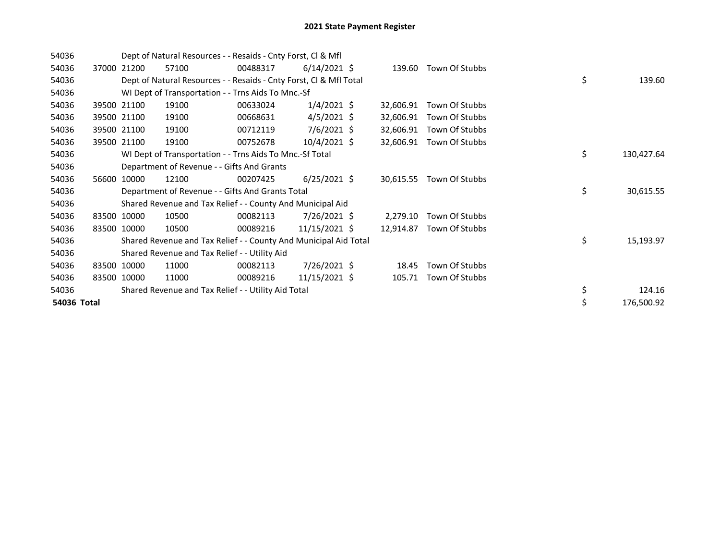| 54036       |             | Dept of Natural Resources - - Resaids - Cnty Forst, CI & Mfl       |          |                 |           |                          |    |            |
|-------------|-------------|--------------------------------------------------------------------|----------|-----------------|-----------|--------------------------|----|------------|
| 54036       | 37000 21200 | 57100                                                              | 00488317 | $6/14/2021$ \$  |           | 139.60 Town Of Stubbs    |    |            |
| 54036       |             | Dept of Natural Resources - - Resaids - Cnty Forst, CI & Mfl Total |          |                 |           |                          | \$ | 139.60     |
| 54036       |             | WI Dept of Transportation - - Trns Aids To Mnc.-Sf                 |          |                 |           |                          |    |            |
| 54036       | 39500 21100 | 19100                                                              | 00633024 | $1/4/2021$ \$   | 32,606.91 | Town Of Stubbs           |    |            |
| 54036       | 39500 21100 | 19100                                                              | 00668631 | $4/5/2021$ \$   | 32,606.91 | Town Of Stubbs           |    |            |
| 54036       | 39500 21100 | 19100                                                              | 00712119 | $7/6/2021$ \$   | 32,606.91 | Town Of Stubbs           |    |            |
| 54036       | 39500 21100 | 19100                                                              | 00752678 | $10/4/2021$ \$  | 32,606.91 | Town Of Stubbs           |    |            |
| 54036       |             | WI Dept of Transportation - - Trns Aids To Mnc.-Sf Total           |          |                 |           |                          | \$ | 130,427.64 |
| 54036       |             | Department of Revenue - - Gifts And Grants                         |          |                 |           |                          |    |            |
| 54036       | 56600 10000 | 12100                                                              | 00207425 | $6/25/2021$ \$  |           | 30,615.55 Town Of Stubbs |    |            |
| 54036       |             | Department of Revenue - - Gifts And Grants Total                   |          |                 |           |                          | \$ | 30,615.55  |
| 54036       |             | Shared Revenue and Tax Relief - - County And Municipal Aid         |          |                 |           |                          |    |            |
| 54036       | 83500 10000 | 10500                                                              | 00082113 | $7/26/2021$ \$  | 2,279.10  | Town Of Stubbs           |    |            |
| 54036       | 83500 10000 | 10500                                                              | 00089216 | $11/15/2021$ \$ | 12,914.87 | Town Of Stubbs           |    |            |
| 54036       |             | Shared Revenue and Tax Relief - - County And Municipal Aid Total   |          |                 |           |                          | \$ | 15,193.97  |
| 54036       |             | Shared Revenue and Tax Relief - - Utility Aid                      |          |                 |           |                          |    |            |
| 54036       | 83500 10000 | 11000                                                              | 00082113 | 7/26/2021 \$    | 18.45     | Town Of Stubbs           |    |            |
| 54036       | 83500 10000 | 11000                                                              | 00089216 | $11/15/2021$ \$ | 105.71    | Town Of Stubbs           |    |            |
| 54036       |             | Shared Revenue and Tax Relief - - Utility Aid Total                |          |                 |           |                          | \$ | 124.16     |
| 54036 Total |             |                                                                    |          |                 |           |                          | \$ | 176,500.92 |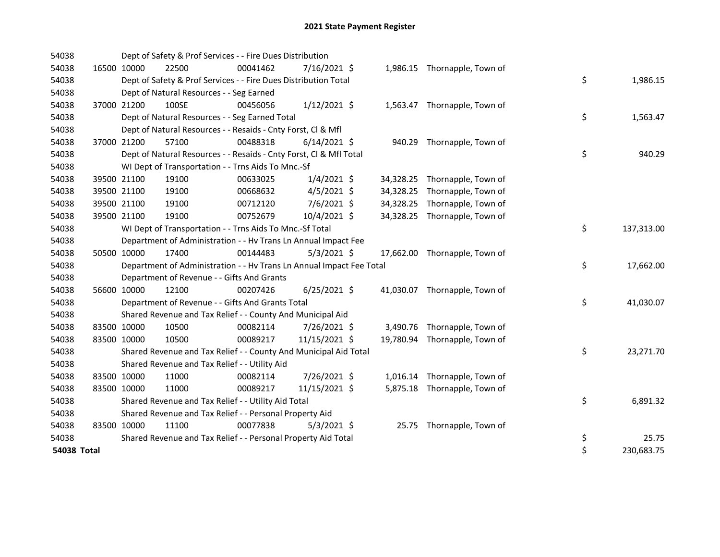| 54038       |             |             | Dept of Safety & Prof Services - - Fire Dues Distribution            |          |                |  |                               |         |            |
|-------------|-------------|-------------|----------------------------------------------------------------------|----------|----------------|--|-------------------------------|---------|------------|
| 54038       |             | 16500 10000 | 22500                                                                | 00041462 | 7/16/2021 \$   |  | 1,986.15 Thornapple, Town of  |         |            |
| 54038       |             |             | Dept of Safety & Prof Services - - Fire Dues Distribution Total      |          |                |  |                               | \$      | 1,986.15   |
| 54038       |             |             | Dept of Natural Resources - - Seg Earned                             |          |                |  |                               |         |            |
| 54038       |             | 37000 21200 | 100SE                                                                | 00456056 | $1/12/2021$ \$ |  | 1,563.47 Thornapple, Town of  |         |            |
| 54038       |             |             | Dept of Natural Resources - - Seg Earned Total                       |          |                |  |                               | \$      | 1,563.47   |
| 54038       |             |             | Dept of Natural Resources - - Resaids - Cnty Forst, Cl & Mfl         |          |                |  |                               |         |            |
| 54038       |             | 37000 21200 | 57100                                                                | 00488318 | $6/14/2021$ \$ |  | 940.29 Thornapple, Town of    |         |            |
| 54038       |             |             | Dept of Natural Resources - - Resaids - Cnty Forst, CI & Mfl Total   |          |                |  |                               | \$      | 940.29     |
| 54038       |             |             | WI Dept of Transportation - - Trns Aids To Mnc.-Sf                   |          |                |  |                               |         |            |
| 54038       |             | 39500 21100 | 19100                                                                | 00633025 | $1/4/2021$ \$  |  | 34,328.25 Thornapple, Town of |         |            |
| 54038       |             | 39500 21100 | 19100                                                                | 00668632 | $4/5/2021$ \$  |  | 34,328.25 Thornapple, Town of |         |            |
| 54038       |             | 39500 21100 | 19100                                                                | 00712120 | 7/6/2021 \$    |  | 34,328.25 Thornapple, Town of |         |            |
| 54038       |             | 39500 21100 | 19100                                                                | 00752679 | 10/4/2021 \$   |  | 34,328.25 Thornapple, Town of |         |            |
| 54038       |             |             | WI Dept of Transportation - - Trns Aids To Mnc.-Sf Total             |          |                |  |                               | \$      | 137,313.00 |
| 54038       |             |             | Department of Administration - - Hv Trans Ln Annual Impact Fee       |          |                |  |                               |         |            |
| 54038       |             | 50500 10000 | 17400                                                                | 00144483 | $5/3/2021$ \$  |  | 17,662.00 Thornapple, Town of |         |            |
| 54038       |             |             | Department of Administration - - Hv Trans Ln Annual Impact Fee Total |          |                |  |                               | \$      | 17,662.00  |
| 54038       |             |             | Department of Revenue - - Gifts And Grants                           |          |                |  |                               |         |            |
| 54038       |             | 56600 10000 | 12100                                                                | 00207426 | $6/25/2021$ \$ |  | 41,030.07 Thornapple, Town of |         |            |
| 54038       |             |             | Department of Revenue - - Gifts And Grants Total                     |          |                |  |                               | \$      | 41,030.07  |
| 54038       |             |             | Shared Revenue and Tax Relief - - County And Municipal Aid           |          |                |  |                               |         |            |
| 54038       |             | 83500 10000 | 10500                                                                | 00082114 | 7/26/2021 \$   |  | 3,490.76 Thornapple, Town of  |         |            |
| 54038       |             | 83500 10000 | 10500                                                                | 00089217 | 11/15/2021 \$  |  | 19,780.94 Thornapple, Town of |         |            |
| 54038       |             |             | Shared Revenue and Tax Relief - - County And Municipal Aid Total     |          |                |  |                               | \$      | 23,271.70  |
| 54038       |             |             | Shared Revenue and Tax Relief - - Utility Aid                        |          |                |  |                               |         |            |
| 54038       |             | 83500 10000 | 11000                                                                | 00082114 | 7/26/2021 \$   |  | 1,016.14 Thornapple, Town of  |         |            |
| 54038       |             | 83500 10000 | 11000                                                                | 00089217 | 11/15/2021 \$  |  | 5,875.18 Thornapple, Town of  |         |            |
| 54038       |             |             | Shared Revenue and Tax Relief - - Utility Aid Total                  |          |                |  |                               | \$      | 6,891.32   |
| 54038       |             |             | Shared Revenue and Tax Relief - - Personal Property Aid              |          |                |  |                               |         |            |
| 54038       | 83500 10000 |             | 11100                                                                | 00077838 | $5/3/2021$ \$  |  | 25.75 Thornapple, Town of     |         |            |
| 54038       |             |             | Shared Revenue and Tax Relief - - Personal Property Aid Total        |          |                |  |                               | \$      | 25.75      |
| 54038 Total |             |             |                                                                      |          |                |  |                               | $\zeta$ | 230,683.75 |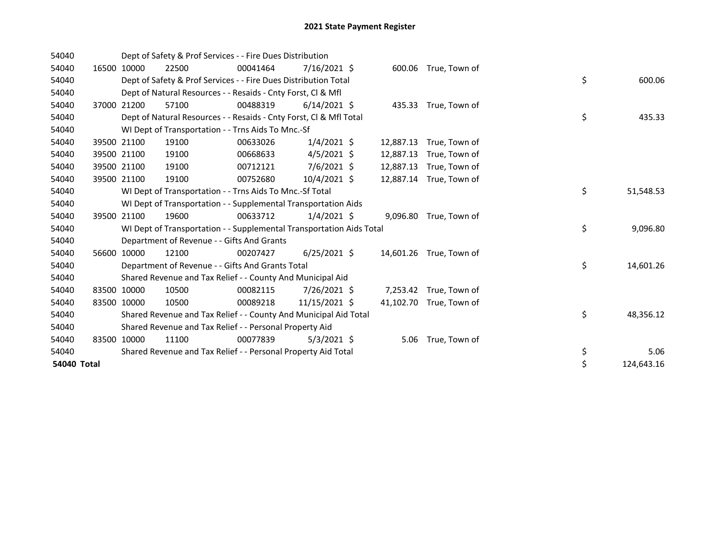| 54040       |             |             | Dept of Safety & Prof Services - - Fire Dues Distribution            |          |                |           |                         |    |            |
|-------------|-------------|-------------|----------------------------------------------------------------------|----------|----------------|-----------|-------------------------|----|------------|
| 54040       |             | 16500 10000 | 22500                                                                | 00041464 | $7/16/2021$ \$ | 600.06    | True, Town of           |    |            |
| 54040       |             |             | Dept of Safety & Prof Services - - Fire Dues Distribution Total      |          |                |           |                         | \$ | 600.06     |
| 54040       |             |             | Dept of Natural Resources - - Resaids - Cnty Forst, CI & Mfl         |          |                |           |                         |    |            |
| 54040       |             | 37000 21200 | 57100                                                                | 00488319 | $6/14/2021$ \$ |           | 435.33 True, Town of    |    |            |
| 54040       |             |             | Dept of Natural Resources - - Resaids - Cnty Forst, CI & Mfl Total   |          |                |           |                         | \$ | 435.33     |
| 54040       |             |             | WI Dept of Transportation - - Trns Aids To Mnc.-Sf                   |          |                |           |                         |    |            |
| 54040       |             | 39500 21100 | 19100                                                                | 00633026 | $1/4/2021$ \$  | 12,887.13 | True, Town of           |    |            |
| 54040       |             | 39500 21100 | 19100                                                                | 00668633 | $4/5/2021$ \$  | 12,887.13 | True, Town of           |    |            |
| 54040       |             | 39500 21100 | 19100                                                                | 00712121 | 7/6/2021 \$    | 12,887.13 | True, Town of           |    |            |
| 54040       |             | 39500 21100 | 19100                                                                | 00752680 | 10/4/2021 \$   | 12,887.14 | True, Town of           |    |            |
| 54040       |             |             | WI Dept of Transportation - - Trns Aids To Mnc.-Sf Total             |          |                |           |                         | \$ | 51,548.53  |
| 54040       |             |             | WI Dept of Transportation - - Supplemental Transportation Aids       |          |                |           |                         |    |            |
| 54040       |             | 39500 21100 | 19600                                                                | 00633712 | $1/4/2021$ \$  |           | 9,096.80 True, Town of  |    |            |
| 54040       |             |             | WI Dept of Transportation - - Supplemental Transportation Aids Total |          |                |           |                         | \$ | 9,096.80   |
| 54040       |             |             | Department of Revenue - - Gifts And Grants                           |          |                |           |                         |    |            |
| 54040       |             | 56600 10000 | 12100                                                                | 00207427 | $6/25/2021$ \$ |           | 14,601.26 True, Town of |    |            |
| 54040       |             |             | Department of Revenue - - Gifts And Grants Total                     |          |                |           |                         | \$ | 14,601.26  |
| 54040       |             |             | Shared Revenue and Tax Relief - - County And Municipal Aid           |          |                |           |                         |    |            |
| 54040       |             | 83500 10000 | 10500                                                                | 00082115 | 7/26/2021 \$   |           | 7,253.42 True, Town of  |    |            |
| 54040       | 83500 10000 |             | 10500                                                                | 00089218 | 11/15/2021 \$  |           | 41,102.70 True, Town of |    |            |
| 54040       |             |             | Shared Revenue and Tax Relief - - County And Municipal Aid Total     |          |                |           |                         | \$ | 48,356.12  |
| 54040       |             |             | Shared Revenue and Tax Relief - - Personal Property Aid              |          |                |           |                         |    |            |
| 54040       | 83500       | 10000       | 11100                                                                | 00077839 | $5/3/2021$ \$  | 5.06      | True, Town of           |    |            |
| 54040       |             |             | Shared Revenue and Tax Relief - - Personal Property Aid Total        |          |                |           |                         | \$ | 5.06       |
| 54040 Total |             |             |                                                                      |          |                |           |                         | \$ | 124,643.16 |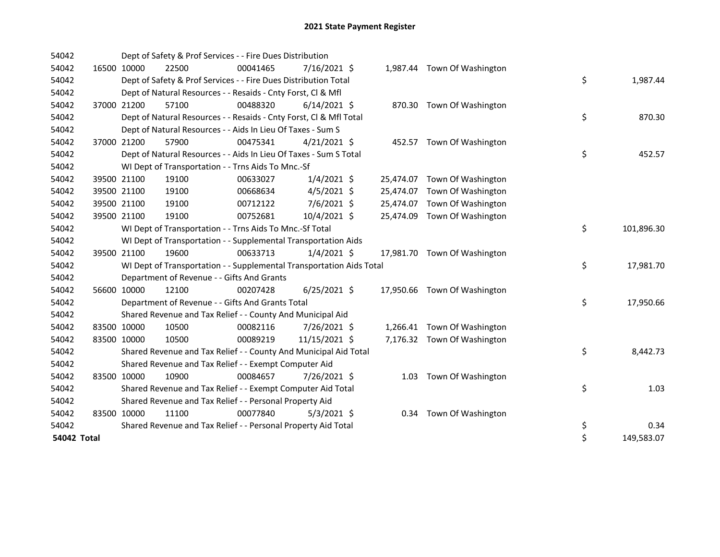| 54042       |             |                                            | Dept of Safety & Prof Services - - Fire Dues Distribution            |                |  |                              |    |            |
|-------------|-------------|--------------------------------------------|----------------------------------------------------------------------|----------------|--|------------------------------|----|------------|
| 54042       | 16500 10000 | 22500                                      | 00041465                                                             | $7/16/2021$ \$ |  | 1,987.44 Town Of Washington  |    |            |
| 54042       |             |                                            | Dept of Safety & Prof Services - - Fire Dues Distribution Total      |                |  |                              | \$ | 1,987.44   |
| 54042       |             |                                            | Dept of Natural Resources - - Resaids - Cnty Forst, CI & Mfl         |                |  |                              |    |            |
| 54042       | 37000 21200 | 57100                                      | 00488320                                                             | $6/14/2021$ \$ |  | 870.30 Town Of Washington    |    |            |
| 54042       |             |                                            | Dept of Natural Resources - - Resaids - Cnty Forst, Cl & Mfl Total   |                |  |                              | \$ | 870.30     |
| 54042       |             |                                            | Dept of Natural Resources - - Aids In Lieu Of Taxes - Sum S          |                |  |                              |    |            |
| 54042       | 37000 21200 | 57900                                      | 00475341                                                             | $4/21/2021$ \$ |  | 452.57 Town Of Washington    |    |            |
| 54042       |             |                                            | Dept of Natural Resources - - Aids In Lieu Of Taxes - Sum S Total    |                |  |                              | \$ | 452.57     |
| 54042       |             |                                            | WI Dept of Transportation - - Trns Aids To Mnc.-Sf                   |                |  |                              |    |            |
| 54042       | 39500 21100 | 19100                                      | 00633027                                                             | $1/4/2021$ \$  |  | 25,474.07 Town Of Washington |    |            |
| 54042       | 39500 21100 | 19100                                      | 00668634                                                             | $4/5/2021$ \$  |  | 25,474.07 Town Of Washington |    |            |
| 54042       | 39500 21100 | 19100                                      | 00712122                                                             | 7/6/2021 \$    |  | 25,474.07 Town Of Washington |    |            |
| 54042       | 39500 21100 | 19100                                      | 00752681                                                             | 10/4/2021 \$   |  | 25,474.09 Town Of Washington |    |            |
| 54042       |             |                                            | WI Dept of Transportation - - Trns Aids To Mnc.-Sf Total             |                |  |                              | \$ | 101,896.30 |
| 54042       |             |                                            | WI Dept of Transportation - - Supplemental Transportation Aids       |                |  |                              |    |            |
| 54042       | 39500 21100 | 19600                                      | 00633713                                                             | $1/4/2021$ \$  |  | 17,981.70 Town Of Washington |    |            |
| 54042       |             |                                            | WI Dept of Transportation - - Supplemental Transportation Aids Total |                |  |                              | \$ | 17,981.70  |
| 54042       |             | Department of Revenue - - Gifts And Grants |                                                                      |                |  |                              |    |            |
| 54042       | 56600 10000 | 12100                                      | 00207428                                                             | $6/25/2021$ \$ |  | 17,950.66 Town Of Washington |    |            |
| 54042       |             |                                            | Department of Revenue - - Gifts And Grants Total                     |                |  |                              | \$ | 17,950.66  |
| 54042       |             |                                            | Shared Revenue and Tax Relief - - County And Municipal Aid           |                |  |                              |    |            |
| 54042       | 83500 10000 | 10500                                      | 00082116                                                             | 7/26/2021 \$   |  | 1,266.41 Town Of Washington  |    |            |
| 54042       | 83500 10000 | 10500                                      | 00089219                                                             | 11/15/2021 \$  |  | 7,176.32 Town Of Washington  |    |            |
| 54042       |             |                                            | Shared Revenue and Tax Relief - - County And Municipal Aid Total     |                |  |                              | \$ | 8,442.73   |
| 54042       |             |                                            | Shared Revenue and Tax Relief - - Exempt Computer Aid                |                |  |                              |    |            |
| 54042       | 83500 10000 | 10900                                      | 00084657                                                             | 7/26/2021 \$   |  | 1.03 Town Of Washington      |    |            |
| 54042       |             |                                            | Shared Revenue and Tax Relief - - Exempt Computer Aid Total          |                |  |                              | \$ | 1.03       |
| 54042       |             |                                            | Shared Revenue and Tax Relief - - Personal Property Aid              |                |  |                              |    |            |
| 54042       | 83500 10000 | 11100                                      | 00077840                                                             | $5/3/2021$ \$  |  | 0.34 Town Of Washington      |    |            |
| 54042       |             |                                            | Shared Revenue and Tax Relief - - Personal Property Aid Total        |                |  |                              | \$ | 0.34       |
| 54042 Total |             |                                            |                                                                      |                |  |                              | \$ | 149,583.07 |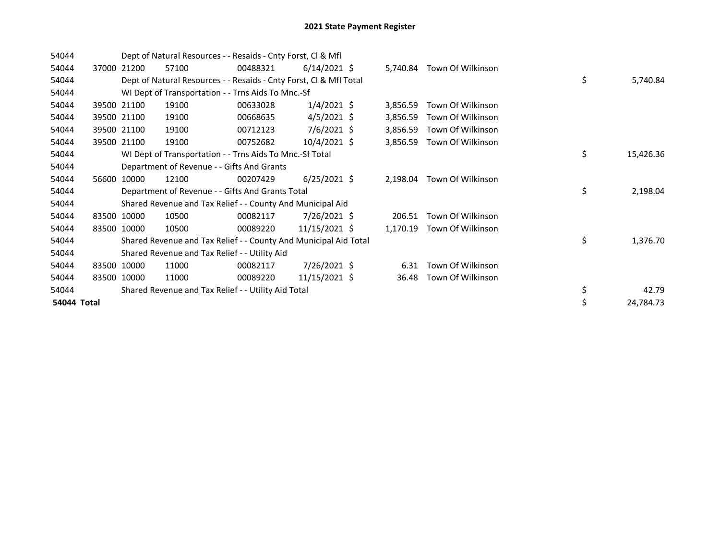| 54044       |       |             | Dept of Natural Resources - - Resaids - Cnty Forst, Cl & Mfl       |          |                 |          |                            |    |           |
|-------------|-------|-------------|--------------------------------------------------------------------|----------|-----------------|----------|----------------------------|----|-----------|
| 54044       | 37000 | 21200       | 57100                                                              | 00488321 | $6/14/2021$ \$  |          | 5,740.84 Town Of Wilkinson |    |           |
| 54044       |       |             | Dept of Natural Resources - - Resaids - Cnty Forst, Cl & Mfl Total |          |                 |          |                            | \$ | 5,740.84  |
| 54044       |       |             | WI Dept of Transportation - - Trns Aids To Mnc.-Sf                 |          |                 |          |                            |    |           |
| 54044       | 39500 | 21100       | 19100                                                              | 00633028 | $1/4/2021$ \$   | 3,856.59 | Town Of Wilkinson          |    |           |
| 54044       |       | 39500 21100 | 19100                                                              | 00668635 | $4/5/2021$ \$   | 3,856.59 | Town Of Wilkinson          |    |           |
| 54044       |       | 39500 21100 | 19100                                                              | 00712123 | $7/6/2021$ \$   | 3,856.59 | Town Of Wilkinson          |    |           |
| 54044       |       | 39500 21100 | 19100                                                              | 00752682 | $10/4/2021$ \$  | 3,856.59 | Town Of Wilkinson          |    |           |
| 54044       |       |             | WI Dept of Transportation - - Trns Aids To Mnc.-Sf Total           |          |                 |          |                            | \$ | 15,426.36 |
| 54044       |       |             | Department of Revenue - - Gifts And Grants                         |          |                 |          |                            |    |           |
| 54044       | 56600 | 10000       | 12100                                                              | 00207429 | $6/25/2021$ \$  | 2,198.04 | Town Of Wilkinson          |    |           |
| 54044       |       |             | Department of Revenue - - Gifts And Grants Total                   |          |                 |          |                            | \$ | 2,198.04  |
| 54044       |       |             | Shared Revenue and Tax Relief - - County And Municipal Aid         |          |                 |          |                            |    |           |
| 54044       |       | 83500 10000 | 10500                                                              | 00082117 | 7/26/2021 \$    | 206.51   | Town Of Wilkinson          |    |           |
| 54044       |       | 83500 10000 | 10500                                                              | 00089220 | 11/15/2021 \$   | 1,170.19 | Town Of Wilkinson          |    |           |
| 54044       |       |             | Shared Revenue and Tax Relief - - County And Municipal Aid Total   |          |                 |          |                            | \$ | 1,376.70  |
| 54044       |       |             | Shared Revenue and Tax Relief - - Utility Aid                      |          |                 |          |                            |    |           |
| 54044       |       | 83500 10000 | 11000                                                              | 00082117 | 7/26/2021 \$    | 6.31     | Town Of Wilkinson          |    |           |
| 54044       |       | 83500 10000 | 11000                                                              | 00089220 | $11/15/2021$ \$ | 36.48    | Town Of Wilkinson          |    |           |
| 54044       |       |             | Shared Revenue and Tax Relief - - Utility Aid Total                |          |                 |          |                            | \$ | 42.79     |
| 54044 Total |       |             |                                                                    |          |                 |          |                            | \$ | 24,784.73 |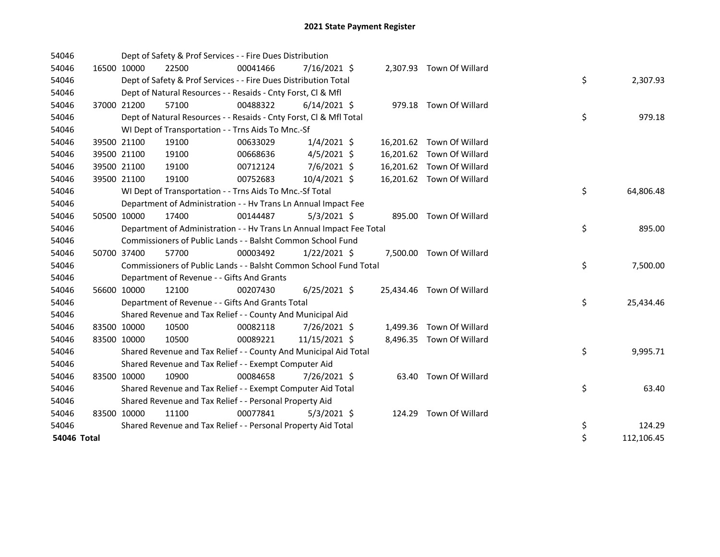| 54046       |             | Dept of Safety & Prof Services - - Fire Dues Distribution            |          |                |  |                           |    |            |
|-------------|-------------|----------------------------------------------------------------------|----------|----------------|--|---------------------------|----|------------|
| 54046       | 16500 10000 | 22500                                                                | 00041466 | $7/16/2021$ \$ |  | 2,307.93 Town Of Willard  |    |            |
| 54046       |             | Dept of Safety & Prof Services - - Fire Dues Distribution Total      |          |                |  |                           | \$ | 2,307.93   |
| 54046       |             | Dept of Natural Resources - - Resaids - Cnty Forst, CI & Mfl         |          |                |  |                           |    |            |
| 54046       | 37000 21200 | 57100                                                                | 00488322 | $6/14/2021$ \$ |  | 979.18 Town Of Willard    |    |            |
| 54046       |             | Dept of Natural Resources - - Resaids - Cnty Forst, CI & Mfl Total   |          |                |  |                           | \$ | 979.18     |
| 54046       |             | WI Dept of Transportation - - Trns Aids To Mnc.-Sf                   |          |                |  |                           |    |            |
| 54046       | 39500 21100 | 19100                                                                | 00633029 | $1/4/2021$ \$  |  | 16,201.62 Town Of Willard |    |            |
| 54046       | 39500 21100 | 19100                                                                | 00668636 | $4/5/2021$ \$  |  | 16,201.62 Town Of Willard |    |            |
| 54046       | 39500 21100 | 19100                                                                | 00712124 | 7/6/2021 \$    |  | 16,201.62 Town Of Willard |    |            |
| 54046       | 39500 21100 | 19100                                                                | 00752683 | 10/4/2021 \$   |  | 16,201.62 Town Of Willard |    |            |
| 54046       |             | WI Dept of Transportation - - Trns Aids To Mnc.-Sf Total             |          |                |  |                           | \$ | 64,806.48  |
| 54046       |             | Department of Administration - - Hv Trans Ln Annual Impact Fee       |          |                |  |                           |    |            |
| 54046       | 50500 10000 | 17400                                                                | 00144487 | $5/3/2021$ \$  |  | 895.00 Town Of Willard    |    |            |
| 54046       |             | Department of Administration - - Hv Trans Ln Annual Impact Fee Total |          |                |  |                           | \$ | 895.00     |
| 54046       |             | Commissioners of Public Lands - - Balsht Common School Fund          |          |                |  |                           |    |            |
| 54046       | 50700 37400 | 57700                                                                | 00003492 | $1/22/2021$ \$ |  | 7,500.00 Town Of Willard  |    |            |
| 54046       |             | Commissioners of Public Lands - - Balsht Common School Fund Total    |          |                |  |                           | \$ | 7,500.00   |
| 54046       |             | Department of Revenue - - Gifts And Grants                           |          |                |  |                           |    |            |
| 54046       | 56600 10000 | 12100                                                                | 00207430 | $6/25/2021$ \$ |  | 25,434.46 Town Of Willard |    |            |
| 54046       |             | Department of Revenue - - Gifts And Grants Total                     |          |                |  |                           | \$ | 25,434.46  |
| 54046       |             | Shared Revenue and Tax Relief - - County And Municipal Aid           |          |                |  |                           |    |            |
| 54046       | 83500 10000 | 10500                                                                | 00082118 | 7/26/2021 \$   |  | 1,499.36 Town Of Willard  |    |            |
| 54046       | 83500 10000 | 10500                                                                | 00089221 | 11/15/2021 \$  |  | 8,496.35 Town Of Willard  |    |            |
| 54046       |             | Shared Revenue and Tax Relief - - County And Municipal Aid Total     |          |                |  |                           | \$ | 9,995.71   |
| 54046       |             | Shared Revenue and Tax Relief - - Exempt Computer Aid                |          |                |  |                           |    |            |
| 54046       | 83500 10000 | 10900                                                                | 00084658 | 7/26/2021 \$   |  | 63.40 Town Of Willard     |    |            |
| 54046       |             | Shared Revenue and Tax Relief - - Exempt Computer Aid Total          |          |                |  |                           | \$ | 63.40      |
| 54046       |             | Shared Revenue and Tax Relief - - Personal Property Aid              |          |                |  |                           |    |            |
| 54046       | 83500 10000 | 11100                                                                | 00077841 | $5/3/2021$ \$  |  | 124.29 Town Of Willard    |    |            |
| 54046       |             | Shared Revenue and Tax Relief - - Personal Property Aid Total        |          |                |  |                           | \$ | 124.29     |
| 54046 Total |             |                                                                      |          |                |  |                           | \$ | 112,106.45 |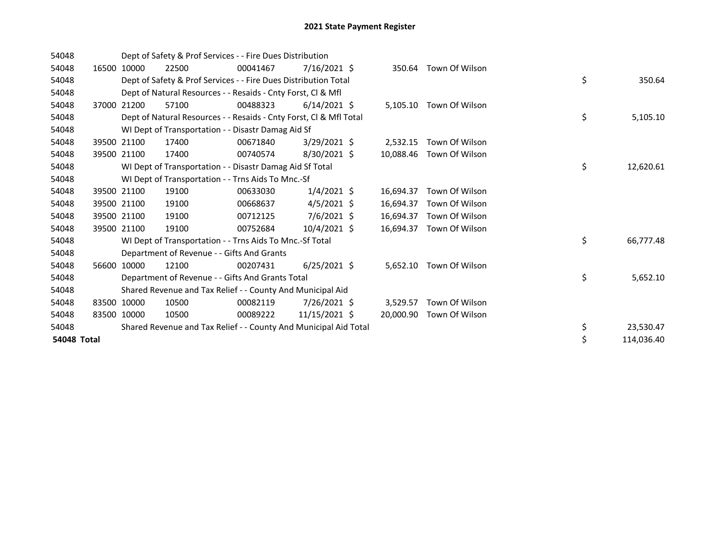| 54048       |       |             | Dept of Safety & Prof Services - - Fire Dues Distribution          |          |                |           |                |    |            |
|-------------|-------|-------------|--------------------------------------------------------------------|----------|----------------|-----------|----------------|----|------------|
| 54048       | 16500 | 10000       | 22500                                                              | 00041467 | $7/16/2021$ \$ | 350.64    | Town Of Wilson |    |            |
| 54048       |       |             | Dept of Safety & Prof Services - - Fire Dues Distribution Total    |          |                |           |                | \$ | 350.64     |
| 54048       |       |             | Dept of Natural Resources - - Resaids - Cnty Forst, CI & Mfl       |          |                |           |                |    |            |
| 54048       |       | 37000 21200 | 57100                                                              | 00488323 | $6/14/2021$ \$ | 5,105.10  | Town Of Wilson |    |            |
| 54048       |       |             | Dept of Natural Resources - - Resaids - Cnty Forst, Cl & Mfl Total |          |                |           |                | \$ | 5,105.10   |
| 54048       |       |             | WI Dept of Transportation - - Disastr Damag Aid Sf                 |          |                |           |                |    |            |
| 54048       |       | 39500 21100 | 17400                                                              | 00671840 | $3/29/2021$ \$ | 2,532.15  | Town Of Wilson |    |            |
| 54048       | 39500 | 21100       | 17400                                                              | 00740574 | 8/30/2021 \$   | 10.088.46 | Town Of Wilson |    |            |
| 54048       |       |             | WI Dept of Transportation - - Disastr Damag Aid Sf Total           |          |                |           |                | \$ | 12,620.61  |
| 54048       |       |             | WI Dept of Transportation - - Trns Aids To Mnc.-Sf                 |          |                |           |                |    |            |
| 54048       |       | 39500 21100 | 19100                                                              | 00633030 | $1/4/2021$ \$  | 16,694.37 | Town Of Wilson |    |            |
| 54048       |       | 39500 21100 | 19100                                                              | 00668637 | $4/5/2021$ \$  | 16,694.37 | Town Of Wilson |    |            |
| 54048       |       | 39500 21100 | 19100                                                              | 00712125 | $7/6/2021$ \$  | 16,694.37 | Town Of Wilson |    |            |
| 54048       |       | 39500 21100 | 19100                                                              | 00752684 | $10/4/2021$ \$ | 16.694.37 | Town Of Wilson |    |            |
| 54048       |       |             | WI Dept of Transportation - - Trns Aids To Mnc.-Sf Total           |          |                |           |                | \$ | 66,777.48  |
| 54048       |       |             | Department of Revenue - - Gifts And Grants                         |          |                |           |                |    |            |
| 54048       | 56600 | 10000       | 12100                                                              | 00207431 | $6/25/2021$ \$ | 5,652.10  | Town Of Wilson |    |            |
| 54048       |       |             | Department of Revenue - - Gifts And Grants Total                   |          |                |           |                | \$ | 5,652.10   |
| 54048       |       |             | Shared Revenue and Tax Relief - - County And Municipal Aid         |          |                |           |                |    |            |
| 54048       |       | 83500 10000 | 10500                                                              | 00082119 | $7/26/2021$ \$ | 3.529.57  | Town Of Wilson |    |            |
| 54048       |       | 83500 10000 | 10500                                                              | 00089222 | 11/15/2021 \$  | 20,000.90 | Town Of Wilson |    |            |
| 54048       |       |             | Shared Revenue and Tax Relief - - County And Municipal Aid Total   |          |                |           |                | \$ | 23,530.47  |
| 54048 Total |       |             |                                                                    |          |                |           |                | \$ | 114,036.40 |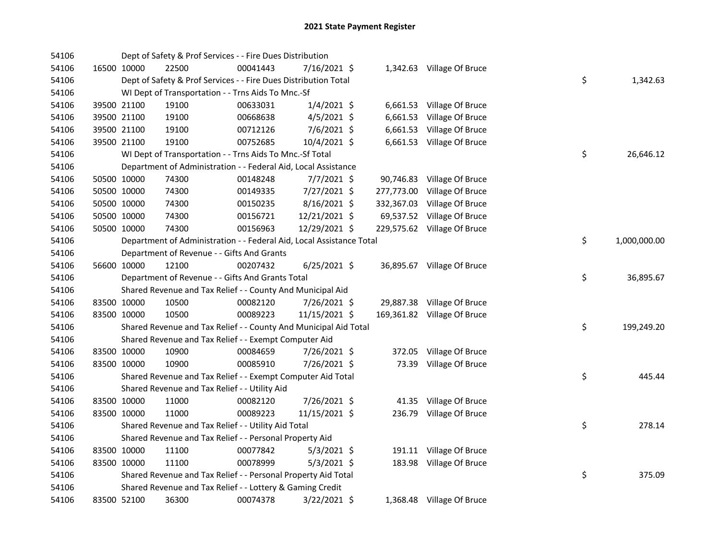| 54106 |             | Dept of Safety & Prof Services - - Fire Dues Distribution            |          |                |        |                             |    |              |
|-------|-------------|----------------------------------------------------------------------|----------|----------------|--------|-----------------------------|----|--------------|
| 54106 | 16500 10000 | 22500                                                                | 00041443 | 7/16/2021 \$   |        | 1,342.63 Village Of Bruce   |    |              |
| 54106 |             | Dept of Safety & Prof Services - - Fire Dues Distribution Total      |          |                |        |                             | \$ | 1,342.63     |
| 54106 |             | WI Dept of Transportation - - Trns Aids To Mnc.-Sf                   |          |                |        |                             |    |              |
| 54106 | 39500 21100 | 19100                                                                | 00633031 | $1/4/2021$ \$  |        | 6,661.53 Village Of Bruce   |    |              |
| 54106 | 39500 21100 | 19100                                                                | 00668638 | $4/5/2021$ \$  |        | 6,661.53 Village Of Bruce   |    |              |
| 54106 | 39500 21100 | 19100                                                                | 00712126 | 7/6/2021 \$    |        | 6,661.53 Village Of Bruce   |    |              |
| 54106 | 39500 21100 | 19100                                                                | 00752685 | 10/4/2021 \$   |        | 6,661.53 Village Of Bruce   |    |              |
| 54106 |             | WI Dept of Transportation - - Trns Aids To Mnc.-Sf Total             |          |                |        |                             | \$ | 26,646.12    |
| 54106 |             | Department of Administration - - Federal Aid, Local Assistance       |          |                |        |                             |    |              |
| 54106 | 50500 10000 | 74300                                                                | 00148248 | $7/7/2021$ \$  |        | 90,746.83 Village Of Bruce  |    |              |
| 54106 | 50500 10000 | 74300                                                                | 00149335 | 7/27/2021 \$   |        | 277,773.00 Village Of Bruce |    |              |
| 54106 | 50500 10000 | 74300                                                                | 00150235 | $8/16/2021$ \$ |        | 332,367.03 Village Of Bruce |    |              |
| 54106 | 50500 10000 | 74300                                                                | 00156721 | 12/21/2021 \$  |        | 69,537.52 Village Of Bruce  |    |              |
| 54106 | 50500 10000 | 74300                                                                | 00156963 | 12/29/2021 \$  |        | 229,575.62 Village Of Bruce |    |              |
| 54106 |             | Department of Administration - - Federal Aid, Local Assistance Total |          |                |        |                             | \$ | 1,000,000.00 |
| 54106 |             | Department of Revenue - - Gifts And Grants                           |          |                |        |                             |    |              |
| 54106 | 56600 10000 | 12100                                                                | 00207432 | $6/25/2021$ \$ |        | 36,895.67 Village Of Bruce  |    |              |
| 54106 |             | Department of Revenue - - Gifts And Grants Total                     |          |                |        |                             | \$ | 36,895.67    |
| 54106 |             | Shared Revenue and Tax Relief - - County And Municipal Aid           |          |                |        |                             |    |              |
| 54106 | 83500 10000 | 10500                                                                | 00082120 | 7/26/2021 \$   |        | 29,887.38 Village Of Bruce  |    |              |
| 54106 | 83500 10000 | 10500                                                                | 00089223 | 11/15/2021 \$  |        | 169,361.82 Village Of Bruce |    |              |
| 54106 |             | Shared Revenue and Tax Relief - - County And Municipal Aid Total     |          |                |        |                             | \$ | 199,249.20   |
| 54106 |             | Shared Revenue and Tax Relief - - Exempt Computer Aid                |          |                |        |                             |    |              |
| 54106 | 83500 10000 | 10900                                                                | 00084659 | 7/26/2021 \$   | 372.05 | Village Of Bruce            |    |              |
| 54106 | 83500 10000 | 10900                                                                | 00085910 | 7/26/2021 \$   | 73.39  | Village Of Bruce            |    |              |
| 54106 |             | Shared Revenue and Tax Relief - - Exempt Computer Aid Total          |          |                |        |                             | \$ | 445.44       |
| 54106 |             | Shared Revenue and Tax Relief - - Utility Aid                        |          |                |        |                             |    |              |
| 54106 | 83500 10000 | 11000                                                                | 00082120 | 7/26/2021 \$   |        | 41.35 Village Of Bruce      |    |              |
| 54106 | 83500 10000 | 11000                                                                | 00089223 | 11/15/2021 \$  |        | 236.79 Village Of Bruce     |    |              |
| 54106 |             | Shared Revenue and Tax Relief - - Utility Aid Total                  |          |                |        |                             | \$ | 278.14       |
| 54106 |             | Shared Revenue and Tax Relief - - Personal Property Aid              |          |                |        |                             |    |              |
| 54106 | 83500 10000 | 11100                                                                | 00077842 | $5/3/2021$ \$  |        | 191.11 Village Of Bruce     |    |              |
| 54106 | 83500 10000 | 11100                                                                | 00078999 | $5/3/2021$ \$  |        | 183.98 Village Of Bruce     |    |              |
| 54106 |             | Shared Revenue and Tax Relief - - Personal Property Aid Total        |          |                |        |                             | \$ | 375.09       |
| 54106 |             | Shared Revenue and Tax Relief - - Lottery & Gaming Credit            |          |                |        |                             |    |              |
| 54106 | 83500 52100 | 36300                                                                | 00074378 | 3/22/2021 \$   |        | 1,368.48 Village Of Bruce   |    |              |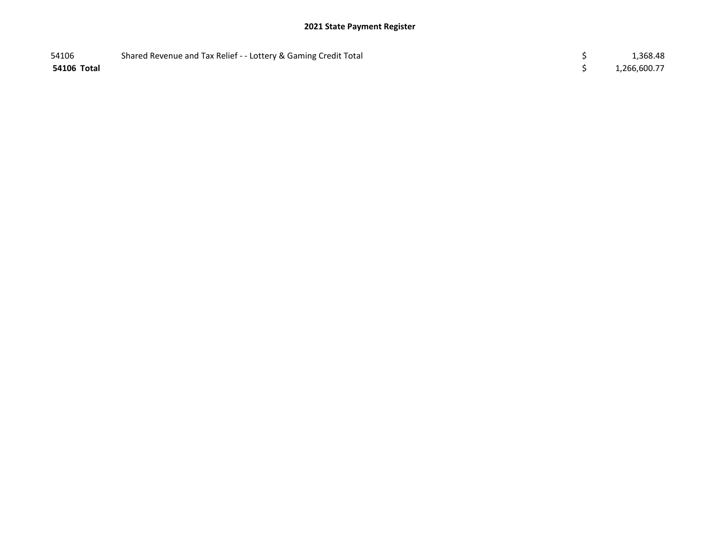| 54106       | Shared Revenue and Tax Relief - - Lottery & Gaming Credit Total | 1,368.48     |
|-------------|-----------------------------------------------------------------|--------------|
| 54106 Total |                                                                 | 1,266,600.77 |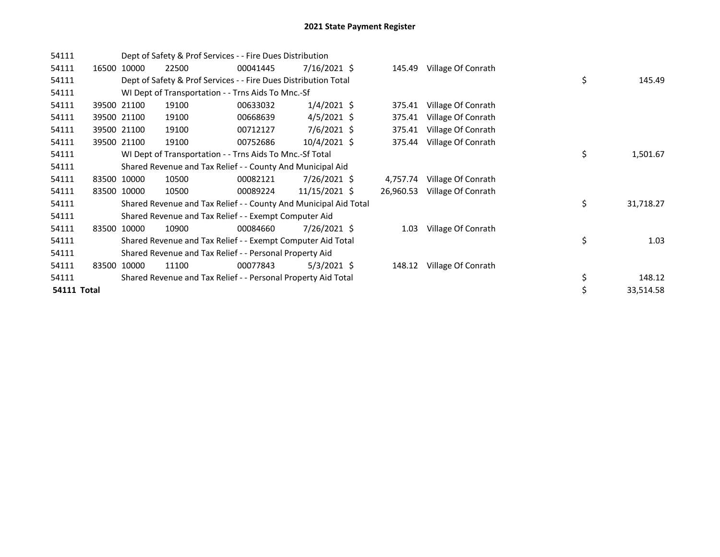| 54111       |       |             |       | Dept of Safety & Prof Services - - Fire Dues Distribution        |                |           |                    |    |           |
|-------------|-------|-------------|-------|------------------------------------------------------------------|----------------|-----------|--------------------|----|-----------|
| 54111       |       | 16500 10000 | 22500 | 00041445                                                         | $7/16/2021$ \$ | 145.49    | Village Of Conrath |    |           |
| 54111       |       |             |       | Dept of Safety & Prof Services - - Fire Dues Distribution Total  |                |           |                    | \$ | 145.49    |
| 54111       |       |             |       | WI Dept of Transportation - - Trns Aids To Mnc.-Sf               |                |           |                    |    |           |
| 54111       |       | 39500 21100 | 19100 | 00633032                                                         | $1/4/2021$ \$  | 375.41    | Village Of Conrath |    |           |
| 54111       |       | 39500 21100 | 19100 | 00668639                                                         | $4/5/2021$ \$  | 375.41    | Village Of Conrath |    |           |
| 54111       |       | 39500 21100 | 19100 | 00712127                                                         | $7/6/2021$ \$  | 375.41    | Village Of Conrath |    |           |
| 54111       |       | 39500 21100 | 19100 | 00752686                                                         | 10/4/2021 \$   | 375.44    | Village Of Conrath |    |           |
| 54111       |       |             |       | WI Dept of Transportation - - Trns Aids To Mnc.-Sf Total         |                |           |                    | \$ | 1,501.67  |
| 54111       |       |             |       | Shared Revenue and Tax Relief - - County And Municipal Aid       |                |           |                    |    |           |
| 54111       |       | 83500 10000 | 10500 | 00082121                                                         | 7/26/2021 \$   | 4,757.74  | Village Of Conrath |    |           |
| 54111       |       | 83500 10000 | 10500 | 00089224                                                         | 11/15/2021 \$  | 26,960.53 | Village Of Conrath |    |           |
| 54111       |       |             |       | Shared Revenue and Tax Relief - - County And Municipal Aid Total |                |           |                    | \$ | 31,718.27 |
| 54111       |       |             |       | Shared Revenue and Tax Relief - - Exempt Computer Aid            |                |           |                    |    |           |
| 54111       | 83500 | 10000       | 10900 | 00084660                                                         | 7/26/2021 \$   | 1.03      | Village Of Conrath |    |           |
| 54111       |       |             |       | Shared Revenue and Tax Relief - - Exempt Computer Aid Total      |                |           |                    | \$ | 1.03      |
| 54111       |       |             |       | Shared Revenue and Tax Relief - - Personal Property Aid          |                |           |                    |    |           |
| 54111       |       | 83500 10000 | 11100 | 00077843                                                         | $5/3/2021$ \$  | 148.12    | Village Of Conrath |    |           |
| 54111       |       |             |       | Shared Revenue and Tax Relief - - Personal Property Aid Total    |                |           |                    | \$ | 148.12    |
| 54111 Total |       |             |       |                                                                  |                |           |                    | \$ | 33,514.58 |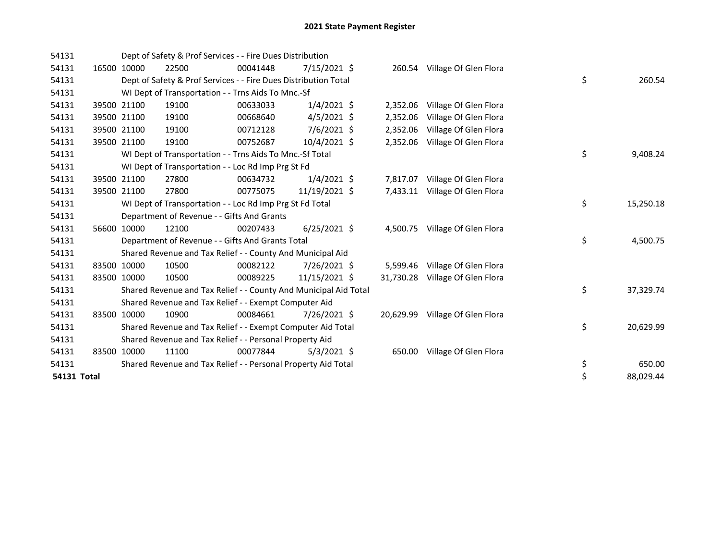| 54131              |       |             | Dept of Safety & Prof Services - - Fire Dues Distribution        |          |                |           |                                 |    |           |
|--------------------|-------|-------------|------------------------------------------------------------------|----------|----------------|-----------|---------------------------------|----|-----------|
| 54131              |       | 16500 10000 | 22500                                                            | 00041448 | $7/15/2021$ \$ |           | 260.54 Village Of Glen Flora    |    |           |
| 54131              |       |             | Dept of Safety & Prof Services - - Fire Dues Distribution Total  |          |                |           |                                 | \$ | 260.54    |
| 54131              |       |             | WI Dept of Transportation - - Trns Aids To Mnc.-Sf               |          |                |           |                                 |    |           |
| 54131              |       | 39500 21100 | 19100                                                            | 00633033 | $1/4/2021$ \$  | 2,352.06  | Village Of Glen Flora           |    |           |
| 54131              |       | 39500 21100 | 19100                                                            | 00668640 | $4/5/2021$ \$  | 2,352.06  | Village Of Glen Flora           |    |           |
| 54131              |       | 39500 21100 | 19100                                                            | 00712128 | 7/6/2021 \$    | 2,352.06  | Village Of Glen Flora           |    |           |
| 54131              |       | 39500 21100 | 19100                                                            | 00752687 | 10/4/2021 \$   | 2,352.06  | Village Of Glen Flora           |    |           |
| 54131              |       |             | WI Dept of Transportation - - Trns Aids To Mnc.-Sf Total         |          |                |           |                                 | \$ | 9,408.24  |
| 54131              |       |             | WI Dept of Transportation - - Loc Rd Imp Prg St Fd               |          |                |           |                                 |    |           |
| 54131              |       | 39500 21100 | 27800                                                            | 00634732 | $1/4/2021$ \$  | 7,817.07  | Village Of Glen Flora           |    |           |
| 54131              |       | 39500 21100 | 27800                                                            | 00775075 | 11/19/2021 \$  | 7,433.11  | Village Of Glen Flora           |    |           |
| 54131              |       |             | WI Dept of Transportation - - Loc Rd Imp Prg St Fd Total         |          |                |           |                                 | \$ | 15,250.18 |
| 54131              |       |             | Department of Revenue - - Gifts And Grants                       |          |                |           |                                 |    |           |
| 54131              |       | 56600 10000 | 12100                                                            | 00207433 | $6/25/2021$ \$ |           | 4,500.75 Village Of Glen Flora  |    |           |
| 54131              |       |             | Department of Revenue - - Gifts And Grants Total                 |          |                |           |                                 | \$ | 4,500.75  |
| 54131              |       |             | Shared Revenue and Tax Relief - - County And Municipal Aid       |          |                |           |                                 |    |           |
| 54131              | 83500 | 10000       | 10500                                                            | 00082122 | 7/26/2021 \$   |           | 5,599.46 Village Of Glen Flora  |    |           |
| 54131              |       | 83500 10000 | 10500                                                            | 00089225 | 11/15/2021 \$  | 31,730.28 | Village Of Glen Flora           |    |           |
| 54131              |       |             | Shared Revenue and Tax Relief - - County And Municipal Aid Total |          |                |           |                                 | \$ | 37,329.74 |
| 54131              |       |             | Shared Revenue and Tax Relief - - Exempt Computer Aid            |          |                |           |                                 |    |           |
| 54131              |       | 83500 10000 | 10900                                                            | 00084661 | 7/26/2021 \$   |           | 20,629.99 Village Of Glen Flora |    |           |
| 54131              |       |             | Shared Revenue and Tax Relief - - Exempt Computer Aid Total      |          |                |           |                                 | \$ | 20,629.99 |
| 54131              |       |             | Shared Revenue and Tax Relief - - Personal Property Aid          |          |                |           |                                 |    |           |
| 54131              |       | 83500 10000 | 11100                                                            | 00077844 | $5/3/2021$ \$  | 650.00    | Village Of Glen Flora           |    |           |
| 54131              |       |             | Shared Revenue and Tax Relief - - Personal Property Aid Total    |          |                |           |                                 | \$ | 650.00    |
| <b>54131 Total</b> |       |             |                                                                  |          |                |           |                                 | \$ | 88,029.44 |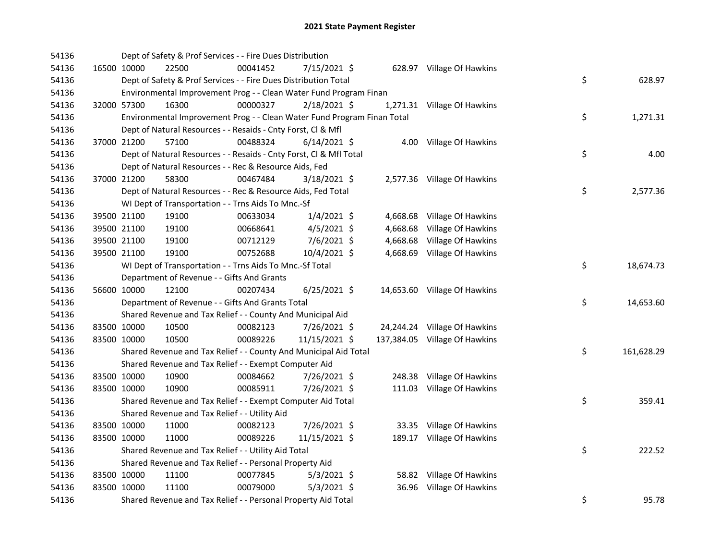| 54136 |             | Dept of Safety & Prof Services - - Fire Dues Distribution               |          |                |  |                               |    |            |
|-------|-------------|-------------------------------------------------------------------------|----------|----------------|--|-------------------------------|----|------------|
| 54136 | 16500 10000 | 22500                                                                   | 00041452 | 7/15/2021 \$   |  | 628.97 Village Of Hawkins     |    |            |
| 54136 |             | Dept of Safety & Prof Services - - Fire Dues Distribution Total         |          |                |  |                               | \$ | 628.97     |
| 54136 |             | Environmental Improvement Prog - - Clean Water Fund Program Finan       |          |                |  |                               |    |            |
| 54136 | 32000 57300 | 16300                                                                   | 00000327 | 2/18/2021 \$   |  | 1,271.31 Village Of Hawkins   |    |            |
| 54136 |             | Environmental Improvement Prog - - Clean Water Fund Program Finan Total |          |                |  |                               | \$ | 1,271.31   |
| 54136 |             | Dept of Natural Resources - - Resaids - Cnty Forst, Cl & Mfl            |          |                |  |                               |    |            |
| 54136 | 37000 21200 | 57100                                                                   | 00488324 | $6/14/2021$ \$ |  | 4.00 Village Of Hawkins       |    |            |
| 54136 |             | Dept of Natural Resources - - Resaids - Cnty Forst, Cl & Mfl Total      |          |                |  |                               | \$ | 4.00       |
| 54136 |             | Dept of Natural Resources - - Rec & Resource Aids, Fed                  |          |                |  |                               |    |            |
| 54136 | 37000 21200 | 58300                                                                   | 00467484 | $3/18/2021$ \$ |  | 2,577.36 Village Of Hawkins   |    |            |
| 54136 |             | Dept of Natural Resources - - Rec & Resource Aids, Fed Total            |          |                |  |                               | \$ | 2,577.36   |
| 54136 |             | WI Dept of Transportation - - Trns Aids To Mnc.-Sf                      |          |                |  |                               |    |            |
| 54136 | 39500 21100 | 19100                                                                   | 00633034 | $1/4/2021$ \$  |  | 4,668.68 Village Of Hawkins   |    |            |
| 54136 | 39500 21100 | 19100                                                                   | 00668641 | $4/5/2021$ \$  |  | 4,668.68 Village Of Hawkins   |    |            |
| 54136 | 39500 21100 | 19100                                                                   | 00712129 | 7/6/2021 \$    |  | 4,668.68 Village Of Hawkins   |    |            |
| 54136 | 39500 21100 | 19100                                                                   | 00752688 | 10/4/2021 \$   |  | 4,668.69 Village Of Hawkins   |    |            |
| 54136 |             | WI Dept of Transportation - - Trns Aids To Mnc.-Sf Total                |          |                |  |                               | \$ | 18,674.73  |
| 54136 |             | Department of Revenue - - Gifts And Grants                              |          |                |  |                               |    |            |
| 54136 | 56600 10000 | 12100                                                                   | 00207434 | $6/25/2021$ \$ |  | 14,653.60 Village Of Hawkins  |    |            |
| 54136 |             | Department of Revenue - - Gifts And Grants Total                        |          |                |  |                               | \$ | 14,653.60  |
| 54136 |             | Shared Revenue and Tax Relief - - County And Municipal Aid              |          |                |  |                               |    |            |
| 54136 | 83500 10000 | 10500                                                                   | 00082123 | 7/26/2021 \$   |  | 24,244.24 Village Of Hawkins  |    |            |
| 54136 | 83500 10000 | 10500                                                                   | 00089226 | 11/15/2021 \$  |  | 137,384.05 Village Of Hawkins |    |            |
| 54136 |             | Shared Revenue and Tax Relief - - County And Municipal Aid Total        |          |                |  |                               | \$ | 161,628.29 |
| 54136 |             | Shared Revenue and Tax Relief - - Exempt Computer Aid                   |          |                |  |                               |    |            |
| 54136 | 83500 10000 | 10900                                                                   | 00084662 | 7/26/2021 \$   |  | 248.38 Village Of Hawkins     |    |            |
| 54136 | 83500 10000 | 10900                                                                   | 00085911 | 7/26/2021 \$   |  | 111.03 Village Of Hawkins     |    |            |
| 54136 |             | Shared Revenue and Tax Relief - - Exempt Computer Aid Total             |          |                |  |                               | \$ | 359.41     |
| 54136 |             | Shared Revenue and Tax Relief - - Utility Aid                           |          |                |  |                               |    |            |
| 54136 | 83500 10000 | 11000                                                                   | 00082123 | 7/26/2021 \$   |  | 33.35 Village Of Hawkins      |    |            |
| 54136 | 83500 10000 | 11000                                                                   | 00089226 | 11/15/2021 \$  |  | 189.17 Village Of Hawkins     |    |            |
| 54136 |             | Shared Revenue and Tax Relief - - Utility Aid Total                     |          |                |  |                               | \$ | 222.52     |
| 54136 |             | Shared Revenue and Tax Relief - - Personal Property Aid                 |          |                |  |                               |    |            |
| 54136 | 83500 10000 | 11100                                                                   | 00077845 | $5/3/2021$ \$  |  | 58.82 Village Of Hawkins      |    |            |
| 54136 | 83500 10000 | 11100                                                                   | 00079000 | $5/3/2021$ \$  |  | 36.96 Village Of Hawkins      |    |            |
| 54136 |             | Shared Revenue and Tax Relief - - Personal Property Aid Total           |          |                |  |                               | \$ | 95.78      |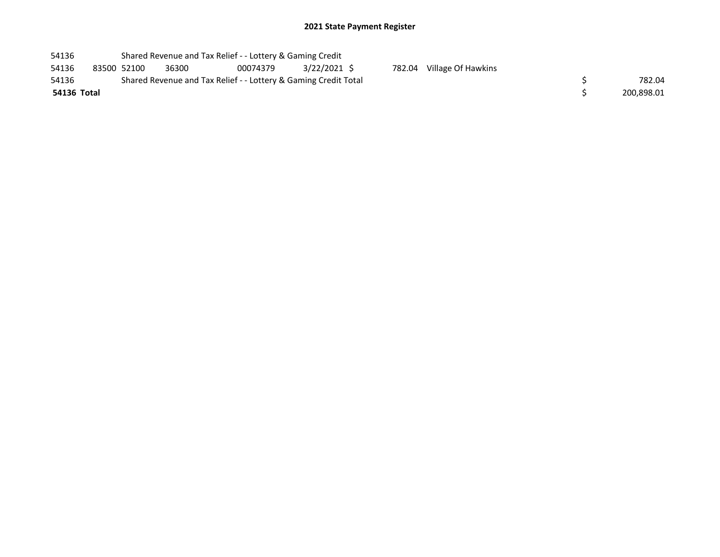| 54136       |             | Shared Revenue and Tax Relief - - Lottery & Gaming Credit       |          |              |        |                    |            |
|-------------|-------------|-----------------------------------------------------------------|----------|--------------|--------|--------------------|------------|
| 54136       | 83500 52100 | 36300                                                           | 00074379 | 3/22/2021 \$ | 782.04 | Village Of Hawkins |            |
| 54136       |             | Shared Revenue and Tax Relief - - Lottery & Gaming Credit Total |          |              |        |                    | 782.04     |
| 54136 Total |             |                                                                 |          |              |        |                    | 200.898.01 |
|             |             |                                                                 |          |              |        |                    |            |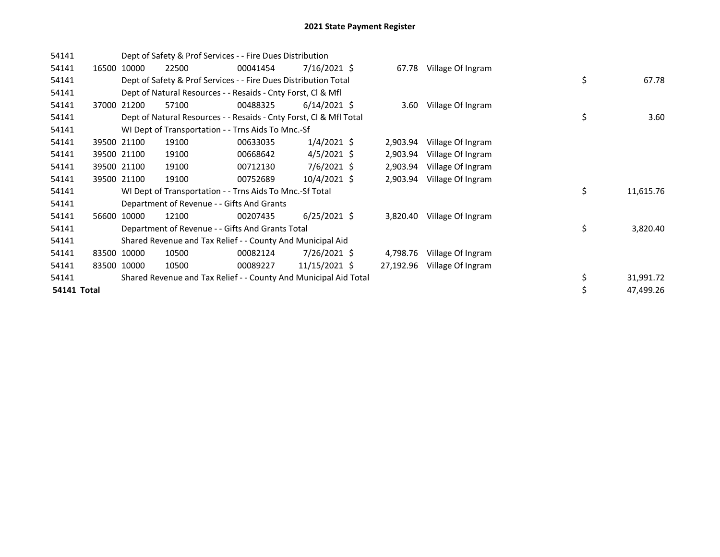| 54141       |             |                                            | Dept of Safety & Prof Services - - Fire Dues Distribution          |                |           |                   |    |           |
|-------------|-------------|--------------------------------------------|--------------------------------------------------------------------|----------------|-----------|-------------------|----|-----------|
| 54141       | 16500 10000 | 22500                                      | 00041454                                                           | $7/16/2021$ \$ | 67.78     | Village Of Ingram |    |           |
| 54141       |             |                                            | Dept of Safety & Prof Services - - Fire Dues Distribution Total    |                |           |                   | \$ | 67.78     |
| 54141       |             |                                            | Dept of Natural Resources - - Resaids - Cnty Forst, Cl & Mfl       |                |           |                   |    |           |
| 54141       | 37000 21200 | 57100                                      | 00488325                                                           | $6/14/2021$ \$ | 3.60      | Village Of Ingram |    |           |
| 54141       |             |                                            | Dept of Natural Resources - - Resaids - Cnty Forst, Cl & Mfl Total |                |           |                   | \$ | 3.60      |
| 54141       |             |                                            | WI Dept of Transportation - - Trns Aids To Mnc.-Sf                 |                |           |                   |    |           |
| 54141       | 39500 21100 | 19100                                      | 00633035                                                           | $1/4/2021$ \$  | 2,903.94  | Village Of Ingram |    |           |
| 54141       | 39500 21100 | 19100                                      | 00668642                                                           | $4/5/2021$ \$  | 2,903.94  | Village Of Ingram |    |           |
| 54141       | 39500 21100 | 19100                                      | 00712130                                                           | $7/6/2021$ \$  | 2,903.94  | Village Of Ingram |    |           |
| 54141       | 39500 21100 | 19100                                      | 00752689                                                           | $10/4/2021$ \$ | 2,903.94  | Village Of Ingram |    |           |
| 54141       |             |                                            | WI Dept of Transportation - - Trns Aids To Mnc.-Sf Total           |                |           |                   | \$ | 11,615.76 |
| 54141       |             | Department of Revenue - - Gifts And Grants |                                                                    |                |           |                   |    |           |
| 54141       | 56600 10000 | 12100                                      | 00207435                                                           | $6/25/2021$ \$ | 3,820.40  | Village Of Ingram |    |           |
| 54141       |             |                                            | Department of Revenue - - Gifts And Grants Total                   |                |           |                   | \$ | 3,820.40  |
| 54141       |             |                                            | Shared Revenue and Tax Relief - - County And Municipal Aid         |                |           |                   |    |           |
| 54141       | 83500 10000 | 10500                                      | 00082124                                                           | 7/26/2021 \$   | 4,798.76  | Village Of Ingram |    |           |
| 54141       | 83500 10000 | 10500                                      | 00089227                                                           | 11/15/2021 \$  | 27,192.96 | Village Of Ingram |    |           |
| 54141       |             |                                            | Shared Revenue and Tax Relief - - County And Municipal Aid Total   |                |           |                   | \$ | 31,991.72 |
| 54141 Total |             |                                            |                                                                    |                |           |                   |    | 47,499.26 |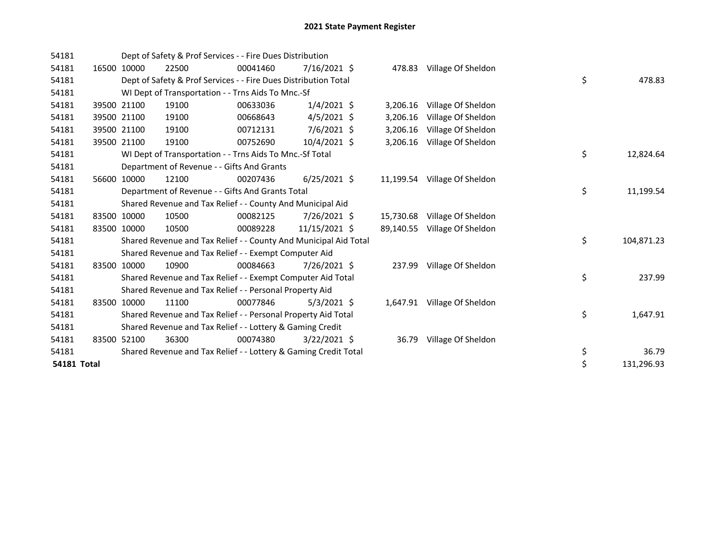| 54181              |       |             |       | Dept of Safety & Prof Services - - Fire Dues Distribution        |                |           |                              |    |            |
|--------------------|-------|-------------|-------|------------------------------------------------------------------|----------------|-----------|------------------------------|----|------------|
| 54181              | 16500 | 10000       | 22500 | 00041460                                                         | $7/16/2021$ \$ | 478.83    | Village Of Sheldon           |    |            |
| 54181              |       |             |       | Dept of Safety & Prof Services - - Fire Dues Distribution Total  |                |           |                              | \$ | 478.83     |
| 54181              |       |             |       | WI Dept of Transportation - - Trns Aids To Mnc.-Sf               |                |           |                              |    |            |
| 54181              |       | 39500 21100 | 19100 | 00633036                                                         | $1/4/2021$ \$  | 3,206.16  | Village Of Sheldon           |    |            |
| 54181              |       | 39500 21100 | 19100 | 00668643                                                         | $4/5/2021$ \$  | 3,206.16  | Village Of Sheldon           |    |            |
| 54181              | 39500 | 21100       | 19100 | 00712131                                                         | 7/6/2021 \$    | 3,206.16  | Village Of Sheldon           |    |            |
| 54181              | 39500 | 21100       | 19100 | 00752690                                                         | 10/4/2021 \$   | 3.206.16  | Village Of Sheldon           |    |            |
| 54181              |       |             |       | WI Dept of Transportation - - Trns Aids To Mnc.-Sf Total         |                |           |                              | \$ | 12,824.64  |
| 54181              |       |             |       | Department of Revenue - - Gifts And Grants                       |                |           |                              |    |            |
| 54181              | 56600 | 10000       | 12100 | 00207436                                                         | $6/25/2021$ \$ |           | 11,199.54 Village Of Sheldon |    |            |
| 54181              |       |             |       | Department of Revenue - - Gifts And Grants Total                 |                |           |                              | \$ | 11,199.54  |
| 54181              |       |             |       | Shared Revenue and Tax Relief - - County And Municipal Aid       |                |           |                              |    |            |
| 54181              |       | 83500 10000 | 10500 | 00082125                                                         | 7/26/2021 \$   | 15,730.68 | Village Of Sheldon           |    |            |
| 54181              |       | 83500 10000 | 10500 | 00089228                                                         | 11/15/2021 \$  | 89,140.55 | Village Of Sheldon           |    |            |
| 54181              |       |             |       | Shared Revenue and Tax Relief - - County And Municipal Aid Total |                |           |                              | \$ | 104,871.23 |
| 54181              |       |             |       | Shared Revenue and Tax Relief - - Exempt Computer Aid            |                |           |                              |    |            |
| 54181              | 83500 | 10000       | 10900 | 00084663                                                         | 7/26/2021 \$   |           | 237.99 Village Of Sheldon    |    |            |
| 54181              |       |             |       | Shared Revenue and Tax Relief - - Exempt Computer Aid Total      |                |           |                              | \$ | 237.99     |
| 54181              |       |             |       | Shared Revenue and Tax Relief - - Personal Property Aid          |                |           |                              |    |            |
| 54181              |       | 83500 10000 | 11100 | 00077846                                                         | $5/3/2021$ \$  |           | 1,647.91 Village Of Sheldon  |    |            |
| 54181              |       |             |       | Shared Revenue and Tax Relief - - Personal Property Aid Total    |                |           |                              | \$ | 1,647.91   |
| 54181              |       |             |       | Shared Revenue and Tax Relief - - Lottery & Gaming Credit        |                |           |                              |    |            |
| 54181              |       | 83500 52100 | 36300 | 00074380                                                         | $3/22/2021$ \$ | 36.79     | Village Of Sheldon           |    |            |
| 54181              |       |             |       | Shared Revenue and Tax Relief - - Lottery & Gaming Credit Total  |                |           |                              | \$ | 36.79      |
| <b>54181 Total</b> |       |             |       |                                                                  |                |           |                              | \$ | 131,296.93 |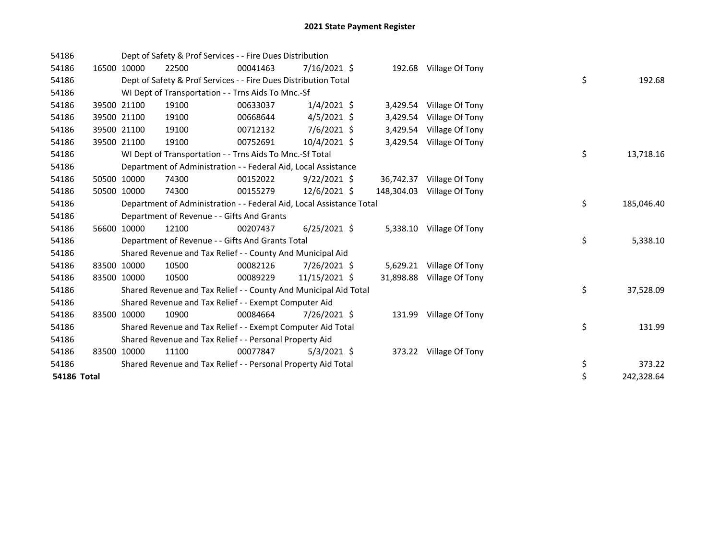| 54186       |             |             | Dept of Safety & Prof Services - - Fire Dues Distribution            |          |                |            |                           |    |            |
|-------------|-------------|-------------|----------------------------------------------------------------------|----------|----------------|------------|---------------------------|----|------------|
| 54186       |             | 16500 10000 | 22500                                                                | 00041463 | $7/16/2021$ \$ |            | 192.68 Village Of Tony    |    |            |
| 54186       |             |             | Dept of Safety & Prof Services - - Fire Dues Distribution Total      |          |                |            |                           | \$ | 192.68     |
| 54186       |             |             | WI Dept of Transportation - - Trns Aids To Mnc.-Sf                   |          |                |            |                           |    |            |
| 54186       |             | 39500 21100 | 19100                                                                | 00633037 | $1/4/2021$ \$  | 3,429.54   | Village Of Tony           |    |            |
| 54186       |             | 39500 21100 | 19100                                                                | 00668644 | $4/5/2021$ \$  | 3,429.54   | Village Of Tony           |    |            |
| 54186       |             | 39500 21100 | 19100                                                                | 00712132 | 7/6/2021 \$    | 3,429.54   | Village Of Tony           |    |            |
| 54186       |             | 39500 21100 | 19100                                                                | 00752691 | 10/4/2021 \$   |            | 3,429.54 Village Of Tony  |    |            |
| 54186       |             |             | WI Dept of Transportation - - Trns Aids To Mnc.-Sf Total             |          |                |            |                           | \$ | 13,718.16  |
| 54186       |             |             | Department of Administration - - Federal Aid, Local Assistance       |          |                |            |                           |    |            |
| 54186       |             | 50500 10000 | 74300                                                                | 00152022 | $9/22/2021$ \$ | 36,742.37  | Village Of Tony           |    |            |
| 54186       |             | 50500 10000 | 74300                                                                | 00155279 | $12/6/2021$ \$ | 148,304.03 | Village Of Tony           |    |            |
| 54186       |             |             | Department of Administration - - Federal Aid, Local Assistance Total |          |                |            |                           | \$ | 185,046.40 |
| 54186       |             |             | Department of Revenue - - Gifts And Grants                           |          |                |            |                           |    |            |
| 54186       |             | 56600 10000 | 12100                                                                | 00207437 | $6/25/2021$ \$ |            | 5,338.10 Village Of Tony  |    |            |
| 54186       |             |             | Department of Revenue - - Gifts And Grants Total                     |          |                |            |                           | \$ | 5,338.10   |
| 54186       |             |             | Shared Revenue and Tax Relief - - County And Municipal Aid           |          |                |            |                           |    |            |
| 54186       |             | 83500 10000 | 10500                                                                | 00082126 | 7/26/2021 \$   |            | 5,629.21 Village Of Tony  |    |            |
| 54186       |             | 83500 10000 | 10500                                                                | 00089229 | 11/15/2021 \$  |            | 31,898.88 Village Of Tony |    |            |
| 54186       |             |             | Shared Revenue and Tax Relief - - County And Municipal Aid Total     |          |                |            |                           | \$ | 37,528.09  |
| 54186       |             |             | Shared Revenue and Tax Relief - - Exempt Computer Aid                |          |                |            |                           |    |            |
| 54186       |             | 83500 10000 | 10900                                                                | 00084664 | 7/26/2021 \$   |            | 131.99 Village Of Tony    |    |            |
| 54186       |             |             | Shared Revenue and Tax Relief - - Exempt Computer Aid Total          |          |                |            |                           | \$ | 131.99     |
| 54186       |             |             | Shared Revenue and Tax Relief - - Personal Property Aid              |          |                |            |                           |    |            |
| 54186       | 83500 10000 |             | 11100                                                                | 00077847 | $5/3/2021$ \$  |            | 373.22 Village Of Tony    |    |            |
| 54186       |             |             | Shared Revenue and Tax Relief - - Personal Property Aid Total        |          |                |            |                           | \$ | 373.22     |
| 54186 Total |             |             |                                                                      |          |                |            |                           | \$ | 242,328.64 |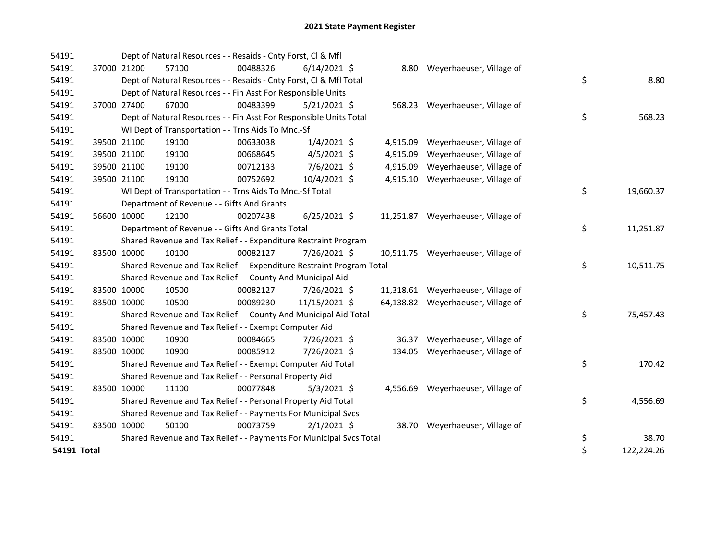| 54191       |             |                                                                       | Dept of Natural Resources - - Resaids - Cnty Forst, Cl & Mfl        |          |                |  |          |                                    |                  |
|-------------|-------------|-----------------------------------------------------------------------|---------------------------------------------------------------------|----------|----------------|--|----------|------------------------------------|------------------|
| 54191       |             | 37000 21200                                                           | 57100                                                               | 00488326 | $6/14/2021$ \$ |  |          | 8.80 Weyerhaeuser, Village of      |                  |
| 54191       |             |                                                                       | Dept of Natural Resources - - Resaids - Cnty Forst, CI & Mfl Total  |          |                |  |          |                                    | \$<br>8.80       |
| 54191       |             |                                                                       | Dept of Natural Resources - - Fin Asst For Responsible Units        |          |                |  |          |                                    |                  |
| 54191       |             | 37000 27400                                                           | 67000                                                               | 00483399 | 5/21/2021 \$   |  |          | 568.23 Weyerhaeuser, Village of    |                  |
| 54191       |             |                                                                       | Dept of Natural Resources - - Fin Asst For Responsible Units Total  |          |                |  |          |                                    | \$<br>568.23     |
| 54191       |             |                                                                       | WI Dept of Transportation - - Trns Aids To Mnc.-Sf                  |          |                |  |          |                                    |                  |
| 54191       |             | 39500 21100                                                           | 19100                                                               | 00633038 | $1/4/2021$ \$  |  | 4,915.09 | Weyerhaeuser, Village of           |                  |
| 54191       |             | 39500 21100                                                           | 19100                                                               | 00668645 | $4/5/2021$ \$  |  | 4,915.09 | Weyerhaeuser, Village of           |                  |
| 54191       |             | 39500 21100                                                           | 19100                                                               | 00712133 | 7/6/2021 \$    |  | 4,915.09 | Weyerhaeuser, Village of           |                  |
| 54191       |             | 39500 21100                                                           | 19100                                                               | 00752692 | 10/4/2021 \$   |  |          | 4,915.10 Weyerhaeuser, Village of  |                  |
| 54191       |             |                                                                       | WI Dept of Transportation - - Trns Aids To Mnc.-Sf Total            |          |                |  |          |                                    | \$<br>19,660.37  |
| 54191       |             |                                                                       | Department of Revenue - - Gifts And Grants                          |          |                |  |          |                                    |                  |
| 54191       |             | 56600 10000                                                           | 12100                                                               | 00207438 | $6/25/2021$ \$ |  |          | 11,251.87 Weyerhaeuser, Village of |                  |
| 54191       |             |                                                                       | Department of Revenue - - Gifts And Grants Total                    |          |                |  |          |                                    | \$<br>11,251.87  |
| 54191       |             |                                                                       | Shared Revenue and Tax Relief - - Expenditure Restraint Program     |          |                |  |          |                                    |                  |
| 54191       | 83500 10000 |                                                                       | 10100                                                               | 00082127 | 7/26/2021 \$   |  |          | 10,511.75 Weyerhaeuser, Village of |                  |
| 54191       |             | Shared Revenue and Tax Relief - - Expenditure Restraint Program Total |                                                                     |          |                |  |          |                                    | \$<br>10,511.75  |
| 54191       |             | Shared Revenue and Tax Relief - - County And Municipal Aid            |                                                                     |          |                |  |          |                                    |                  |
| 54191       |             | 83500 10000                                                           | 10500                                                               | 00082127 | 7/26/2021 \$   |  |          | 11,318.61 Weyerhaeuser, Village of |                  |
| 54191       |             | 83500 10000                                                           | 10500                                                               | 00089230 | 11/15/2021 \$  |  |          | 64,138.82 Weyerhaeuser, Village of |                  |
| 54191       |             |                                                                       | Shared Revenue and Tax Relief - - County And Municipal Aid Total    |          |                |  |          |                                    | \$<br>75,457.43  |
| 54191       |             |                                                                       | Shared Revenue and Tax Relief - - Exempt Computer Aid               |          |                |  |          |                                    |                  |
| 54191       |             | 83500 10000                                                           | 10900                                                               | 00084665 | 7/26/2021 \$   |  | 36.37    | Weyerhaeuser, Village of           |                  |
| 54191       |             | 83500 10000                                                           | 10900                                                               | 00085912 | 7/26/2021 \$   |  | 134.05   | Weyerhaeuser, Village of           |                  |
| 54191       |             |                                                                       | Shared Revenue and Tax Relief - - Exempt Computer Aid Total         |          |                |  |          |                                    | \$<br>170.42     |
| 54191       |             |                                                                       | Shared Revenue and Tax Relief - - Personal Property Aid             |          |                |  |          |                                    |                  |
| 54191       | 83500 10000 |                                                                       | 11100                                                               | 00077848 | $5/3/2021$ \$  |  |          | 4,556.69 Weyerhaeuser, Village of  |                  |
| 54191       |             |                                                                       | Shared Revenue and Tax Relief - - Personal Property Aid Total       |          |                |  |          |                                    | \$<br>4,556.69   |
| 54191       |             |                                                                       | Shared Revenue and Tax Relief - - Payments For Municipal Svcs       |          |                |  |          |                                    |                  |
| 54191       | 83500 10000 |                                                                       | 50100                                                               | 00073759 | $2/1/2021$ \$  |  |          | 38.70 Weyerhaeuser, Village of     |                  |
| 54191       |             |                                                                       | Shared Revenue and Tax Relief - - Payments For Municipal Svcs Total |          |                |  |          |                                    | \$<br>38.70      |
| 54191 Total |             |                                                                       |                                                                     |          |                |  |          |                                    | \$<br>122,224.26 |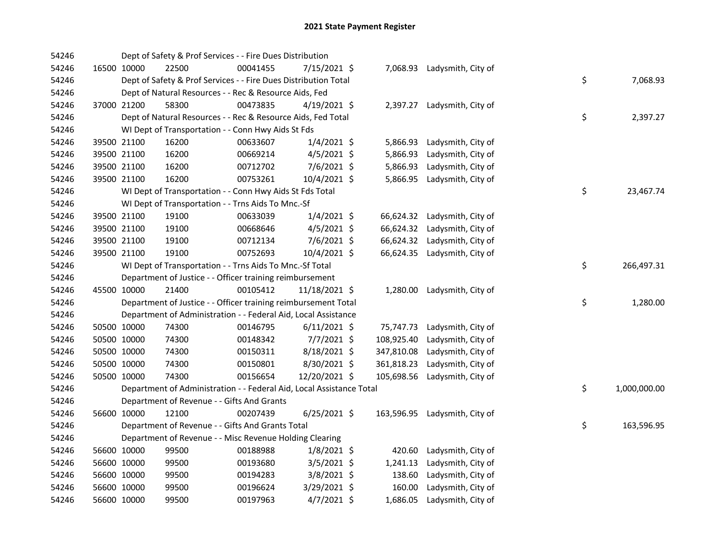| 54246 |             |                                                          | Dept of Safety & Prof Services - - Fire Dues Distribution            |          |                |  |            |                             |  |                    |
|-------|-------------|----------------------------------------------------------|----------------------------------------------------------------------|----------|----------------|--|------------|-----------------------------|--|--------------------|
| 54246 |             | 16500 10000                                              | 22500                                                                | 00041455 | 7/15/2021 \$   |  |            | 7,068.93 Ladysmith, City of |  |                    |
| 54246 |             |                                                          | Dept of Safety & Prof Services - - Fire Dues Distribution Total      |          |                |  |            |                             |  | \$<br>7,068.93     |
| 54246 |             |                                                          | Dept of Natural Resources - - Rec & Resource Aids, Fed               |          |                |  |            |                             |  |                    |
| 54246 |             | 37000 21200                                              | 58300                                                                | 00473835 | $4/19/2021$ \$ |  |            | 2,397.27 Ladysmith, City of |  |                    |
| 54246 |             |                                                          | Dept of Natural Resources - - Rec & Resource Aids, Fed Total         |          |                |  |            |                             |  | \$<br>2,397.27     |
| 54246 |             |                                                          | WI Dept of Transportation - - Conn Hwy Aids St Fds                   |          |                |  |            |                             |  |                    |
| 54246 |             | 39500 21100                                              | 16200                                                                | 00633607 | $1/4/2021$ \$  |  | 5,866.93   | Ladysmith, City of          |  |                    |
| 54246 |             | 39500 21100                                              | 16200                                                                | 00669214 | $4/5/2021$ \$  |  | 5,866.93   | Ladysmith, City of          |  |                    |
| 54246 |             | 39500 21100                                              | 16200                                                                | 00712702 | 7/6/2021 \$    |  | 5,866.93   | Ladysmith, City of          |  |                    |
| 54246 | 39500 21100 |                                                          | 16200                                                                | 00753261 | 10/4/2021 \$   |  | 5,866.95   | Ladysmith, City of          |  |                    |
| 54246 |             |                                                          | WI Dept of Transportation - - Conn Hwy Aids St Fds Total             |          |                |  |            |                             |  | \$<br>23,467.74    |
| 54246 |             |                                                          | WI Dept of Transportation - - Trns Aids To Mnc.-Sf                   |          |                |  |            |                             |  |                    |
| 54246 |             | 39500 21100                                              | 19100                                                                | 00633039 | $1/4/2021$ \$  |  | 66,624.32  | Ladysmith, City of          |  |                    |
| 54246 |             | 39500 21100                                              | 19100                                                                | 00668646 | $4/5/2021$ \$  |  | 66,624.32  | Ladysmith, City of          |  |                    |
| 54246 |             | 39500 21100                                              | 19100                                                                | 00712134 | $7/6/2021$ \$  |  | 66,624.32  | Ladysmith, City of          |  |                    |
| 54246 |             | 39500 21100                                              | 19100                                                                | 00752693 | 10/4/2021 \$   |  | 66,624.35  | Ladysmith, City of          |  |                    |
| 54246 |             |                                                          | WI Dept of Transportation - - Trns Aids To Mnc.-Sf Total             |          |                |  |            |                             |  | \$<br>266,497.31   |
| 54246 |             | Department of Justice - - Officer training reimbursement |                                                                      |          |                |  |            |                             |  |                    |
| 54246 | 45500 10000 |                                                          | 21400                                                                | 00105412 | 11/18/2021 \$  |  | 1,280.00   | Ladysmith, City of          |  |                    |
| 54246 |             |                                                          | Department of Justice - - Officer training reimbursement Total       |          |                |  |            |                             |  | \$<br>1,280.00     |
| 54246 |             |                                                          | Department of Administration - - Federal Aid, Local Assistance       |          |                |  |            |                             |  |                    |
| 54246 |             | 50500 10000                                              | 74300                                                                | 00146795 | $6/11/2021$ \$ |  | 75,747.73  | Ladysmith, City of          |  |                    |
| 54246 |             | 50500 10000                                              | 74300                                                                | 00148342 | 7/7/2021 \$    |  | 108,925.40 | Ladysmith, City of          |  |                    |
| 54246 |             | 50500 10000                                              | 74300                                                                | 00150311 | 8/18/2021 \$   |  | 347,810.08 | Ladysmith, City of          |  |                    |
| 54246 |             | 50500 10000                                              | 74300                                                                | 00150801 | 8/30/2021 \$   |  | 361,818.23 | Ladysmith, City of          |  |                    |
| 54246 |             | 50500 10000                                              | 74300                                                                | 00156654 | 12/20/2021 \$  |  | 105,698.56 | Ladysmith, City of          |  |                    |
| 54246 |             |                                                          | Department of Administration - - Federal Aid, Local Assistance Total |          |                |  |            |                             |  | \$<br>1,000,000.00 |
| 54246 |             |                                                          | Department of Revenue - - Gifts And Grants                           |          |                |  |            |                             |  |                    |
| 54246 |             | 56600 10000                                              | 12100                                                                | 00207439 | 6/25/2021 \$   |  | 163,596.95 | Ladysmith, City of          |  |                    |
| 54246 |             |                                                          | Department of Revenue - - Gifts And Grants Total                     |          |                |  |            |                             |  | \$<br>163,596.95   |
| 54246 |             |                                                          | Department of Revenue - - Misc Revenue Holding Clearing              |          |                |  |            |                             |  |                    |
| 54246 |             | 56600 10000                                              | 99500                                                                | 00188988 | $1/8/2021$ \$  |  | 420.60     | Ladysmith, City of          |  |                    |
| 54246 |             | 56600 10000                                              | 99500                                                                | 00193680 | 3/5/2021 \$    |  | 1,241.13   | Ladysmith, City of          |  |                    |
| 54246 |             | 56600 10000                                              | 99500                                                                | 00194283 | 3/8/2021 \$    |  | 138.60     | Ladysmith, City of          |  |                    |
| 54246 |             | 56600 10000                                              | 99500                                                                | 00196624 | 3/29/2021 \$   |  | 160.00     | Ladysmith, City of          |  |                    |
| 54246 | 56600 10000 |                                                          | 99500                                                                | 00197963 | 4/7/2021 \$    |  | 1,686.05   | Ladysmith, City of          |  |                    |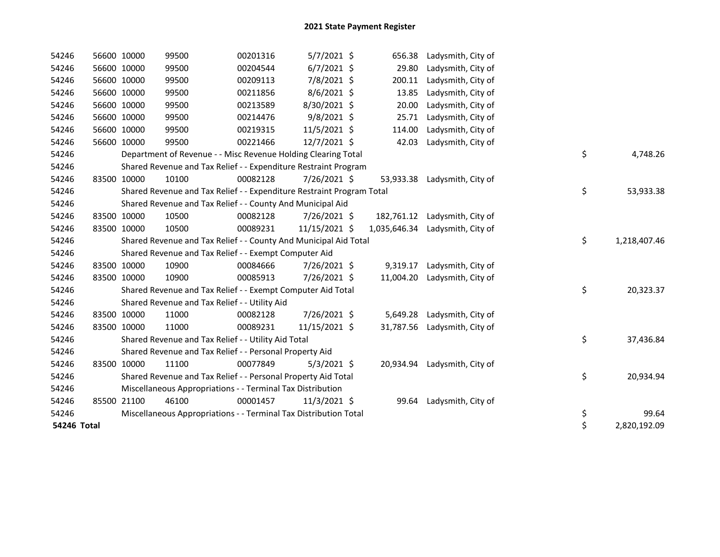| 54246       |       | 56600 10000                                                 | 99500                                                                 | 00201316 | $5/7/2021$ \$  |  | 656.38       | Ladysmith, City of |                    |
|-------------|-------|-------------------------------------------------------------|-----------------------------------------------------------------------|----------|----------------|--|--------------|--------------------|--------------------|
| 54246       |       | 56600 10000                                                 | 99500                                                                 | 00204544 | $6/7/2021$ \$  |  | 29.80        | Ladysmith, City of |                    |
| 54246       |       | 56600 10000                                                 | 99500                                                                 | 00209113 | 7/8/2021 \$    |  | 200.11       | Ladysmith, City of |                    |
| 54246       |       | 56600 10000                                                 | 99500                                                                 | 00211856 | $8/6/2021$ \$  |  | 13.85        | Ladysmith, City of |                    |
| 54246       |       | 56600 10000                                                 | 99500                                                                 | 00213589 | 8/30/2021 \$   |  | 20.00        | Ladysmith, City of |                    |
| 54246       |       | 56600 10000                                                 | 99500                                                                 | 00214476 | $9/8/2021$ \$  |  | 25.71        | Ladysmith, City of |                    |
| 54246       |       | 56600 10000                                                 | 99500                                                                 | 00219315 | $11/5/2021$ \$ |  | 114.00       | Ladysmith, City of |                    |
| 54246       |       | 56600 10000                                                 | 99500                                                                 | 00221466 | 12/7/2021 \$   |  | 42.03        | Ladysmith, City of |                    |
| 54246       |       |                                                             | Department of Revenue - - Misc Revenue Holding Clearing Total         |          |                |  |              |                    | \$<br>4,748.26     |
| 54246       |       |                                                             | Shared Revenue and Tax Relief - - Expenditure Restraint Program       |          |                |  |              |                    |                    |
| 54246       |       | 83500 10000                                                 | 10100                                                                 | 00082128 | 7/26/2021 \$   |  | 53,933.38    | Ladysmith, City of |                    |
| 54246       |       |                                                             | Shared Revenue and Tax Relief - - Expenditure Restraint Program Total |          |                |  |              |                    | \$<br>53,933.38    |
| 54246       |       |                                                             | Shared Revenue and Tax Relief - - County And Municipal Aid            |          |                |  |              |                    |                    |
| 54246       |       | 83500 10000                                                 | 10500                                                                 | 00082128 | 7/26/2021 \$   |  | 182,761.12   | Ladysmith, City of |                    |
| 54246       |       | 83500 10000                                                 | 10500                                                                 | 00089231 | 11/15/2021 \$  |  | 1,035,646.34 | Ladysmith, City of |                    |
| 54246       |       |                                                             | Shared Revenue and Tax Relief - - County And Municipal Aid Total      |          |                |  |              |                    | \$<br>1,218,407.46 |
| 54246       |       |                                                             | Shared Revenue and Tax Relief - - Exempt Computer Aid                 |          |                |  |              |                    |                    |
| 54246       |       | 83500 10000                                                 | 10900                                                                 | 00084666 | 7/26/2021 \$   |  | 9,319.17     | Ladysmith, City of |                    |
| 54246       |       | 83500 10000                                                 | 10900                                                                 | 00085913 | 7/26/2021 \$   |  | 11,004.20    | Ladysmith, City of |                    |
| 54246       |       | Shared Revenue and Tax Relief - - Exempt Computer Aid Total |                                                                       |          |                |  |              |                    | \$<br>20,323.37    |
| 54246       |       |                                                             | Shared Revenue and Tax Relief - - Utility Aid                         |          |                |  |              |                    |                    |
| 54246       |       | 83500 10000                                                 | 11000                                                                 | 00082128 | 7/26/2021 \$   |  | 5,649.28     | Ladysmith, City of |                    |
| 54246       |       | 83500 10000                                                 | 11000                                                                 | 00089231 | 11/15/2021 \$  |  | 31,787.56    | Ladysmith, City of |                    |
| 54246       |       |                                                             | Shared Revenue and Tax Relief - - Utility Aid Total                   |          |                |  |              |                    | \$<br>37,436.84    |
| 54246       |       |                                                             | Shared Revenue and Tax Relief - - Personal Property Aid               |          |                |  |              |                    |                    |
| 54246       |       | 83500 10000                                                 | 11100                                                                 | 00077849 | $5/3/2021$ \$  |  | 20,934.94    | Ladysmith, City of |                    |
| 54246       |       |                                                             | Shared Revenue and Tax Relief - - Personal Property Aid Total         |          |                |  |              |                    | \$<br>20,934.94    |
| 54246       |       |                                                             | Miscellaneous Appropriations - - Terminal Tax Distribution            |          |                |  |              |                    |                    |
| 54246       | 85500 | 21100                                                       | 46100                                                                 | 00001457 | 11/3/2021 \$   |  | 99.64        | Ladysmith, City of |                    |
| 54246       |       |                                                             | Miscellaneous Appropriations - - Terminal Tax Distribution Total      |          |                |  |              |                    | \$<br>99.64        |
| 54246 Total |       |                                                             |                                                                       |          |                |  |              |                    | \$<br>2,820,192.09 |